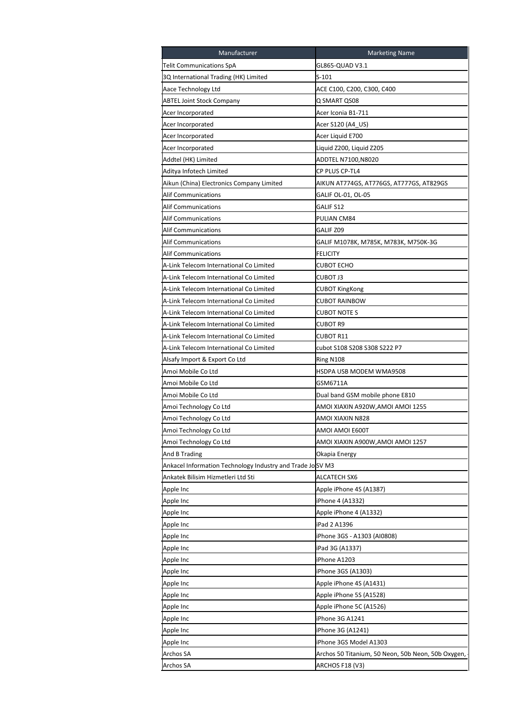| Manufacturer                                              | <b>Marketing Name</b>                              |
|-----------------------------------------------------------|----------------------------------------------------|
| Telit Communications SpA                                  | GL865-QUAD V3.1                                    |
| 3Q International Trading (HK) Limited                     | $S-101$                                            |
| Aace Technology Ltd                                       | ACE C100, C200, C300, C400                         |
| <b>ABTEL Joint Stock Company</b>                          | Q SMART QS08                                       |
| Acer Incorporated                                         | Acer Iconia B1-711                                 |
| Acer Incorporated                                         | Acer S120 (A4_US)                                  |
| Acer Incorporated                                         | Acer Liquid E700                                   |
| Acer Incorporated                                         | Liquid Z200, Liquid Z205                           |
| Addtel (HK) Limited                                       | ADDTEL N7100,N8020                                 |
| Aditya Infotech Limited                                   | CP PLUS CP-TL4                                     |
| Aikun (China) Electronics Company Limited                 | AIKUN AT774GS, AT776GS, AT777GS, AT829GS           |
| <b>Alif Communications</b>                                | GALIF OL-01, OL-05                                 |
| Alif Communications                                       | GALIF S12                                          |
| <b>Alif Communications</b>                                | PULIAN CM84                                        |
| <b>Alif Communications</b>                                | GALIF Z09                                          |
| Alif Communications                                       | GALIF M1078K, M785K, M783K, M750K-3G               |
| Alif Communications                                       | FELICITY                                           |
| A-Link Telecom International Co Limited                   | <b>CUBOT ECHO</b>                                  |
| A-Link Telecom International Co Limited                   | CUBOT J3                                           |
| A-Link Telecom International Co Limited                   | <b>CUBOT KingKong</b>                              |
| A-Link Telecom International Co Limited                   | <b>CUBOT RAINBOW</b>                               |
| A-Link Telecom International Co Limited                   | CUBOT NOTE S                                       |
| A-Link Telecom International Co Limited                   | CUBOT R9                                           |
| A-Link Telecom International Co Limited                   | CUBOT R11                                          |
| A-Link Telecom International Co Limited                   | cubot S108 S208 S308 S222 P7                       |
| Alsafy Import & Export Co Ltd                             | Ring N108                                          |
| Amoi Mobile Co Ltd                                        | HSDPA USB MODEM WMA9508                            |
| Amoi Mobile Co Ltd                                        | GSM6711A                                           |
| Amoi Mobile Co Ltd                                        | Dual band GSM mobile phone E810                    |
| Amoi Technology Co Ltd                                    | AMOI XIAXIN A920W,AMOI AMOI 1255                   |
| Amoi Technology Co Ltd                                    | AMOI XIAXIN N828                                   |
| Amoi Technology Co Ltd                                    | AMOI AMOI E600T                                    |
| Amoi Technology Co Ltd                                    | AMOI XIAXIN A900W,AMOI AMOI 1257                   |
| And B Trading                                             | Okapia Energy                                      |
| Ankacel Information Technology Industry and Trade JoSV M3 |                                                    |
| Ankatek Bilisim Hizmetleri Ltd Sti                        | ALCATECH SX6                                       |
|                                                           |                                                    |
| Apple Inc                                                 | Apple iPhone 4S (A1387)<br>iPhone 4 (A1332)        |
| Apple Inc                                                 |                                                    |
| Apple Inc                                                 | Apple iPhone 4 (A1332)                             |
| Apple Inc                                                 | iPad 2 A1396                                       |
| Apple Inc                                                 | iPhone 3GS - A1303 (AI0808)                        |
| Apple Inc                                                 | iPad 3G (A1337)                                    |
| Apple Inc                                                 | iPhone A1203                                       |
| Apple Inc                                                 | iPhone 3GS (A1303)                                 |
| Apple Inc                                                 | Apple iPhone 4S (A1431)                            |
| Apple Inc                                                 | Apple iPhone 5S (A1528)                            |
| Apple Inc                                                 | Apple iPhone 5C (A1526)                            |
| Apple Inc                                                 | iPhone 3G A1241                                    |
| Apple Inc                                                 | iPhone 3G (A1241)                                  |
| Apple Inc                                                 | iPhone 3GS Model A1303                             |
| Archos SA                                                 | Archos 50 Titanium, 50 Neon, 50b Neon, 50b Oxygen, |
| Archos SA                                                 | ARCHOS F18 (V3)                                    |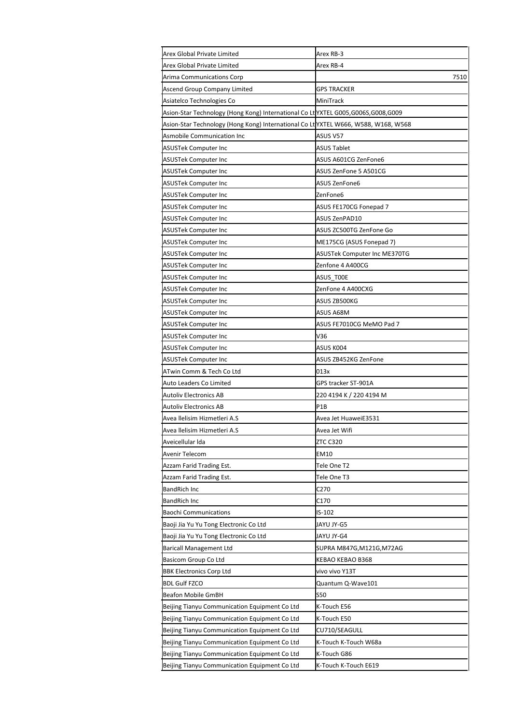| Arex Global Private Limited                                                       | Arex RB-3                           |
|-----------------------------------------------------------------------------------|-------------------------------------|
| Arex Global Private Limited                                                       | Arex RB-4                           |
| Arima Communications Corp                                                         | 7510                                |
| Ascend Group Company Limited                                                      | GPS TRACKER                         |
| Asiatelco Technologies Co                                                         | MiniTrack                           |
| Asion-Star Technology (Hong Kong) International Co LtVXTEL G005,G006S,G008,G009   |                                     |
| Asion-Star Technology (Hong Kong) International Co LtYXTEL W666, W588, W168, W568 |                                     |
| Asmobile Communication Inc                                                        | ASUS V57                            |
| ASUSTek Computer Inc                                                              | <b>ASUS Tablet</b>                  |
| <b>ASUSTek Computer Inc</b>                                                       | ASUS A601CG ZenFone6                |
| ASUSTek Computer Inc                                                              | ASUS ZenFone 5 A501CG               |
| ASUSTek Computer Inc                                                              | ASUS ZenFone6                       |
| ASUSTek Computer Inc                                                              | ZenFone6                            |
| ASUSTek Computer Inc                                                              | ASUS FE170CG Fonepad 7              |
| ASUSTek Computer Inc                                                              | ASUS ZenPAD10                       |
| ASUSTek Computer Inc                                                              | ASUS ZC500TG ZenFone Go             |
| <b>ASUSTek Computer Inc</b>                                                       | ME175CG (ASUS Fonepad 7)            |
| <b>ASUSTek Computer Inc</b>                                                       | <b>ASUSTek Computer Inc ME370TG</b> |
| ASUSTek Computer Inc                                                              | Zenfone 4 A400CG                    |
| ASUSTek Computer Inc                                                              | ASUS TOOE                           |
| ASUSTek Computer Inc                                                              | ZenFone 4 A400CXG                   |
| ASUSTek Computer Inc                                                              | ASUS ZB500KG                        |
| ASUSTek Computer Inc                                                              | ASUS A68M                           |
| ASUSTek Computer Inc                                                              | ASUS FE7010CG MeMO Pad 7            |
| ASUSTek Computer Inc                                                              | V36                                 |
| ASUSTek Computer Inc                                                              | ASUS KOO4                           |
| ASUSTek Computer Inc                                                              | ASUS ZB452KG ZenFone                |
| ATwin Comm & Tech Co Ltd                                                          | 013x                                |
| Auto Leaders Co Limited                                                           | GPS tracker ST-901A                 |
| <b>Autoliv Electronics AB</b>                                                     | 220 4194 K / 220 4194 M             |
| <b>Autoliv Electronics AB</b>                                                     | P <sub>1</sub> B                    |
| Avea llelisim Hizmetleri A.S                                                      | Avea Jet HuaweiE3531                |
| Avea Ilelisim Hizmetleri A.S                                                      | Avea Jet Wifi                       |
| Aveicellular Ida                                                                  | <b>ZTC C320</b>                     |
| Avenir Telecom                                                                    | EM10                                |
| Azzam Farid Trading Est.                                                          | Tele One T2                         |
| Azzam Farid Trading Est.                                                          | Tele One T3                         |
| <b>BandRich Inc</b>                                                               | C270                                |
| BandRich Inc                                                                      | C170                                |
| <b>Baochi Communications</b>                                                      | IS-102                              |
| Baoji Jia Yu Yu Tong Electronic Co Ltd                                            | JAYU JY-G5                          |
| Baoji Jia Yu Yu Tong Electronic Co Ltd                                            | JAYU JY-G4                          |
| <b>Baricall Management Ltd</b>                                                    | SUPRA M847G,M121G,M72AG             |
| Basicom Group Co Ltd                                                              | KEBAO KEBAO B368                    |
| <b>BBK Electronics Corp Ltd</b>                                                   | vivo vivo Y13T                      |
| <b>BDL Gulf FZCO</b>                                                              | Quantum Q-Wave101                   |
| Beafon Mobile GmBH                                                                | S50                                 |
| Beijing Tianyu Communication Equipment Co Ltd                                     | K-Touch E56                         |
| Beijing Tianyu Communication Equipment Co Ltd                                     | K-Touch E50                         |
| Beijing Tianyu Communication Equipment Co Ltd                                     | CU710/SEAGULL                       |
| Beijing Tianyu Communication Equipment Co Ltd                                     | K-Touch K-Touch W68a                |
| Beijing Tianyu Communication Equipment Co Ltd                                     | K-Touch G86                         |
| Beijing Tianyu Communication Equipment Co Ltd                                     | K-Touch K-Touch E619                |
|                                                                                   |                                     |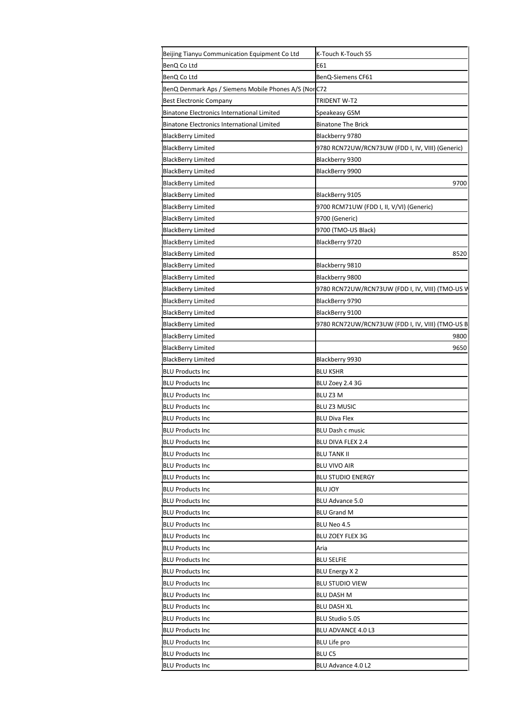| Beijing Tianyu Communication Equipment Co Ltd                        | K-Touch K-Touch S5                               |
|----------------------------------------------------------------------|--------------------------------------------------|
| BenQ Co Ltd                                                          | E61                                              |
| BenQ Co Ltd                                                          | BenQ-Siemens CF61                                |
| BenQ Denmark Aps / Siemens Mobile Phones A/S (Nor <mark>I</mark> C72 |                                                  |
| <b>Best Electronic Company</b>                                       | TRIDENT W-T2                                     |
| <b>Binatone Electronics International Limited</b>                    | Speakeasy GSM                                    |
| Binatone Electronics International Limited                           | <b>Binatone The Brick</b>                        |
| BlackBerry Limited                                                   | Blackberry 9780                                  |
| <b>BlackBerry Limited</b>                                            | 9780 RCN72UW/RCN73UW (FDD I, IV, VIII) (Generic) |
| <b>BlackBerry Limited</b>                                            | Blackberry 9300                                  |
| BlackBerry Limited                                                   | BlackBerry 9900                                  |
| <b>BlackBerry Limited</b>                                            | 9700                                             |
| <b>BlackBerry Limited</b>                                            | BlackBerry 9105                                  |
| <b>BlackBerry Limited</b>                                            | 9700 RCM71UW (FDD I, II, V/VI) (Generic)         |
| BlackBerry Limited                                                   | 9700 (Generic)                                   |
| <b>BlackBerry Limited</b>                                            | 9700 (TMO-US Black)                              |
| <b>BlackBerry Limited</b>                                            | BlackBerry 9720                                  |
| <b>BlackBerry Limited</b>                                            | 8520                                             |
| <b>BlackBerry Limited</b>                                            | Blackberry 9810                                  |
| <b>BlackBerry Limited</b>                                            | Blackberry 9800                                  |
| <b>BlackBerry Limited</b>                                            | 9780 RCN72UW/RCN73UW (FDD I, IV, VIII) (TMO-US V |
| BlackBerry Limited                                                   | BlackBerry 9790                                  |
| <b>BlackBerry Limited</b>                                            | BlackBerry 9100                                  |
| <b>BlackBerry Limited</b>                                            | 9780 RCN72UW/RCN73UW (FDD I, IV, VIII) (TMO-US B |
| <b>BlackBerry Limited</b>                                            | 9800                                             |
| <b>BlackBerry Limited</b>                                            | 9650                                             |
| <b>BlackBerry Limited</b>                                            | Blackberry 9930                                  |
| <b>BLU Products Inc</b>                                              | BLU KSHR                                         |
| <b>BLU Products Inc</b>                                              | BLU Zoey 2.4 3G                                  |
| <b>BLU Products Inc</b>                                              | BLU Z3 M                                         |
| <b>BLU Products Inc</b>                                              | <b>BLU Z3 MUSIC</b>                              |
| <b>BLU Products Inc</b>                                              | <b>BLU Diva Flex</b>                             |
| <b>BLU Products Inc</b>                                              | <b>BLU Dash c music</b>                          |
| <b>BLU Products Inc</b>                                              | BLU DIVA FLEX 2.4                                |
| <b>BLU Products Inc</b>                                              | <b>BLU TANK II</b>                               |
| <b>BLU Products Inc</b>                                              | <b>BLU VIVO AIR</b>                              |
| <b>BLU Products Inc</b>                                              | <b>BLU STUDIO ENERGY</b>                         |
| <b>BLU Products Inc</b>                                              | <b>BLU JOY</b>                                   |
|                                                                      | <b>BLU Advance 5.0</b>                           |
| <b>BLU Products Inc</b>                                              |                                                  |
| <b>BLU Products Inc</b>                                              | <b>BLU Grand M</b>                               |
| <b>BLU Products Inc</b>                                              | BLU Neo 4.5                                      |
| <b>BLU Products Inc</b>                                              | <b>BLU ZOEY FLEX 3G</b>                          |
| <b>BLU Products Inc</b>                                              | Aria                                             |
| <b>BLU Products Inc</b>                                              | <b>BLU SELFIE</b>                                |
| <b>BLU Products Inc</b>                                              | <b>BLU Energy X2</b>                             |
| <b>BLU Products Inc</b>                                              | <b>BLU STUDIO VIEW</b>                           |
| <b>BLU Products Inc</b>                                              | BLU DASH M                                       |
| <b>BLU Products Inc</b>                                              | <b>BLU DASH XL</b>                               |
| <b>BLU Products Inc</b>                                              | <b>BLU Studio 5.0S</b>                           |
| <b>BLU Products Inc</b>                                              | BLU ADVANCE 4.0 L3                               |
| <b>BLU Products Inc</b>                                              | <b>BLU Life pro</b>                              |
| <b>BLU Products Inc</b>                                              | <b>BLUC5</b>                                     |
| <b>BLU Products Inc</b>                                              | BLU Advance 4.0 L2                               |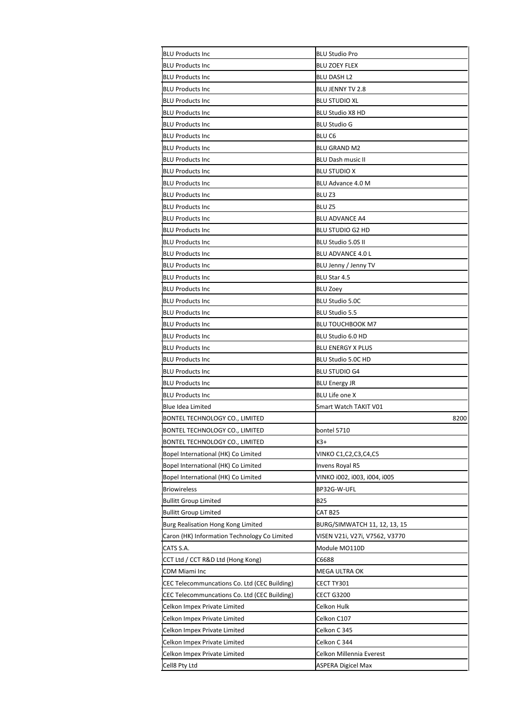| <b>BLU Products Inc</b>                      | <b>BLU Studio Pro</b>          |
|----------------------------------------------|--------------------------------|
| <b>BLU Products Inc</b>                      | <b>BLU ZOEY FLEX</b>           |
| <b>BLU Products Inc</b>                      | <b>BLU DASH L2</b>             |
| <b>BLU Products Inc</b>                      | BLU JENNY TV 2.8               |
| <b>BLU Products Inc</b>                      | <b>BLU STUDIO XL</b>           |
| <b>BLU Products Inc</b>                      | <b>BLU Studio X8 HD</b>        |
| <b>BLU Products Inc</b>                      | BLU Studio G                   |
| <b>BLU Products Inc</b>                      | BLU <sub>C6</sub>              |
| <b>BLU Products Inc</b>                      | BLU GRAND M2                   |
| <b>BLU Products Inc</b>                      | BLU Dash music II              |
| <b>BLU Products Inc</b>                      | <b>BLU STUDIO X</b>            |
| <b>BLU Products Inc</b>                      | BLU Advance 4.0 M              |
| <b>BLU Products Inc</b>                      | BLU <sub>Z3</sub>              |
| <b>BLU Products Inc</b>                      | BLU Z5                         |
| <b>BLU Products Inc</b>                      | <b>BLU ADVANCE A4</b>          |
| <b>BLU Products Inc</b>                      | BLU STUDIO G2 HD               |
| <b>BLU Products Inc</b>                      | BLU Studio 5.0S II             |
| <b>BLU Products Inc</b>                      | BLU ADVANCE 4.0 L              |
| <b>BLU Products Inc</b>                      | BLU Jenny / Jenny TV           |
| <b>BLU Products Inc</b>                      | BLU Star 4.5                   |
| <b>BLU Products Inc</b>                      | <b>BLU Zoey</b>                |
| <b>BLU Products Inc</b>                      | <b>BLU Studio 5.0C</b>         |
| <b>BLU Products Inc</b>                      | BLU Studio 5.5                 |
| <b>BLU Products Inc</b>                      | BLU TOUCHBOOK M7               |
| <b>BLU Products Inc</b>                      | BLU Studio 6.0 HD              |
| <b>BLU Products Inc</b>                      | <b>BLU ENERGY X PLUS</b>       |
| <b>BLU Products Inc</b>                      | BLU Studio 5.0C HD             |
| <b>BLU Products Inc</b>                      | <b>BLU STUDIO G4</b>           |
| <b>BLU Products Inc</b>                      | <b>BLU Energy JR</b>           |
| <b>BLU Products Inc</b>                      | <b>BLU Life one X</b>          |
| <b>Blue Idea Limited</b>                     | Smart Watch TAKIT V01          |
| BONTEL TECHNOLOGY CO., LIMITED               | 8200                           |
| <b>BONTEL TECHNOLOGY CO., LIMITED</b>        | bontel 5710                    |
| <b>BONTEL TECHNOLOGY CO., LIMITED</b>        | K3+                            |
| Bopel International (HK) Co Limited          | VINKO C1,C2,C3,C4,C5           |
| Bopel International (HK) Co Limited          | Invens Royal R5                |
| Bopel International (HK) Co Limited          | VINKO 1002, 1003, 1004, 1005   |
| <b>Briowireless</b>                          | BP32G-W-UFL                    |
| <b>Bullitt Group Limited</b>                 | <b>B25</b>                     |
| <b>Bullitt Group Limited</b>                 | CAT B25                        |
| Burg Realisation Hong Kong Limited           | BURG/SIMWATCH 11, 12, 13, 15   |
| Caron (HK) Information Technology Co Limited | VISEN V21i, V27i, V7562, V3770 |
| CATS S.A.                                    | Module MO110D                  |
| CCT Ltd / CCT R&D Ltd (Hong Kong)            | C6688                          |
| CDM Miami Inc                                | MEGA ULTRA OK                  |
| CEC Telecommuncations Co. Ltd (CEC Building) | CECT TY301                     |
| CEC Telecommuncations Co. Ltd (CEC Building) | <b>CECT G3200</b>              |
| Celkon Impex Private Limited                 | Celkon Hulk                    |
| Celkon Impex Private Limited                 | Celkon C107                    |
| Celkon Impex Private Limited                 | Celkon C 345                   |
| Celkon Impex Private Limited                 | Celkon C 344                   |
| Celkon Impex Private Limited                 | Celkon Millennia Everest       |
| Cell8 Pty Ltd                                | ASPERA Digicel Max             |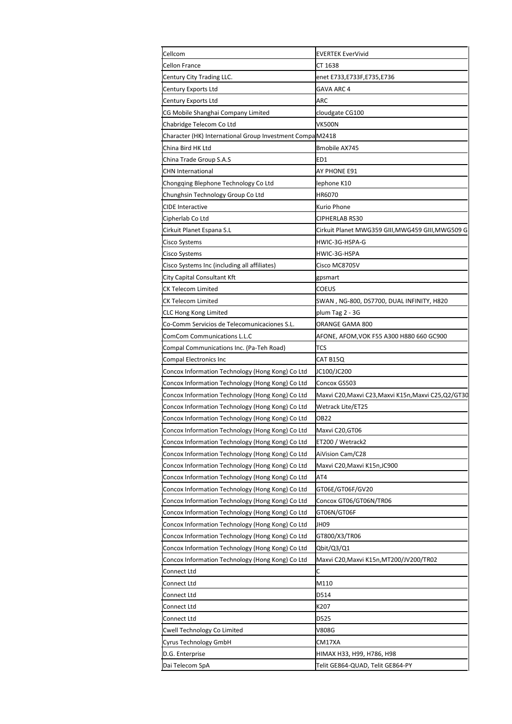| Cellcom                                                  | <b>EVERTEK EverVivid</b>                         |
|----------------------------------------------------------|--------------------------------------------------|
| Cellon France                                            | CT 1638                                          |
| Century City Trading LLC.                                | enet E733,E733F,E735,E736                        |
| Century Exports Ltd                                      | GAVA ARC 4                                       |
| Century Exports Ltd                                      | ARC                                              |
| CG Mobile Shanghai Company Limited                       | cloudgate CG100                                  |
| Chabridge Telecom Co Ltd                                 | VK500N                                           |
| Character (HK) International Group Investment CompaM2418 |                                                  |
| China Bird HK Ltd                                        | Bmobile AX745                                    |
| China Trade Group S.A.S                                  | ED1                                              |
| <b>CHN International</b>                                 | AY PHONE E91                                     |
| Chongqing Blephone Technology Co Ltd                     | ephone K10                                       |
| Chunghsin Technology Group Co Ltd                        | HR6070                                           |
| <b>CIDE Interactive</b>                                  | <urio phone<="" td=""></urio>                    |
| Cipherlab Co Ltd                                         | CIPHERLAB RS30                                   |
| Cirkuit Planet Espana S.L                                | Cirkuit Planet MWG359 GIII,MWG459 GIII,MWG509 G  |
| Cisco Systems                                            | HWIC-3G-HSPA-G                                   |
| Cisco Systems                                            | HWIC-3G-HSPA                                     |
| Cisco Systems Inc (including all affiliates)             | Cisco MC8705V                                    |
| City Capital Consultant Kft                              | gpsmart                                          |
| CK Telecom Limited                                       | COEUS                                            |
| <b>CK Telecom Limited</b>                                | SWAN , NG-800, DS7700, DUAL INFINITY, H820       |
| <b>CLC Hong Kong Limited</b>                             | plum Tag 2 - 3G                                  |
| Co-Comm Servicios de Telecomunicaciones S.L.             | ORANGE GAMA 800                                  |
|                                                          |                                                  |
| ComCom Communications L.L.C                              | AFONE, AFOM,VOK F55 A300 H880 660 GC900          |
| Compal Communications Inc. (Pa-Teh Road)                 | TCS                                              |
| Compal Electronics Inc                                   | CAT B15Q                                         |
| Concox Information Technology (Hong Kong) Co Ltd         | JC100/JC200                                      |
| Concox Information Technology (Hong Kong) Co Ltd         | Concox GS503                                     |
| Concox Information Technology (Hong Kong) Co Ltd         | Maxvi C20,Maxvi C23,Maxvi K15n,Maxvi C25,Q2/GT30 |
| Concox Information Technology (Hong Kong) Co Ltd         | Wetrack Lite/ET25                                |
| Concox Information Technology (Hong Kong) Co Ltd         | OB22                                             |
| Concox Information Technology (Hong Kong) Co Ltd         | Maxvi C20, GT06                                  |
| Concox Information Technology (Hong Kong) Co Ltd         | ET200 / Wetrack2                                 |
| Concox Information Technology (Hong Kong) Co Ltd         | AiVision Cam/C28                                 |
| Concox Information Technology (Hong Kong) Co Ltd         | Maxvi C20,Maxvi K15n,JC900                       |
| Concox Information Technology (Hong Kong) Co Ltd         | AT4                                              |
| Concox Information Technology (Hong Kong) Co Ltd         | GT06E/GT06F/GV20                                 |
| Concox Information Technology (Hong Kong) Co Ltd         | Concox GT06/GT06N/TR06                           |
| Concox Information Technology (Hong Kong) Co Ltd         | GT06N/GT06F                                      |
| Concox Information Technology (Hong Kong) Co Ltd         | JH09                                             |
| Concox Information Technology (Hong Kong) Co Ltd         | GT800/X3/TR06                                    |
| Concox Information Technology (Hong Kong) Co Ltd         | Qbit/Q3/Q1                                       |
| Concox Information Technology (Hong Kong) Co Ltd         | Maxvi C20,Maxvi K15n,MT200/JV200/TR02            |
| Connect Ltd                                              | Ċ                                                |
| Connect Ltd                                              | M110                                             |
| Connect Ltd                                              | D514                                             |
| Connect Ltd                                              | K207                                             |
| Connect Ltd                                              | D525                                             |
|                                                          |                                                  |
| Cwell Technology Co Limited                              | V808G                                            |
| Cyrus Technology GmbH                                    | CM17XA                                           |
| D.G. Enterprise                                          | НІМАХ НЗЗ, Н99, Н786, Н98                        |
| Dai Telecom SpA                                          | Telit GE864-QUAD, Telit GE864-PY                 |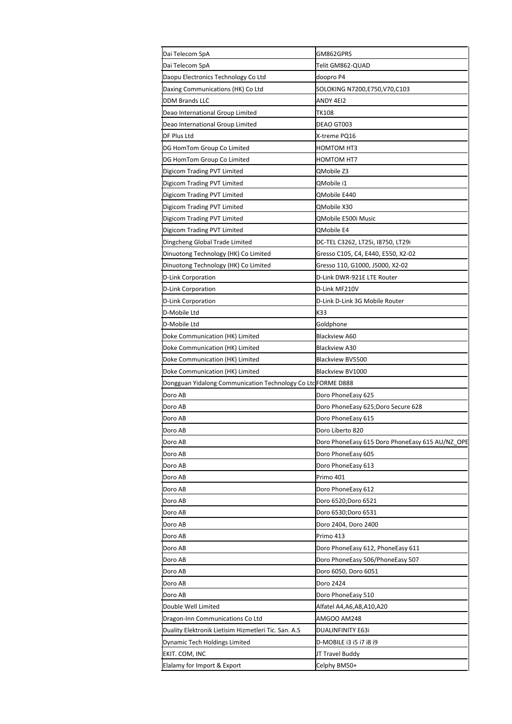| Dai Telecom SpA                                             | GM862GPRS                                       |
|-------------------------------------------------------------|-------------------------------------------------|
| Dai Telecom SpA                                             | Telit GM862-QUAD                                |
| Daopu Electronics Technology Co Ltd                         | doopro P4                                       |
| Daxing Communications (HK) Co Ltd                           | SOLOKING N7200,E750,V70,C103                    |
| <b>DDM Brands LLC</b>                                       | ANDY 4EI2                                       |
| Deao International Group Limited                            | <b>TK108</b>                                    |
| Deao International Group Limited                            | DEAO GT003                                      |
| DF Plus Ltd                                                 | X-treme PQ16                                    |
| DG HomTom Group Co Limited                                  | HOMTOM HT3                                      |
| DG HomTom Group Co Limited                                  | HOMTOM HT7                                      |
| Digicom Trading PVT Limited                                 | QMobile Z3                                      |
| Digicom Trading PVT Limited                                 | QMobile i1                                      |
| Digicom Trading PVT Limited                                 | QMobile E440                                    |
| Digicom Trading PVT Limited                                 | QMobile X30                                     |
| Digicom Trading PVT Limited                                 | QMobile E500i Music                             |
| Digicom Trading PVT Limited                                 | <b>OMobile E4</b>                               |
| Dingcheng Global Trade Limited                              | DC-TEL C3262, LT25i, I8750, LT29i               |
| Dinuotong Technology (HK) Co Limited                        | Gresso C105, C4, E440, E550, X2-02              |
| Dinuotong Technology (HK) Co Limited                        | Gresso 110, G1000, J5000, X2-02                 |
| D-Link Corporation                                          | D-Link DWR-921E LTE Router                      |
| D-Link Corporation                                          | D-Link MF210V                                   |
| D-Link Corporation                                          | D-Link D-Link 3G Mobile Router                  |
| D-Mobile Ltd                                                | K33                                             |
| D-Mobile Ltd                                                | Goldphone                                       |
| Doke Communication (HK) Limited                             | Blackview A60                                   |
| Doke Communication (HK) Limited                             | <b>Blackview A30</b>                            |
| Doke Communication (HK) Limited                             | Blackview BV5500                                |
| Doke Communication (HK) Limited                             | Blackview BV1000                                |
| Dongguan Yidalong Communication Technology Co LtcFORME D888 |                                                 |
| Doro AB                                                     | Doro PhoneEasy 625                              |
| Doro AB                                                     | Doro PhoneEasy 625;Doro Secure 628              |
| Doro AB                                                     | Doro PhoneEasy 615                              |
| Doro AB                                                     | Doro Liberto 820                                |
| Doro AB                                                     | Doro PhoneEasy 615 Doro PhoneEasy 615 AU/NZ OPE |
| Doro AB                                                     | Doro PhoneEasy 605                              |
| Doro AB                                                     | Doro PhoneEasy 613                              |
| Doro AB                                                     | Primo 401                                       |
| Doro AB                                                     | Doro PhoneEasy 612                              |
| Doro AB                                                     | Doro 6520;Doro 6521                             |
| Doro AB                                                     | Doro 6530;Doro 6531                             |
| Doro AB                                                     | Doro 2404, Doro 2400                            |
| Doro AB                                                     | Primo 413                                       |
| Doro AB                                                     | Doro PhoneEasy 612, PhoneEasy 611               |
| Doro AB                                                     | Doro PhoneEasy 506/PhoneEasy 507                |
| Doro AB                                                     | Doro 6050, Doro 6051                            |
| Doro AB                                                     | Doro 2424                                       |
| Doro AB                                                     | Doro PhoneEasy 510                              |
| Double Well Limited                                         | Alfatel A4,A6,A8,A10,A20                        |
| Dragon-Inn Communications Co Ltd                            | AMGOO AM248                                     |
| Duality Elektronik Lietisim Hizmetleri Tic. San. A.S        | DUALINFINITY E63i                               |
| Dynamic Tech Holdings Limited                               | D-MOBILE i3 i5 i7 i8 i9                         |
| EKIT. COM, INC                                              | JT Travel Buddy                                 |
| Elalamy for Import & Export                                 | Celphy BM50+                                    |
|                                                             |                                                 |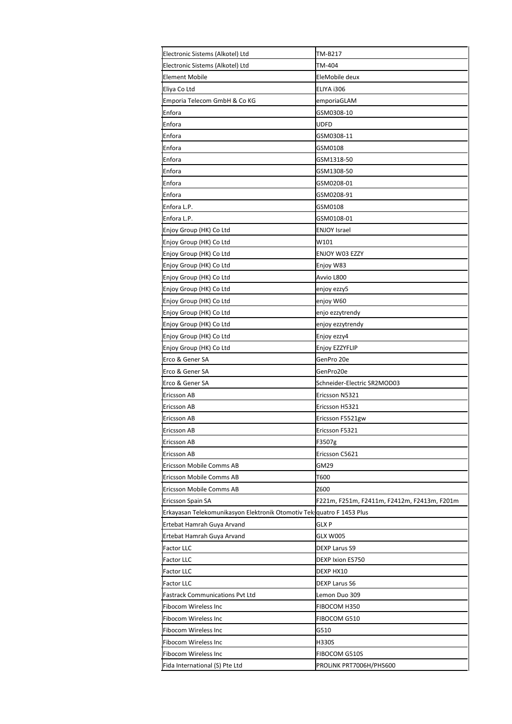| Electronic Sistems (Alkotel) Ltd                                       | TM-B217                                     |
|------------------------------------------------------------------------|---------------------------------------------|
| Electronic Sistems (Alkotel) Ltd                                       | TM-404                                      |
| <b>Element Mobile</b>                                                  | EleMobile deux                              |
| Eliya Co Ltd                                                           | ELIYA i306                                  |
| Emporia Telecom GmbH & Co KG                                           | emporiaGLAM                                 |
| Enfora                                                                 | GSM0308-10                                  |
| Enfora                                                                 | UDFD                                        |
| Enfora                                                                 | GSM0308-11                                  |
| Enfora                                                                 | GSM0108                                     |
| Enfora                                                                 | GSM1318-50                                  |
| Enfora                                                                 | GSM1308-50                                  |
| Enfora                                                                 | GSM0208-01                                  |
| Enfora                                                                 | GSM0208-91                                  |
| Enfora L.P.                                                            | GSM0108                                     |
| Enfora L.P.                                                            | GSM0108-01                                  |
| Enjoy Group (HK) Co Ltd                                                | <b>ENJOY Israel</b>                         |
| Enjoy Group (HK) Co Ltd                                                | W101                                        |
| Enjoy Group (HK) Co Ltd                                                | ENJOY W03 EZZY                              |
| Enjoy Group (HK) Co Ltd                                                | Enjoy W83                                   |
| Enjoy Group (HK) Co Ltd                                                | Avvio L800                                  |
| Enjoy Group (HK) Co Ltd                                                | enjoy ezzy5                                 |
| Enjoy Group (HK) Co Ltd                                                | enjoy W60                                   |
| Enjoy Group (HK) Co Ltd                                                | enjo ezzytrendy                             |
| Enjoy Group (HK) Co Ltd                                                | enjoy ezzytrendy                            |
| Enjoy Group (HK) Co Ltd                                                | Enjoy ezzy4                                 |
| Enjoy Group (HK) Co Ltd                                                | Enjoy EZZYFLIP                              |
| Erco & Gener SA                                                        | GenPro 20e                                  |
| Erco & Gener SA                                                        | GenPro20e                                   |
| Erco & Gener SA                                                        | Schneider-Electric SR2MOD03                 |
| Ericsson AB                                                            | Ericsson N5321                              |
| Ericsson AB                                                            | Ericsson H5321                              |
| Ericsson AB                                                            | Ericsson F5521gw                            |
| Ericsson AB                                                            | Ericsson F5321                              |
| Ericsson AB                                                            | F3507g                                      |
| Ericsson AB                                                            | Ericsson C5621                              |
| Ericsson Mobile Comms AB                                               | GM29                                        |
| Ericsson Mobile Comms AB                                               | T600                                        |
| Ericsson Mobile Comms AB                                               | Z600                                        |
| Ericsson Spain SA                                                      | F221m, F251m, F2411m, F2412m, F2413m, F201m |
| Erkayasan Telekomunikasyon Elektronik Otomotiv Tek: quatro F 1453 Plus |                                             |
| Ertebat Hamrah Guya Arvand                                             | <b>GLXP</b>                                 |
| Ertebat Hamrah Guya Arvand                                             | <b>GLX W005</b>                             |
| Factor LLC                                                             | <b>DEXP Larus S9</b>                        |
| Factor LLC                                                             | DEXP Ixion ES750                            |
| <b>Factor LLC</b>                                                      | DEXP HX10                                   |
| Factor LLC                                                             | <b>DEXP Larus S6</b>                        |
| Fastrack Communications Pvt Ltd                                        | Lemon Duo 309                               |
| Fibocom Wireless Inc                                                   | FIBOCOM H350                                |
| Fibocom Wireless Inc                                                   | FIBOCOM G510                                |
| Fibocom Wireless Inc                                                   | G510                                        |
| Fibocom Wireless Inc                                                   | H330S                                       |
| <b>Fibocom Wireless Inc</b>                                            | FIBOCOM G510S                               |
| Fida International (S) Pte Ltd                                         | PROLINK PRT7006H/PHS600                     |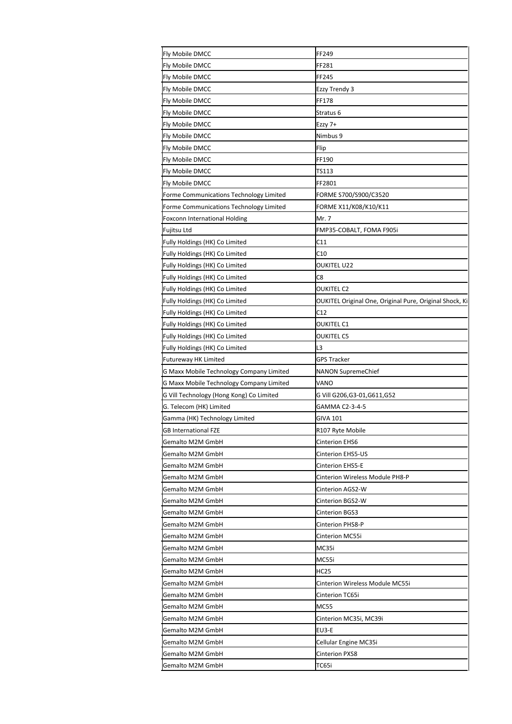| Fly Mobile DMCC                          | FF249                                                   |
|------------------------------------------|---------------------------------------------------------|
| Fly Mobile DMCC                          | FF281                                                   |
| Fly Mobile DMCC                          | FF245                                                   |
| Fly Mobile DMCC                          | Ezzy Trendy 3                                           |
| Fly Mobile DMCC                          | FF178                                                   |
| Fly Mobile DMCC                          | Stratus 6                                               |
| Fly Mobile DMCC                          | Ezzy 7+                                                 |
| Fly Mobile DMCC                          | Nimbus 9                                                |
| Fly Mobile DMCC                          | Flip                                                    |
| Fly Mobile DMCC                          | FF190                                                   |
| Fly Mobile DMCC                          | TS113                                                   |
| Fly Mobile DMCC                          | FF2801                                                  |
| Forme Communications Technology Limited  | FORME S700/S900/C3520                                   |
| Forme Communications Technology Limited  | FORME X11/K08/K10/K11                                   |
| Foxconn International Holding            | Mr. 7                                                   |
| Fujitsu Ltd                              | FMP35-COBALT, FOMA F905i                                |
| Fully Holdings (HK) Co Limited           | C11                                                     |
| Fully Holdings (HK) Co Limited           | C10                                                     |
| Fully Holdings (HK) Co Limited           | <b>OUKITEL U22</b>                                      |
| Fully Holdings (HK) Co Limited           | C8                                                      |
| Fully Holdings (HK) Co Limited           | OUKITEL C2                                              |
| Fully Holdings (HK) Co Limited           | OUKITEL Original One, Original Pure, Original Shock, Ki |
| Fully Holdings (HK) Co Limited           | C12                                                     |
| Fully Holdings (HK) Co Limited           | OUKITEL C1                                              |
| Fully Holdings (HK) Co Limited           | OUKITEL C5                                              |
| Fully Holdings (HK) Co Limited           | L3                                                      |
| Futureway HK Limited                     | <b>GPS Tracker</b>                                      |
| G Maxx Mobile Technology Company Limited | NANON SupremeChief                                      |
| G Maxx Mobile Technology Company Limited | VANO                                                    |
| G Vill Technology (Hong Kong) Co Limited | G Vill G206,G3-01,G611,G52                              |
| G. Telecom (HK) Limited                  | GAMMA C2-3-4-5                                          |
| Gamma (HK) Technology Limited            | GIVA 101                                                |
| GB International FZE                     | R107 Ryte Mobile                                        |
| Gemalto M2M GmbH                         | Cinterion EHS6                                          |
| Gemalto M2M GmbH                         | Cinterion EHS5-US                                       |
| Gemalto M2M GmbH                         | Cinterion EHS5-E                                        |
| Gemalto M2M GmbH                         | Cinterion Wireless Module PH8-P                         |
| Gemalto M2M GmbH                         | Cinterion AGS2-W                                        |
| Gemalto M2M GmbH                         | Cinterion BGS2-W                                        |
| Gemalto M2M GmbH                         | <b>Cinterion BGS3</b>                                   |
| Gemalto M2M GmbH                         | Cinterion PHS8-P                                        |
| Gemalto M2M GmbH                         | Cinterion MC55i                                         |
| Gemalto M2M GmbH                         |                                                         |
|                                          | MC35i                                                   |
| Gemalto M2M GmbH                         | MC55i                                                   |
| Gemalto M2M GmbH                         | <b>HC25</b>                                             |
| Gemalto M2M GmbH                         | Cinterion Wireless Module MC55i                         |
| Gemalto M2M GmbH                         | Cinterion TC65i                                         |
| Gemalto M2M GmbH                         | <b>MC55</b>                                             |
| Gemalto M2M GmbH                         | Cinterion MC35i, MC39i                                  |
| Gemalto M2M GmbH                         | EU3-E                                                   |
| Gemalto M2M GmbH                         | Cellular Engine MC35i                                   |
| Gemalto M2M GmbH                         | Cinterion PXS8                                          |
| Gemalto M2M GmbH                         | TC65i                                                   |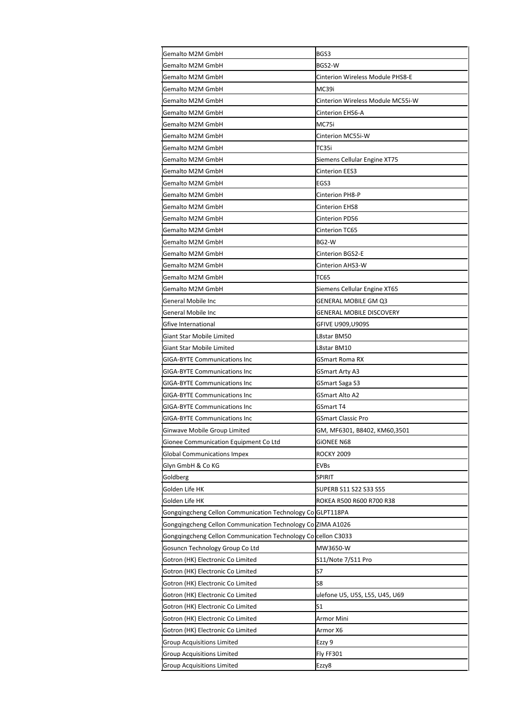| Gemalto M2M GmbH                                              | BGS3                              |
|---------------------------------------------------------------|-----------------------------------|
| Gemalto M2M GmbH                                              | BGS2-W                            |
| Gemalto M2M GmbH                                              | Cinterion Wireless Module PHS8-E  |
| Gemalto M2M GmbH                                              | MC39i                             |
| Gemalto M2M GmbH                                              | Cinterion Wireless Module MC55i-W |
| Gemalto M2M GmbH                                              | Cinterion EHS6-A                  |
| Gemalto M2M GmbH                                              | MC75i                             |
| Gemalto M2M GmbH                                              | Cinterion MC55i-W                 |
| Gemalto M2M GmbH                                              | TC35i                             |
| Gemalto M2M GmbH                                              | Siemens Cellular Engine XT75      |
| Gemalto M2M GmbH                                              | Cinterion EES3                    |
| Gemalto M2M GmbH                                              | EGS3                              |
| Gemalto M2M GmbH                                              | Cinterion PH8-P                   |
| Gemalto M2M GmbH                                              | <b>Cinterion EHS8</b>             |
| Gemalto M2M GmbH                                              | Cinterion PDS6                    |
| <b>Gemalto M2M GmbH</b>                                       | <b>Cinterion TC65</b>             |
| Gemalto M2M GmbH                                              | BG2-W                             |
| Gemalto M2M GmbH                                              | <b>Cinterion BGS2-E</b>           |
| Gemalto M2M GmbH                                              | Cinterion AHS3-W                  |
| <b>Gemalto M2M GmbH</b>                                       | <b>TC65</b>                       |
| Gemalto M2M GmbH                                              | Siemens Cellular Engine XT65      |
| General Mobile Inc                                            | GENERAL MOBILE GM Q3              |
| General Mobile Inc                                            | GENERAL MOBILE DISCOVERY          |
| Gfive International                                           | GFIVE U909,U909S                  |
| <b>Giant Star Mobile Limited</b>                              | L8star BM50                       |
| <b>Giant Star Mobile Limited</b>                              | L8star BM10                       |
| <b>GIGA-BYTE Communications Inc</b>                           | <b>GSmart Roma RX</b>             |
| <b>GIGA-BYTE Communications Inc</b>                           | GSmart Arty A3                    |
| <b>GIGA-BYTE Communications Inc</b>                           | GSmart Saga S3                    |
| <b>GIGA-BYTE Communications Inc</b>                           | <b>GSmart Alto A2</b>             |
| <b>GIGA-BYTE Communications Inc</b>                           | GSmart T4                         |
| <b>GIGA-BYTE Communications Inc</b>                           | GSmart Classic Pro                |
| Ginwave Mobile Group Limited                                  | GM, MF6301, B8402, KM60,3501      |
| Gionee Communication Equipment Co Ltd                         | GIONEE N68                        |
| <b>Global Communications Impex</b>                            | <b>ROCKY 2009</b>                 |
| Glyn GmbH & Co KG                                             | <b>EVBs</b>                       |
| Goldberg                                                      | SPIRIT                            |
| Golden Life HK                                                | SUPERB S11 S22 S33 S55            |
| Golden Life HK                                                | ROKEA R500 R600 R700 R38          |
| Gonggingcheng Cellon Communication Technology ColGLPT118PA    |                                   |
| Gonggingcheng Cellon Communication Technology Co ZIMA A1026   |                                   |
| Gongqingcheng Cellon Communication Technology Colcellon C3033 |                                   |
| Gosuncn Technology Group Co Ltd                               | MW3650-W                          |
| Gotron (HK) Electronic Co Limited                             | S11/Note 7/S11 Pro                |
| Gotron (HK) Electronic Co Limited                             | S7                                |
| Gotron (HK) Electronic Co Limited                             | S8                                |
| Gotron (HK) Electronic Co Limited                             | ulefone U5, U5S, L55, U45, U69    |
| Gotron (HK) Electronic Co Limited                             | S1                                |
| Gotron (HK) Electronic Co Limited                             | Armor Mini                        |
| Gotron (HK) Electronic Co Limited                             | Armor X6                          |
| Group Acquisitions Limited                                    | Ezzy 9                            |
| <b>Group Acquisitions Limited</b>                             | Fly FF301                         |
| Group Acquisitions Limited                                    | Ezzy8                             |
|                                                               |                                   |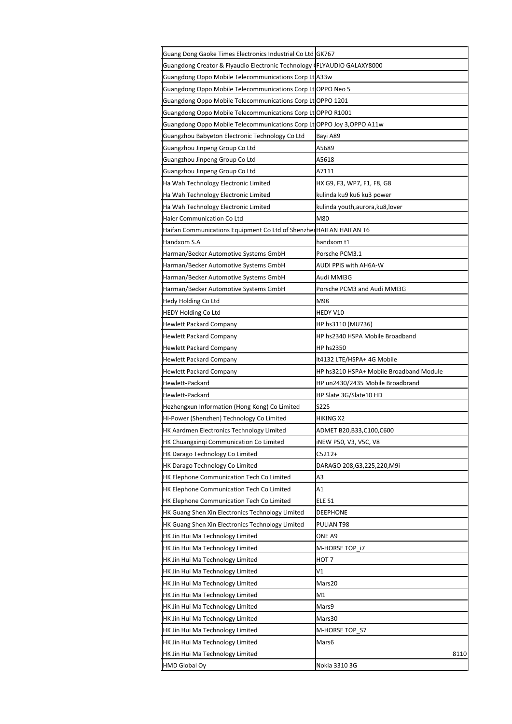| Guang Dong Gaoke Times Electronics Industrial Co Ltd GK767              |                                         |
|-------------------------------------------------------------------------|-----------------------------------------|
| Guangdong Creator & Flyaudio Electronic Technology (FLYAUDIO GALAXY8000 |                                         |
| Guangdong Oppo Mobile Telecommunications Corp Lt A33w                   |                                         |
| Guangdong Oppo Mobile Telecommunications Corp Lt OPPO Neo 5             |                                         |
| Guangdong Oppo Mobile Telecommunications Corp Lt OPPO 1201              |                                         |
| Guangdong Oppo Mobile Telecommunications Corp LtOPPO R1001              |                                         |
| Guangdong Oppo Mobile Telecommunications Corp Lt OPPO Joy 3, OPPO A11w  |                                         |
| Guangzhou Babyeton Electronic Technology Co Ltd                         | Bayi A89                                |
| Guangzhou Jinpeng Group Co Ltd                                          | A5689                                   |
| Guangzhou Jinpeng Group Co Ltd                                          | A5618                                   |
| Guangzhou Jinpeng Group Co Ltd                                          | A7111                                   |
| Ha Wah Technology Electronic Limited                                    | HX G9, F3, WP7, F1, F8, G8              |
| Ha Wah Technology Electronic Limited                                    | kulinda ku9 ku6 ku3 power               |
| Ha Wah Technology Electronic Limited                                    | kulinda youth,aurora,ku8,lover          |
| Haier Communication Co Ltd                                              | M80                                     |
| Haifan Communications Equipment Co Ltd of Shenzhei HAIFAN HAIFAN T6     |                                         |
| Handxom S.A                                                             | handxom t1                              |
| Harman/Becker Automotive Systems GmbH                                   | Porsche PCM3.1                          |
| Harman/Becker Automotive Systems GmbH                                   | AUDI PPiS with AH6A-W                   |
| Harman/Becker Automotive Systems GmbH                                   | Audi MMI3G                              |
| Harman/Becker Automotive Systems GmbH                                   | Porsche PCM3 and Audi MMI3G             |
| Hedy Holding Co Ltd                                                     | M98                                     |
| <b>HEDY Holding Co Ltd</b>                                              | HEDY V10                                |
| Hewlett Packard Company                                                 | HP hs3110 (MU736)                       |
| Hewlett Packard Company                                                 | HP hs2340 HSPA Mobile Broadband         |
| <b>Hewlett Packard Company</b>                                          | HP hs2350                               |
| <b>Hewlett Packard Company</b>                                          | lt4132 LTE/HSPA+ 4G Mobile              |
| <b>Hewlett Packard Company</b>                                          | HP hs3210 HSPA+ Mobile Broadband Module |
| Hewlett-Packard                                                         | HP un2430/2435 Mobile Broadbrand        |
| Hewlett-Packard                                                         | HP Slate 3G/Slate10 HD                  |
| Hezhengxun Information (Hong Kong) Co Limited                           | S225                                    |
| Hi-Power (Shenzhen) Technology Co Limited                               | HIKING X2                               |
| HK Aardmen Electronics Technology Limited                               | ADMET B20,B33,C100,C600                 |
| HK Chuangxinqi Communication Co Limited                                 | iNEW P50, V3, V5C, V8                   |
| HK Darago Technology Co Limited                                         | C5212+                                  |
| HK Darago Technology Co Limited                                         | DARAGO 208,G3,225,220,M9i               |
| HK Elephone Communication Tech Co Limited                               | A3                                      |
| HK Elephone Communication Tech Co Limited                               | Α1                                      |
| HK Elephone Communication Tech Co Limited                               | ELE S1                                  |
| HK Guang Shen Xin Electronics Technology Limited                        | DEEPHONE                                |
| HK Guang Shen Xin Electronics Technology Limited                        | PULIAN T98                              |
| HK Jin Hui Ma Technology Limited                                        | ONE A9                                  |
| HK Jin Hui Ma Technology Limited                                        | M-HORSE TOP_i7                          |
| HK Jin Hui Ma Technology Limited                                        | HOT 7                                   |
| HK Jin Hui Ma Technology Limited                                        | V1                                      |
| HK Jin Hui Ma Technology Limited                                        | Mars20                                  |
| HK Jin Hui Ma Technology Limited                                        | Μ1                                      |
| HK Jin Hui Ma Technology Limited                                        | Mars9                                   |
| HK Jin Hui Ma Technology Limited                                        | Mars30                                  |
| HK Jin Hui Ma Technology Limited                                        | M-HORSE TOP_S7                          |
| HK Jin Hui Ma Technology Limited                                        | Mars6                                   |
| HK Jin Hui Ma Technology Limited                                        | 8110                                    |
| <b>HMD Global Oy</b>                                                    | Nokia 3310 3G                           |
|                                                                         |                                         |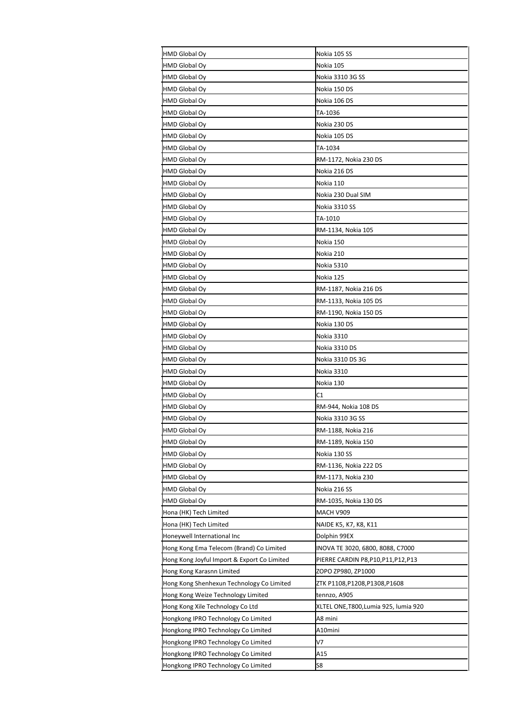| HMD Global Oy                               | Nokia 105 SS                         |
|---------------------------------------------|--------------------------------------|
| HMD Global Oy                               | Nokia 105                            |
| HMD Global Oy                               | Nokia 3310 3G SS                     |
| HMD Global Oy                               | Nokia 150 DS                         |
| HMD Global Oy                               | Nokia 106 DS                         |
| HMD Global Oy                               | TA-1036                              |
| HMD Global Oy                               | Nokia 230 DS                         |
| HMD Global Oy                               | Nokia 105 DS                         |
| HMD Global Oy                               | TA-1034                              |
| HMD Global Oy                               | RM-1172, Nokia 230 DS                |
| HMD Global Oy                               | Nokia 216 DS                         |
| HMD Global Oy                               | Nokia 110                            |
| HMD Global Oy                               | Nokia 230 Dual SIM                   |
| HMD Global Oy                               | Nokia 3310 SS                        |
| <b>HMD Global Oy</b>                        | TA-1010                              |
| HMD Global Oy                               | RM-1134, Nokia 105                   |
| HMD Global Oy                               | Nokia 150                            |
| HMD Global Oy                               | Nokia 210                            |
| HMD Global Oy                               | Nokia 5310                           |
| HMD Global Oy                               | Nokia 125                            |
| <b>HMD Global Oy</b>                        | RM-1187, Nokia 216 DS                |
| HMD Global Oy                               | RM-1133, Nokia 105 DS                |
| HMD Global Oy                               | RM-1190, Nokia 150 DS                |
| HMD Global Oy                               | Nokia 130 DS                         |
| HMD Global Oy                               | Nokia 3310                           |
| <b>HMD Global Oy</b>                        | Nokia 3310 DS                        |
| HMD Global Oy                               | Nokia 3310 DS 3G                     |
| HMD Global Oy                               | Nokia 3310                           |
| HMD Global Oy                               | Nokia 130                            |
| HMD Global Oy                               | C1                                   |
| HMD Global Oy                               | RM-944, Nokia 108 DS                 |
| HMD Global Oy                               | Nokia 3310 3G SS                     |
| <b>HMD Global Ov</b>                        | RM-1188, Nokia 216                   |
| HMD Global Oy                               | RM-1189, Nokia 150                   |
| HMD Global Oy                               | Nokia 130 SS                         |
| HMD Global Oy                               | RM-1136, Nokia 222 DS                |
| HMD Global Oy                               | RM-1173, Nokia 230                   |
| HMD Global Oy                               | Nokia 216 SS                         |
| HMD Global Oy                               | RM-1035, Nokia 130 DS                |
| Hona (HK) Tech Limited                      | MACH V909                            |
| Hona (HK) Tech Limited                      | NAIDE K5, K7, K8, K11                |
| Honeywell International Inc                 | Dolphin 99EX                         |
| Hong Kong Ema Telecom (Brand) Co Limited    | INOVA TE 3020, 6800, 8088, C7000     |
| Hong Kong Joyful Import & Export Co Limited | PIERRE CARDIN P8, P10, P11, P12, P13 |
| Hong Kong Karasnn Limited                   | ZOPO ZP980, ZP1000                   |
| Hong Kong Shenhexun Technology Co Limited   | ZTK P1108,P1208,P1308,P1608          |
| Hong Kong Weize Technology Limited          | tennzo, A905                         |
| Hong Kong Xile Technology Co Ltd            | XLTEL ONE,T800,Lumia 925, lumia 920  |
| Hongkong IPRO Technology Co Limited         | A8 mini                              |
| Hongkong IPRO Technology Co Limited         | A10mini                              |
| Hongkong IPRO Technology Co Limited         | V7                                   |
| Hongkong IPRO Technology Co Limited         | A15                                  |
| Hongkong IPRO Technology Co Limited         | S8                                   |
|                                             |                                      |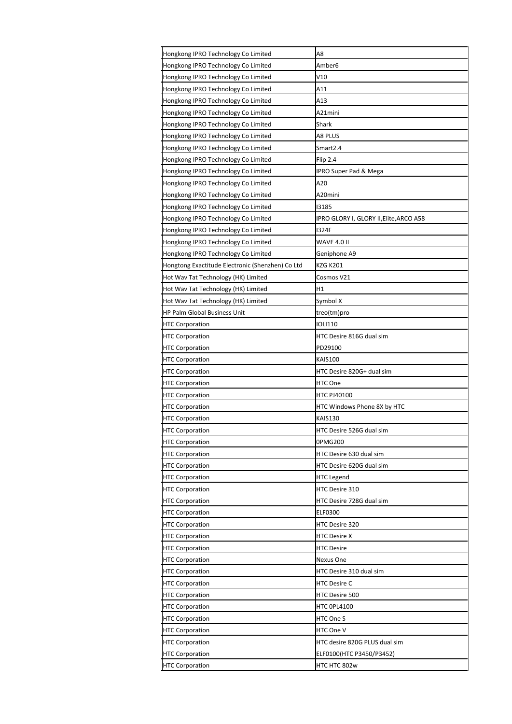| Hongkong IPRO Technology Co Limited              | A8                                      |
|--------------------------------------------------|-----------------------------------------|
| Hongkong IPRO Technology Co Limited              | Amber6                                  |
| Hongkong IPRO Technology Co Limited              | V10                                     |
| Hongkong IPRO Technology Co Limited              | A11                                     |
| Hongkong IPRO Technology Co Limited              | A13                                     |
| Hongkong IPRO Technology Co Limited              | A21mini                                 |
| Hongkong IPRO Technology Co Limited              | Shark                                   |
| Hongkong IPRO Technology Co Limited              | A8 PLUS                                 |
| Hongkong IPRO Technology Co Limited              | Smart2.4                                |
| Hongkong IPRO Technology Co Limited              | Flip 2.4                                |
| Hongkong IPRO Technology Co Limited              | IPRO Super Pad & Mega                   |
| Hongkong IPRO Technology Co Limited              | A20                                     |
| Hongkong IPRO Technology Co Limited              | A20mini                                 |
| Hongkong IPRO Technology Co Limited              | 13185                                   |
| Hongkong IPRO Technology Co Limited              | IPRO GLORY I, GLORY II, Elite, ARCO A58 |
| Hongkong IPRO Technology Co Limited              | 1324F                                   |
| Hongkong IPRO Technology Co Limited              | WAVE 4.0 II                             |
| Hongkong IPRO Technology Co Limited              | Geniphone A9                            |
| Hongtong Exactitude Electronic (Shenzhen) Co Ltd | <b>KZG K201</b>                         |
| Hot Wav Tat Technology (HK) Limited              | Cosmos V21                              |
| Hot Wav Tat Technology (HK) Limited              | H1                                      |
| Hot Wav Tat Technology (HK) Limited              | Symbol X                                |
| HP Palm Global Business Unit                     | treo(tm)pro                             |
| <b>HTC Corporation</b>                           | <b>IOLI110</b>                          |
| <b>HTC Corporation</b>                           | HTC Desire 816G dual sim                |
| <b>HTC Corporation</b>                           | PD29100                                 |
| <b>HTC Corporation</b>                           | <b>KAIS100</b>                          |
| <b>HTC Corporation</b>                           | HTC Desire 820G+ dual sim               |
| <b>HTC Corporation</b>                           | HTC One                                 |
| <b>HTC Corporation</b>                           | <b>HTC PJ40100</b>                      |
| <b>HTC Corporation</b>                           | HTC Windows Phone 8X by HTC             |
| <b>HTC Corporation</b>                           | <b>KAIS130</b>                          |
| <b>HTC Corporation</b>                           | HTC Desire 526G dual sim                |
| <b>HTC Corporation</b>                           | 0PMG200                                 |
| <b>HTC Corporation</b>                           | HTC Desire 630 dual sim                 |
| <b>HTC Corporation</b>                           | HTC Desire 620G dual sim                |
| <b>HTC Corporation</b>                           | <b>HTC Legend</b>                       |
| <b>HTC Corporation</b>                           | HTC Desire 310                          |
| <b>HTC Corporation</b>                           | HTC Desire 728G dual sim                |
| <b>HTC Corporation</b>                           | <b>ELF0300</b>                          |
| <b>HTC Corporation</b>                           | HTC Desire 320                          |
| <b>HTC Corporation</b>                           | <b>HTC Desire X</b>                     |
| <b>HTC Corporation</b>                           | <b>HTC Desire</b>                       |
| <b>HTC Corporation</b>                           | Nexus One                               |
| <b>HTC Corporation</b>                           | HTC Desire 310 dual sim                 |
| <b>HTC Corporation</b>                           | <b>HTC Desire C</b>                     |
| <b>HTC Corporation</b>                           | HTC Desire 500                          |
| <b>HTC Corporation</b>                           | HTC 0PL4100                             |
| <b>HTC Corporation</b>                           | HTC One S                               |
| <b>HTC Corporation</b>                           | HTC One V                               |
| <b>HTC Corporation</b>                           | HTC desire 820G PLUS dual sim           |
| <b>HTC Corporation</b>                           | ELF0100(HTC P3450/P3452)                |
| <b>HTC Corporation</b>                           | HTC HTC 802w                            |
|                                                  |                                         |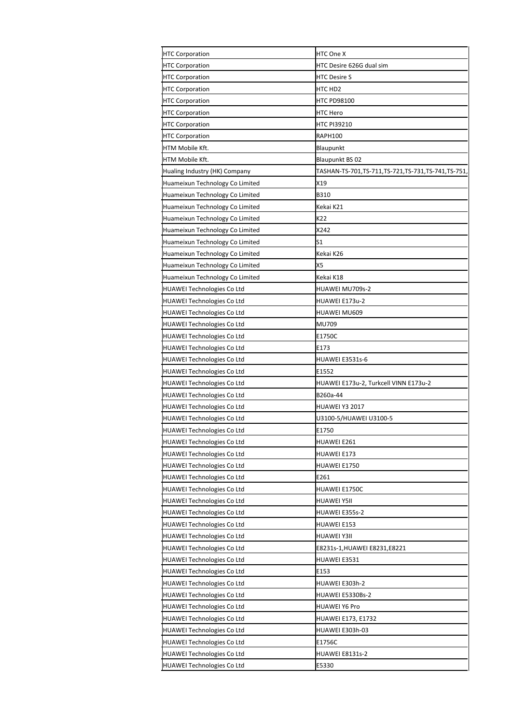| <b>HTC Corporation</b>            | HTC One X                                        |
|-----------------------------------|--------------------------------------------------|
| <b>HTC Corporation</b>            | HTC Desire 626G dual sim                         |
| <b>HTC Corporation</b>            | <b>HTC Desire S</b>                              |
| <b>HTC Corporation</b>            | HTC HD2                                          |
| <b>HTC Corporation</b>            | HTC PD98100                                      |
| <b>HTC Corporation</b>            | HTC Hero                                         |
| <b>HTC Corporation</b>            | HTC PI39210                                      |
| <b>HTC Corporation</b>            | <b>RAPH100</b>                                   |
| HTM Mobile Kft.                   | Blaupunkt                                        |
| HTM Mobile Kft.                   | <b>Blaupunkt BS 02</b>                           |
| Hualing Industry (HK) Company     | TASHAN-TS-701,TS-711,TS-721,TS-731,TS-741,TS-751 |
| Huameixun Technology Co Limited   | X19                                              |
| Huameixun Technology Co Limited   | B310                                             |
| Huameixun Technology Co Limited   | Kekai K21                                        |
| Huameixun Technology Co Limited   | K22                                              |
| Huameixun Technology Co Limited   | X242                                             |
| Huameixun Technology Co Limited   | S1                                               |
| Huameixun Technology Co Limited   | Kekai K26                                        |
| Huameixun Technology Co Limited   | X5                                               |
| Huameixun Technology Co Limited   | Kekai K18                                        |
| HUAWEI Technologies Co Ltd        | HUAWEI MU709s-2                                  |
| HUAWEI Technologies Co Ltd        | HUAWEI E173u-2                                   |
| HUAWEI Technologies Co Ltd        | <b>HUAWEI MU609</b>                              |
| HUAWEI Technologies Co Ltd        | MU709                                            |
|                                   |                                                  |
| HUAWEI Technologies Co Ltd        | E1750C<br>E173                                   |
| HUAWEI Technologies Co Ltd        |                                                  |
| HUAWEI Technologies Co Ltd        | HUAWEI E3531s-6                                  |
| HUAWEI Technologies Co Ltd        | E1552                                            |
| HUAWEI Technologies Co Ltd        | HUAWEI E173u-2, Turkcell VINN E173u-2            |
| <b>HUAWEI Technologies Co Ltd</b> | B260a-44                                         |
| <b>HUAWEI Technologies Co Ltd</b> | <b>HUAWEI Y3 2017</b>                            |
| HUAWEI Technologies Co Ltd        | U3100-5/HUAWEI U3100-5                           |
| <b>HUAWEI Technologies Co Ltd</b> | E1750                                            |
| <b>HUAWEI Technologies Co Ltd</b> | HUAWEI E261                                      |
| <b>HUAWEI Technologies Co Ltd</b> | HUAWEI E173                                      |
| HUAWEI Technologies Co Ltd        | HUAWEI E1750                                     |
| HUAWEI Technologies Co Ltd        | E261                                             |
| <b>HUAWEI Technologies Co Ltd</b> | HUAWEI E1750C                                    |
| HUAWEI Technologies Co Ltd        | HUAWEI Y5II                                      |
| HUAWEI Technologies Co Ltd        | HUAWEI E355s-2                                   |
| <b>HUAWEI Technologies Co Ltd</b> | HUAWEI E153                                      |
| HUAWEI Technologies Co Ltd        | <b>HUAWEI Y3II</b>                               |
| HUAWEI Technologies Co Ltd        | E8231s-1,HUAWEI E8231,E8221                      |
| HUAWEI Technologies Co Ltd        | HUAWEI E3531                                     |
| <b>HUAWEI Technologies Co Ltd</b> | E153                                             |
| HUAWEI Technologies Co Ltd        | HUAWEI E303h-2                                   |
|                                   | HUAWEI E5330Bs-2                                 |
| HUAWEI Technologies Co Ltd        |                                                  |
| <b>HUAWEI Technologies Co Ltd</b> | <b>HUAWEI Y6 Pro</b>                             |
| <b>HUAWEI Technologies Co Ltd</b> | HUAWEI E173, E1732                               |
| <b>HUAWEI Technologies Co Ltd</b> | HUAWEI E303h-03                                  |
| HUAWEI Technologies Co Ltd        | E1756C                                           |
| HUAWEI Technologies Co Ltd        | <b>HUAWEI E8131s-2</b>                           |
| <b>HUAWEI Technologies Co Ltd</b> | E5330                                            |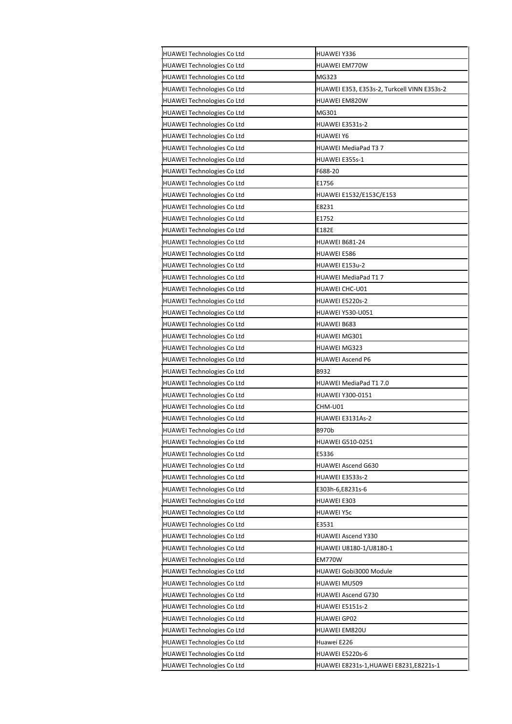| HUAWEI Technologies Co Ltd        | HUAWEI Y336                                 |
|-----------------------------------|---------------------------------------------|
| HUAWEI Technologies Co Ltd        | HUAWEI EM770W                               |
| HUAWEI Technologies Co Ltd        | MG323                                       |
| HUAWEI Technologies Co Ltd        | HUAWEI E353, E353s-2, Turkcell VINN E353s-2 |
| HUAWEI Technologies Co Ltd        | <b>HUAWEI EM820W</b>                        |
| HUAWEI Technologies Co Ltd        | MG301                                       |
| HUAWEI Technologies Co Ltd        | HUAWEI E3531s-2                             |
| HUAWEI Technologies Co Ltd        | HUAWEI Y6                                   |
| HUAWEI Technologies Co Ltd        | HUAWEI MediaPad T3 7                        |
| HUAWEI Technologies Co Ltd        | HUAWEI E355s-1                              |
| HUAWEI Technologies Co Ltd        | F688-20                                     |
| HUAWEI Technologies Co Ltd        | E1756                                       |
| HUAWEI Technologies Co Ltd        | HUAWEI E1532/E153C/E153                     |
| HUAWEI Technologies Co Ltd        | E8231                                       |
| HUAWEI Technologies Co Ltd        | E1752                                       |
| HUAWEI Technologies Co Ltd        | E182E                                       |
| <b>HUAWEI Technologies Co Ltd</b> | HUAWEI B681-24                              |
| HUAWEI Technologies Co Ltd        | HUAWEI E586                                 |
| HUAWEI Technologies Co Ltd        | HUAWEI E153u-2                              |
| HUAWEI Technologies Co Ltd        | HUAWEI MediaPad T1 7                        |
| HUAWEI Technologies Co Ltd        | HUAWEI CHC-U01                              |
| HUAWEI Technologies Co Ltd        | HUAWEI E5220s-2                             |
| HUAWEI Technologies Co Ltd        | HUAWEI Y530-U051                            |
| HUAWEI Technologies Co Ltd        | HUAWEI B683                                 |
| HUAWEI Technologies Co Ltd        | HUAWEI MG301                                |
| HUAWEI Technologies Co Ltd        | HUAWEI MG323                                |
| HUAWEI Technologies Co Ltd        | <b>HUAWEI Ascend P6</b>                     |
| HUAWEI Technologies Co Ltd        | B932                                        |
| HUAWEI Technologies Co Ltd        | HUAWEI MediaPad T1 7.0                      |
| HUAWEI Technologies Co Ltd        | HUAWEI Y300-0151                            |
| HUAWEI Technologies Co Ltd        | CHM-U01                                     |
| HUAWEI Technologies Co Ltd        | HUAWEI E3131As-2                            |
| HUAWEI Technologies Co Ltd        | <b>B970b</b>                                |
| HUAWEI Technologies Co Ltd        | HUAWEI G510-0251                            |
| HUAWEI Technologies Co Ltd        | E5336                                       |
| HUAWEI Technologies Co Ltd        | HUAWEI Ascend G630                          |
| HUAWEI Technologies Co Ltd        | HUAWEI E3533s-2                             |
| HUAWEI Technologies Co Ltd        | E303h-6,E8231s-6                            |
| HUAWEI Technologies Co Ltd        | HUAWEI E303                                 |
| HUAWEI Technologies Co Ltd        | HUAWEI Y5c                                  |
| HUAWEI Technologies Co Ltd        | E3531                                       |
| HUAWEI Technologies Co Ltd        | <b>HUAWEI Ascend Y330</b>                   |
| HUAWEI Technologies Co Ltd        | HUAWEI U8180-1/U8180-1                      |
| HUAWEI Technologies Co Ltd        | <b>EM770W</b>                               |
| HUAWEI Technologies Co Ltd        | HUAWEI Gobi3000 Module                      |
| HUAWEI Technologies Co Ltd        | HUAWEI MU509                                |
| HUAWEI Technologies Co Ltd        | HUAWEI Ascend G730                          |
| HUAWEI Technologies Co Ltd        | <b>HUAWEI E5151s-2</b>                      |
| HUAWEI Technologies Co Ltd        | HUAWEI GP02                                 |
| HUAWEI Technologies Co Ltd        | HUAWEI EM820U                               |
| HUAWEI Technologies Co Ltd        | Huawei E226                                 |
| HUAWEI Technologies Co Ltd        | HUAWEI E5220s-6                             |
| HUAWEI Technologies Co Ltd        | HUAWEI E8231s-1,HUAWEI E8231,E8221s-1       |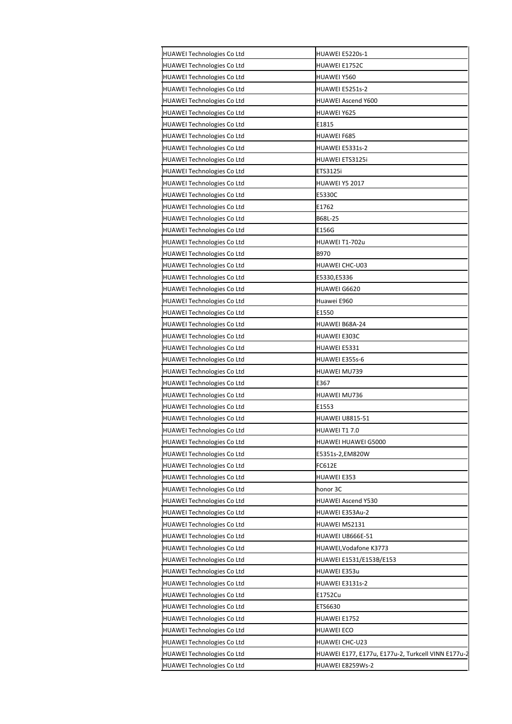| <b>HUAWEI Technologies Co Ltd</b> | HUAWEI E5220s-1                                    |
|-----------------------------------|----------------------------------------------------|
| HUAWEI Technologies Co Ltd        | HUAWEI E1752C                                      |
| HUAWEI Technologies Co Ltd        | HUAWEI Y560                                        |
| HUAWEI Technologies Co Ltd        | HUAWEI E5251s-2                                    |
| HUAWEI Technologies Co Ltd        | <b>HUAWEI Ascend Y600</b>                          |
| HUAWEI Technologies Co Ltd        | HUAWEI Y625                                        |
| HUAWEI Technologies Co Ltd        | E1815                                              |
| HUAWEI Technologies Co Ltd        | HUAWEI F685                                        |
| HUAWEI Technologies Co Ltd        | <b>HUAWEI E5331s-2</b>                             |
| HUAWEI Technologies Co Ltd        | HUAWEI ETS3125i                                    |
| HUAWEI Technologies Co Ltd        | ETS3125i                                           |
| HUAWEI Technologies Co Ltd        | <b>HUAWEI Y5 2017</b>                              |
| HUAWEI Technologies Co Ltd        | E5330C                                             |
| HUAWEI Technologies Co Ltd        | E1762                                              |
| <b>HUAWEI Technologies Co Ltd</b> | B68L-25                                            |
| HUAWEI Technologies Co Ltd        | E156G                                              |
| HUAWEI Technologies Co Ltd        | HUAWEI T1-702u                                     |
| HUAWEI Technologies Co Ltd        | B970                                               |
| HUAWEI Technologies Co Ltd        | <b>HUAWEI CHC-U03</b>                              |
| HUAWEI Technologies Co Ltd        | E5330,E5336                                        |
| HUAWEI Technologies Co Ltd        | HUAWEI G6620                                       |
| HUAWEI Technologies Co Ltd        | Huawei E960                                        |
| HUAWEI Technologies Co Ltd        | E1550                                              |
| HUAWEI Technologies Co Ltd        | HUAWEI B68A-24                                     |
| HUAWEI Technologies Co Ltd        | HUAWEI E303C                                       |
| HUAWEI Technologies Co Ltd        | HUAWEI E5331                                       |
| HUAWEI Technologies Co Ltd        | HUAWEI E355s-6                                     |
| HUAWEI Technologies Co Ltd        | HUAWEI MU739                                       |
| HUAWEI Technologies Co Ltd        | E367                                               |
| <b>HUAWEI Technologies Co Ltd</b> | HUAWEI MU736                                       |
| HUAWEI Technologies Co Ltd        | E1553                                              |
| HUAWEI Technologies Co Ltd        | <b>HUAWEI U8815-51</b>                             |
| HUAWEI Technologies Co Ltd        | HUAWEI T17.0                                       |
| HUAWEI Technologies Co Ltd        | HUAWEI HUAWEI G5000                                |
| HUAWEI Technologies Co Ltd        | E5351s-2,EM820W                                    |
| HUAWEI Technologies Co Ltd        | FC612E                                             |
| HUAWEI Technologies Co Ltd        | HUAWEI E353                                        |
| HUAWEI Technologies Co Ltd        | honor 3C                                           |
| HUAWEI Technologies Co Ltd        | HUAWEI Ascend Y530                                 |
| HUAWEI Technologies Co Ltd        | HUAWEI E353Au-2                                    |
| HUAWEI Technologies Co Ltd        | HUAWEI MS2131                                      |
| HUAWEI Technologies Co Ltd        | HUAWEI U8666E-51                                   |
| HUAWEI Technologies Co Ltd        | HUAWEI, Vodafone K3773                             |
| HUAWEI Technologies Co Ltd        | HUAWEI E1531/E153B/E153                            |
| HUAWEI Technologies Co Ltd        | HUAWEI E353u                                       |
| HUAWEI Technologies Co Ltd        | HUAWEI E3131s-2                                    |
| HUAWEI Technologies Co Ltd        | E1752Cu                                            |
| HUAWEI Technologies Co Ltd        | ETS6630                                            |
| HUAWEI Technologies Co Ltd        | HUAWEI E1752                                       |
| HUAWEI Technologies Co Ltd        | HUAWEI ECO                                         |
| HUAWEI Technologies Co Ltd        | HUAWEI CHC-U23                                     |
| HUAWEI Technologies Co Ltd        | HUAWEI E177, E177u, E177u-2, Turkcell VINN E177u-2 |
| HUAWEI Technologies Co Ltd        | HUAWEI E8259Ws-2                                   |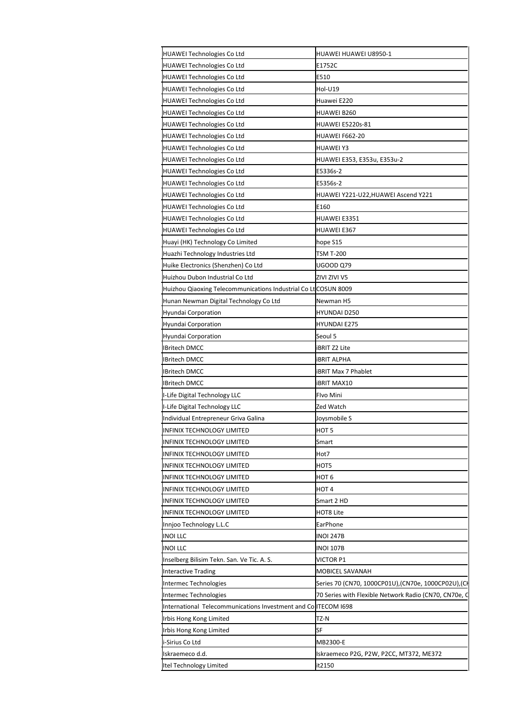| HUAWEI Technologies Co Ltd                                      | HUAWEI HUAWEI U8950-1                                 |
|-----------------------------------------------------------------|-------------------------------------------------------|
| <b>HUAWEI Technologies Co Ltd</b>                               | E1752C                                                |
| <b>HUAWEI Technologies Co Ltd</b>                               | E510                                                  |
| <b>HUAWEI Technologies Co Ltd</b>                               | Hol-U19                                               |
| <b>HUAWEI Technologies Co Ltd</b>                               | Huawei E220                                           |
| <b>HUAWEI Technologies Co Ltd</b>                               | HUAWEI B260                                           |
| <b>HUAWEI Technologies Co Ltd</b>                               | HUAWEI E5220s-81                                      |
| HUAWEI Technologies Co Ltd                                      | HUAWEI F662-20                                        |
| <b>HUAWEI Technologies Co Ltd</b>                               | <b>HUAWEI Y3</b>                                      |
| <b>HUAWEI Technologies Co Ltd</b>                               | HUAWEI E353, E353u, E353u-2                           |
| <b>HUAWEI Technologies Co Ltd</b>                               | E5336s-2                                              |
| <b>HUAWEI Technologies Co Ltd</b>                               | E5356s-2                                              |
| <b>HUAWEI Technologies Co Ltd</b>                               | HUAWEI Y221-U22,HUAWEI Ascend Y221                    |
| <b>HUAWEI Technologies Co Ltd</b>                               | E160                                                  |
| <b>HUAWEI Technologies Co Ltd</b>                               | HUAWEI E3351                                          |
| <b>HUAWEI Technologies Co Ltd</b>                               | HUAWEI E367                                           |
| Huayi (HK) Technology Co Limited                                | hope S15                                              |
| Huazhi Technology Industries Ltd                                | TSM T-200                                             |
| Huike Electronics (Shenzhen) Co Ltd                             | UGOOD Q79                                             |
| Huizhou Dubon Industrial Co Ltd                                 | ZIVI ZIVI V5                                          |
| Huizhou Qiaoxing Telecommunications Industrial Co Lt COSUN 8009 |                                                       |
| Hunan Newman Digital Technology Co Ltd                          | Newman H5                                             |
| <b>Hyundai Corporation</b>                                      | HYUNDAI D250                                          |
| <b>Hyundai Corporation</b>                                      | HYUNDAI E275                                          |
| <b>Hyundai Corporation</b>                                      | Seoul 5                                               |
| <b>IBritech DMCC</b>                                            | iBRIT Z2 Lite                                         |
| <b>IBritech DMCC</b>                                            | <b>IBRIT ALPHA</b>                                    |
| IBritech DMCC                                                   | iBRIT Max 7 Phablet                                   |
| <b>IBritech DMCC</b>                                            | <b>BRIT MAX10</b>                                     |
| I-Life Digital Technology LLC                                   | Flvo Mini                                             |
| I-Life Digital Technology LLC                                   | Zed Watch                                             |
| Individual Entrepreneur Griva Galina                            | Joysmobile S                                          |
| INFINIX TECHNOLOGY LIMITED                                      | HOT <sub>5</sub>                                      |
| INFINIX TECHNOLOGY LIMITED                                      | Smart                                                 |
| INFINIX TECHNOLOGY LIMITED                                      | Hot7                                                  |
| INFINIX TECHNOLOGY LIMITED                                      |                                                       |
| INFINIX TECHNOLOGY LIMITED                                      | нот5                                                  |
|                                                                 | нот 6                                                 |
| INFINIX TECHNOLOGY LIMITED                                      | HOT <sub>4</sub>                                      |
| INFINIX TECHNOLOGY LIMITED                                      | Smart 2 HD                                            |
| INFINIX TECHNOLOGY LIMITED                                      | HOT8 Lite                                             |
| Innjoo Technology L.L.C                                         | EarPhone                                              |
| INOI LLC                                                        | <b>INOI 247B</b>                                      |
| <b>INOI LLC</b>                                                 | INOI 107B                                             |
| Inselberg Bilisim Tekn. San. Ve Tic. A. S.                      | VICTOR P1                                             |
| <b>Interactive Trading</b>                                      | MOBICEL SAVANAH                                       |
| Intermec Technologies                                           | Series 70 (CN70, 1000CP01U),(CN70e, 1000CP02U),(CI    |
| Intermec Technologies                                           | 70 Series with Flexible Network Radio (CN70, CN70e, C |
| International Telecommunications Investment and Co ITECOM 1698  |                                                       |
| Irbis Hong Kong Limited                                         | TZ-N                                                  |
| Irbis Hong Kong Limited                                         | SF                                                    |
| i-Sirius Co Ltd                                                 | MB2300-E                                              |
| Iskraemeco d.d.                                                 | Iskraemeco P2G, P2W, P2CC, MT372, ME372               |
| Itel Technology Limited                                         | it2150                                                |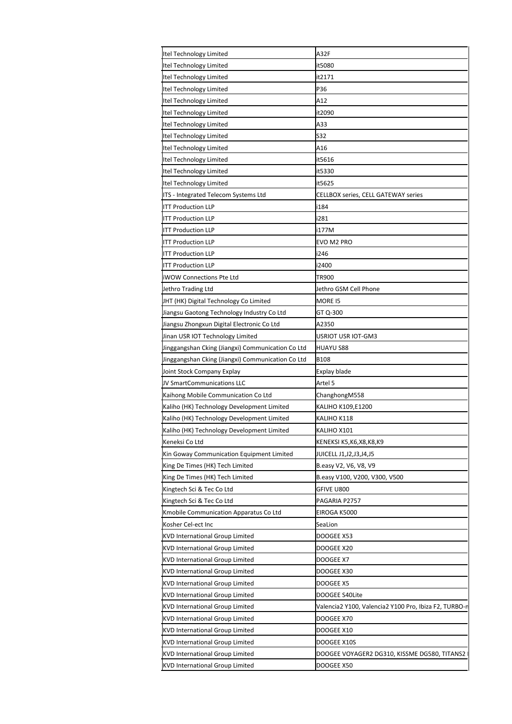| Itel Technology Limited                           | A32F                                                  |
|---------------------------------------------------|-------------------------------------------------------|
| Itel Technology Limited                           | it5080                                                |
| Itel Technology Limited                           | it2171                                                |
| Itel Technology Limited                           | P36                                                   |
| Itel Technology Limited                           | A12                                                   |
| Itel Technology Limited                           | it2090                                                |
| Itel Technology Limited                           | A33                                                   |
| Itel Technology Limited                           | S32                                                   |
| Itel Technology Limited                           | A16                                                   |
| Itel Technology Limited                           | it5616                                                |
| Itel Technology Limited                           | it5330                                                |
| Itel Technology Limited                           | it5625                                                |
| ITS - Integrated Telecom Systems Ltd              | CELLBOX series, CELL GATEWAY series                   |
| <b>ITT Production LLP</b>                         | i184                                                  |
| <b>ITT Production LLP</b>                         | i281                                                  |
| <b>ITT Production LLP</b>                         | i177M                                                 |
| <b>ITT Production LLP</b>                         | EVO M2 PRO                                            |
| <b>ITT Production LLP</b>                         | i246                                                  |
| <b>ITT Production LLP</b>                         | i2400                                                 |
| iWOW Connections Pte Ltd                          | TR900                                                 |
|                                                   |                                                       |
| Jethro Trading Ltd                                | Jethro GSM Cell Phone                                 |
| JHT (HK) Digital Technology Co Limited            | MORE 15                                               |
| Jiangsu Gaotong Technology Industry Co Ltd        | GT Q-300                                              |
| Jiangsu Zhongxun Digital Electronic Co Ltd        | A2350                                                 |
| Jinan USR IOT Technology Limited                  | USRIOT USR IOT-GM3                                    |
| Jinggangshan Cking (Jiangxi) Communication Co Ltd | <b>HUAYU S88</b><br>B108                              |
| Jinggangshan Cking (Jiangxi) Communication Co Ltd |                                                       |
| Joint Stock Company Explay                        | Explay blade                                          |
| JV SmartCommunications LLC                        | Artel 5                                               |
| Kaihong Mobile Communication Co Ltd               | ChanghongM558                                         |
| Kaliho (HK) Technology Development Limited        | KALIHO K109,E1200                                     |
| Kaliho (HK) Technology Development Limited        | KALIHO K118                                           |
| Kaliho (HK) Technology Development Limited        | KALIHO X101                                           |
| Keneksi Co Ltd                                    | KENEKSI K5,K6,X8,K8,K9                                |
| Kin Goway Communication Equipment Limited         | JUICELL J1,J2,J3,J4,J5                                |
| King De Times (HK) Tech Limited                   | B.easy V2, V6, V8, V9                                 |
| King De Times (HK) Tech Limited                   | B.easy V100, V200, V300, V500                         |
| Kingtech Sci & Tec Co Ltd                         | GFIVE U800                                            |
| Kingtech Sci & Tec Co Ltd                         | PAGARIA P2757                                         |
| Kmobile Communication Apparatus Co Ltd            | EIROGA K5000                                          |
| Kosher Cel-ect Inc                                | SeaLion                                               |
| <b>KVD International Group Limited</b>            | DOOGEE X53                                            |
| <b>KVD International Group Limited</b>            | DOOGEE X20                                            |
| KVD International Group Limited                   | DOOGEE X7                                             |
| <b>KVD International Group Limited</b>            | DOOGEE X30                                            |
| <b>KVD International Group Limited</b>            | DOOGEE X5                                             |
| <b>KVD International Group Limited</b>            | DOOGEE S40Lite                                        |
| <b>KVD International Group Limited</b>            | Valencia2 Y100, Valencia2 Y100 Pro, Ibiza F2, TURBO-r |
| <b>KVD International Group Limited</b>            | DOOGEE X70                                            |
| <b>KVD International Group Limited</b>            | DOOGEE X10                                            |
| <b>KVD International Group Limited</b>            | DOOGEE X10S                                           |
| <b>KVD International Group Limited</b>            | DOOGEE VOYAGER2 DG310, KISSME DG580, TITANS2          |
| <b>KVD International Group Limited</b>            | DOOGEE X50                                            |
|                                                   |                                                       |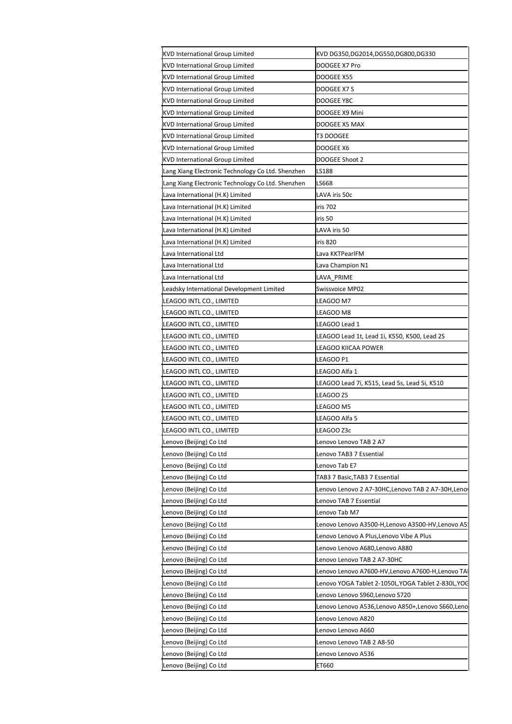| KVD International Group Limited                   | KVD DG350,DG2014,DG550,DG800,DG330                |
|---------------------------------------------------|---------------------------------------------------|
| KVD International Group Limited                   | DOOGEE X7 Pro                                     |
| <b>KVD International Group Limited</b>            | DOOGEE X55                                        |
| KVD International Group Limited                   | DOOGEE X7 S                                       |
| KVD International Group Limited                   | DOOGEE Y8C                                        |
| <b>KVD International Group Limited</b>            | DOOGEE X9 Mini                                    |
| KVD International Group Limited                   | DOOGEE X5 MAX                                     |
| KVD International Group Limited                   | T3 DOOGEE                                         |
| KVD International Group Limited                   | DOOGEE X6                                         |
| KVD International Group Limited                   | DOOGEE Shoot 2                                    |
| Lang Xiang Electronic Technology Co Ltd. Shenzhen | LS188                                             |
| Lang Xiang Electronic Technology Co Ltd. Shenzhen | LS668                                             |
| Lava International (H.K) Limited                  | LAVA iris 50c                                     |
| Lava International (H.K) Limited                  | iris 702                                          |
| Lava International (H.K) Limited                  | iris 50                                           |
| Lava International (H.K) Limited                  | LAVA iris 50                                      |
|                                                   | iris 820                                          |
| Lava International (H.K) Limited                  |                                                   |
| Lava International Ltd                            | Lava KKTPearlFM                                   |
| Lava International Ltd                            | Lava Champion N1                                  |
| Lava International Ltd                            | LAVA PRIME                                        |
| Leadsky International Development Limited         | Swissvoice MP02                                   |
| LEAGOO INTL CO., LIMITED                          | EAGOO M7                                          |
| LEAGOO INTL CO., LIMITED                          | LEAGOO M8                                         |
| LEAGOO INTL CO., LIMITED                          | EAGOO Lead 1                                      |
| LEAGOO INTL CO., LIMITED                          | EAGOO Lead 1t, Lead 1i, K550, K500, Lead 2S       |
| LEAGOO INTL CO., LIMITED                          | EAGOO KIICAA POWER                                |
| LEAGOO INTL CO., LIMITED                          | LEAGOO P1                                         |
| LEAGOO INTL CO., LIMITED                          | LEAGOO Alfa 1                                     |
| LEAGOO INTL CO., LIMITED                          | LEAGOO Lead 7i, K515, Lead 5s, Lead 5i, K510      |
| LEAGOO INTL CO., LIMITED                          | EAGOO Z5                                          |
| LEAGOO INTL CO., LIMITED                          | LEAGOO M5                                         |
| LEAGOO INTL CO., LIMITED                          | LEAGOO Alfa 5                                     |
| LEAGOO INTL CO., LIMITED                          | LEAGOO Z3c                                        |
| Lenovo (Beijing) Co Ltd                           | Lenovo Lenovo TAB 2 A7                            |
| Lenovo (Beijing) Co Ltd                           | Lenovo TAB3 7 Essential                           |
| Lenovo (Beijing) Co Ltd                           | Lenovo Tab E7                                     |
| Lenovo (Beijing) Co Ltd                           | TAB3 7 Basic, TAB3 7 Essential                    |
| Lenovo (Beijing) Co Ltd                           | Lenovo Lenovo 2 A7-30HC,Lenovo TAB 2 A7-30H,Lenov |
| Lenovo (Beijing) Co Ltd                           | Lenovo TAB 7 Essential                            |
| Lenovo (Beijing) Co Ltd                           | Lenovo Tab M7                                     |
|                                                   | Lenovo Lenovo A3500-H,Lenovo A3500-HV,Lenovo A5!  |
| Lenovo (Beijing) Co Ltd                           |                                                   |
| Lenovo (Beijing) Co Ltd                           | Lenovo Lenovo A Plus,Lenovo Vibe A Plus           |
| Lenovo (Beijing) Co Ltd                           | Lenovo Lenovo A680,Lenovo A880                    |
| Lenovo (Beijing) Co Ltd                           | Lenovo Lenovo TAB 2 A7-30HC                       |
| Lenovo (Beijing) Co Ltd                           | Lenovo Lenovo A7600-HV,Lenovo A7600-H,Lenovo TA   |
| Lenovo (Beijing) Co Ltd                           | Lenovo YOGA Tablet 2-1050L,YOGA Tablet 2-830L,YOC |
| Lenovo (Beijing) Co Ltd                           | Lenovo Lenovo S960,Lenovo S720                    |
| Lenovo (Beijing) Co Ltd                           | Lenovo Lenovo A536,Lenovo A850+,Lenovo S660,Leno  |
| Lenovo (Beijing) Co Ltd                           | Lenovo Lenovo A820                                |
| Lenovo (Beijing) Co Ltd                           | Lenovo Lenovo A660                                |
| Lenovo (Beijing) Co Ltd                           | Lenovo Lenovo TAB 2 A8-50                         |
| Lenovo (Beijing) Co Ltd                           | Lenovo Lenovo A536                                |
| Lenovo (Beijing) Co Ltd                           | ET660                                             |
|                                                   |                                                   |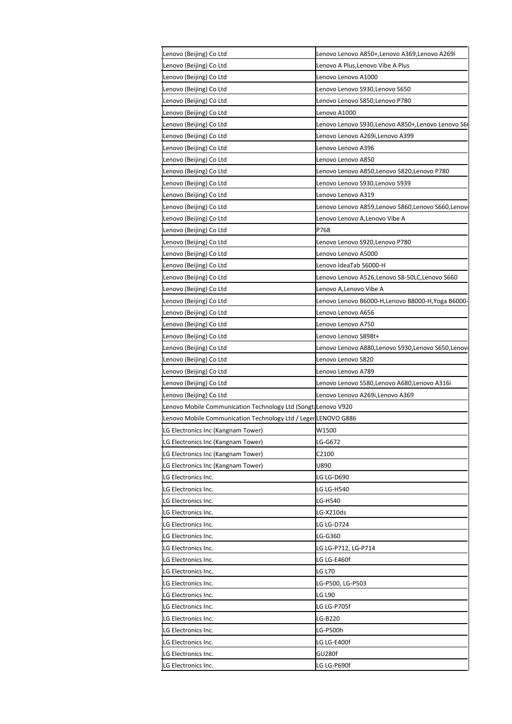| Lenovo (Beijing) Co Ltd                                        | enovo Lenovo A850+,Lenovo A369,Lenovo A269i       |
|----------------------------------------------------------------|---------------------------------------------------|
| Lenovo (Beijing) Co Ltd                                        | Lenovo A Plus,Lenovo Vibe A Plus                  |
| Lenovo (Beijing) Co Ltd                                        | Lenovo Lenovo A1000                               |
| Lenovo (Beijing) Co Ltd                                        | Lenovo Lenovo S930,Lenovo S650                    |
| Lenovo (Beijing) Co Ltd                                        | Lenovo Lenovo S850,Lenovo P780                    |
| Lenovo (Beijing) Co Ltd                                        | Lenovo A1000                                      |
| Lenovo (Beijing) Co Ltd                                        | Lenovo Lenovo S930,Lenovo A850+,Lenovo Lenovo S6( |
| Lenovo (Beijing) Co Ltd                                        | Lenovo Lenovo A269i,Lenovo A399                   |
| Lenovo (Beijing) Co Ltd                                        | Lenovo Lenovo A396                                |
| Lenovo (Beijing) Co Ltd                                        | Lenovo Lenovo A850                                |
| Lenovo (Beijing) Co Ltd                                        | Lenovo Lenovo A850,Lenovo S820,Lenovo P780        |
| Lenovo (Beijing) Co Ltd                                        | Lenovo Lenovo S930,Lenovo S939                    |
| Lenovo (Beijing) Co Ltd                                        | Lenovo Lenovo A319                                |
| Lenovo (Beijing) Co Ltd                                        | Lenovo Lenovo A859,Lenovo S860,Lenovo S660,Lenov  |
| Lenovo (Beijing) Co Ltd                                        | Lenovo Lenovo A,Lenovo Vibe A                     |
| Lenovo (Beijing) Co Ltd                                        | P768                                              |
| Lenovo (Beijing) Co Ltd                                        | Lenovo Lenovo S920,Lenovo P780                    |
| Lenovo (Beijing) Co Ltd                                        | Lenovo Lenovo A5000                               |
| Lenovo (Beijing) Co Ltd                                        | Lenovo IdeaTab S6000-H                            |
| Lenovo (Beijing) Co Ltd                                        | Lenovo Lenovo A526,Lenovo S8-50LC,Lenovo S660     |
| Lenovo (Beijing) Co Ltd                                        | Lenovo A,Lenovo Vibe A                            |
| Lenovo (Beijing) Co Ltd                                        | Lenovo Lenovo B6000-H,Lenovo B8000-H,Yoga B6000-  |
| Lenovo (Beijing) Co Ltd                                        | Lenovo Lenovo A656                                |
| Lenovo (Beijing) Co Ltd                                        | Lenovo Lenovo A750                                |
| Lenovo (Beijing) Co Ltd                                        | Lenovo Lenovo S898t+                              |
| Lenovo (Beijing) Co Ltd                                        | Lenovo Lenovo A880,Lenovo S930,Lenovo S650,Lenov  |
| Lenovo (Beijing) Co Ltd                                        | Lenovo Lenovo S820                                |
| Lenovo (Beijing) Co Ltd                                        | Lenovo Lenovo A789                                |
| Lenovo (Beijing) Co Ltd                                        | Lenovo Lenovo S580,Lenovo A680,Lenovo A316i       |
| Lenovo (Beijing) Co Ltd                                        | Lenovo Lenovo A269i,Lenovo A369                   |
| Lenovo Mobile Communication Technology Ltd (Songt: Lenovo V920 |                                                   |
| Lenovo Mobile Communication Technology Ltd / Leger LENOVO G886 |                                                   |
| LG Electronics Inc (Kangnam Tower)                             | W1500                                             |
| LG Electronics Inc (Kangnam Tower)                             | LG-G672                                           |
| LG Electronics Inc (Kangnam Tower)                             | C2100                                             |
| LG Electronics Inc (Kangnam Tower)                             | U890                                              |
| LG Electronics Inc.                                            | LG LG-D690                                        |
| LG Electronics Inc.                                            | LG LG-H540                                        |
| LG Electronics Inc.                                            | LG-H540                                           |
| LG Electronics Inc.                                            | LG-X210ds                                         |
| LG Electronics Inc.                                            | LG LG-D724                                        |
| LG Electronics Inc.                                            | LG-G360                                           |
| LG Electronics Inc.                                            | LG LG-P712, LG-P714                               |
|                                                                |                                                   |
| LG Electronics Inc.                                            | LG LG-E460f<br><b>LG L70</b>                      |
| LG Electronics Inc.                                            |                                                   |
| LG Electronics Inc.                                            | LG-P500, LG-P503                                  |
| LG Electronics Inc.                                            | <b>LG L90</b>                                     |
| LG Electronics Inc.                                            | LG LG-P705f                                       |
| LG Electronics Inc.                                            | LG-B220                                           |
| LG Electronics Inc.                                            | LG-P500h                                          |
| LG Electronics Inc.                                            | LG LG-E400f                                       |
| LG Electronics Inc.                                            | GU280f                                            |
| LG Electronics Inc.                                            | LG LG-P690f                                       |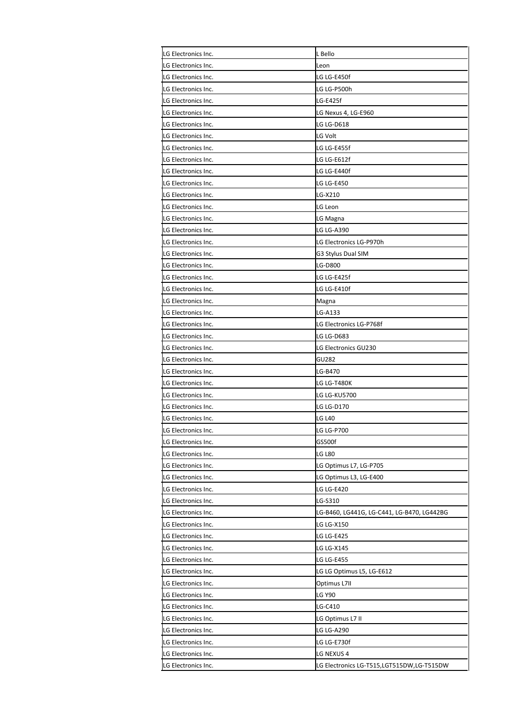| LG Electronics Inc.<br>Leon<br>LG Electronics Inc.<br>LG LG-E450f<br>LG Electronics Inc.<br>LG LG-P500h<br>LG-E425f<br>LG Electronics Inc.<br>LG Nexus 4, LG-E960<br>LG Electronics Inc.<br>LG LG-D618<br>LG Electronics Inc.<br>LG Electronics Inc.<br>LG Volt<br>LG Electronics Inc.<br>LG LG-E455f<br>LG Electronics Inc.<br>LG LG-E612f<br>LG Electronics Inc.<br>LG LG-E440f<br>LG Electronics Inc.<br><b>LG LG-E450</b><br>LG-X210<br>LG Electronics Inc.<br>LG Electronics Inc.<br>LG Leon<br>LG Electronics Inc.<br>LG Magna<br>LG LG-A390<br>LG Electronics Inc.<br>LG Electronics LG-P970h<br>LG Electronics Inc.<br>LG Electronics Inc.<br>G3 Stylus Dual SIM<br>LG-D800<br>LG Electronics Inc.<br>LG LG-E425f<br>LG Electronics Inc.<br>LG LG-E410f<br>LG Electronics Inc.<br>LG Electronics Inc.<br>Magna<br>LG-A133<br>LG Electronics Inc.<br>LG Electronics Inc.<br>LG Electronics LG-P768f<br>LG Electronics Inc.<br>LG LG-D683<br>LG Electronics Inc.<br>LG Electronics GU230<br>GU282<br>LG Electronics Inc.<br>LG-B470<br>LG Electronics Inc.<br>LG LG-T480K<br>LG Electronics Inc.<br>LG Electronics Inc.<br><b>LG LG-KU5700</b><br>LG Electronics Inc.<br>LG LG-D170<br><b>LG L40</b><br>LG Electronics Inc.<br>LG Electronics Inc.<br>LG LG-P700<br>GS500f<br>LG Electronics Inc.<br><b>LG L80</b><br>LG Electronics Inc.<br>LG Electronics Inc.<br>LG Optimus L7, LG-P705<br>LG Electronics Inc.<br>LG Optimus L3, LG-E400<br>LG LG-E420<br>LG Electronics Inc.<br>LG Electronics Inc.<br>LG-S310<br>LG Electronics Inc.<br>LG-B460, LG441G, LG-C441, LG-B470, LG442BG<br>LG Electronics Inc.<br>LG LG-X150<br>LG LG-E425<br>LG Electronics Inc.<br>LG LG-X145<br>LG Electronics Inc.<br>LG Electronics Inc.<br>LG LG-E455<br>LG LG Optimus L5, LG-E612<br>LG Electronics Inc.<br>Optimus L7II<br>LG Electronics Inc.<br>LG Y90<br>LG Electronics Inc.<br>LG-C410<br>LG Electronics Inc. | LG Electronics Inc. | L Bello |
|-----------------------------------------------------------------------------------------------------------------------------------------------------------------------------------------------------------------------------------------------------------------------------------------------------------------------------------------------------------------------------------------------------------------------------------------------------------------------------------------------------------------------------------------------------------------------------------------------------------------------------------------------------------------------------------------------------------------------------------------------------------------------------------------------------------------------------------------------------------------------------------------------------------------------------------------------------------------------------------------------------------------------------------------------------------------------------------------------------------------------------------------------------------------------------------------------------------------------------------------------------------------------------------------------------------------------------------------------------------------------------------------------------------------------------------------------------------------------------------------------------------------------------------------------------------------------------------------------------------------------------------------------------------------------------------------------------------------------------------------------------------------------------------------------------------------------------------------------------------------------------------------------------------------|---------------------|---------|
|                                                                                                                                                                                                                                                                                                                                                                                                                                                                                                                                                                                                                                                                                                                                                                                                                                                                                                                                                                                                                                                                                                                                                                                                                                                                                                                                                                                                                                                                                                                                                                                                                                                                                                                                                                                                                                                                                                                 |                     |         |
|                                                                                                                                                                                                                                                                                                                                                                                                                                                                                                                                                                                                                                                                                                                                                                                                                                                                                                                                                                                                                                                                                                                                                                                                                                                                                                                                                                                                                                                                                                                                                                                                                                                                                                                                                                                                                                                                                                                 |                     |         |
|                                                                                                                                                                                                                                                                                                                                                                                                                                                                                                                                                                                                                                                                                                                                                                                                                                                                                                                                                                                                                                                                                                                                                                                                                                                                                                                                                                                                                                                                                                                                                                                                                                                                                                                                                                                                                                                                                                                 |                     |         |
|                                                                                                                                                                                                                                                                                                                                                                                                                                                                                                                                                                                                                                                                                                                                                                                                                                                                                                                                                                                                                                                                                                                                                                                                                                                                                                                                                                                                                                                                                                                                                                                                                                                                                                                                                                                                                                                                                                                 |                     |         |
|                                                                                                                                                                                                                                                                                                                                                                                                                                                                                                                                                                                                                                                                                                                                                                                                                                                                                                                                                                                                                                                                                                                                                                                                                                                                                                                                                                                                                                                                                                                                                                                                                                                                                                                                                                                                                                                                                                                 |                     |         |
|                                                                                                                                                                                                                                                                                                                                                                                                                                                                                                                                                                                                                                                                                                                                                                                                                                                                                                                                                                                                                                                                                                                                                                                                                                                                                                                                                                                                                                                                                                                                                                                                                                                                                                                                                                                                                                                                                                                 |                     |         |
|                                                                                                                                                                                                                                                                                                                                                                                                                                                                                                                                                                                                                                                                                                                                                                                                                                                                                                                                                                                                                                                                                                                                                                                                                                                                                                                                                                                                                                                                                                                                                                                                                                                                                                                                                                                                                                                                                                                 |                     |         |
|                                                                                                                                                                                                                                                                                                                                                                                                                                                                                                                                                                                                                                                                                                                                                                                                                                                                                                                                                                                                                                                                                                                                                                                                                                                                                                                                                                                                                                                                                                                                                                                                                                                                                                                                                                                                                                                                                                                 |                     |         |
|                                                                                                                                                                                                                                                                                                                                                                                                                                                                                                                                                                                                                                                                                                                                                                                                                                                                                                                                                                                                                                                                                                                                                                                                                                                                                                                                                                                                                                                                                                                                                                                                                                                                                                                                                                                                                                                                                                                 |                     |         |
|                                                                                                                                                                                                                                                                                                                                                                                                                                                                                                                                                                                                                                                                                                                                                                                                                                                                                                                                                                                                                                                                                                                                                                                                                                                                                                                                                                                                                                                                                                                                                                                                                                                                                                                                                                                                                                                                                                                 |                     |         |
|                                                                                                                                                                                                                                                                                                                                                                                                                                                                                                                                                                                                                                                                                                                                                                                                                                                                                                                                                                                                                                                                                                                                                                                                                                                                                                                                                                                                                                                                                                                                                                                                                                                                                                                                                                                                                                                                                                                 |                     |         |
|                                                                                                                                                                                                                                                                                                                                                                                                                                                                                                                                                                                                                                                                                                                                                                                                                                                                                                                                                                                                                                                                                                                                                                                                                                                                                                                                                                                                                                                                                                                                                                                                                                                                                                                                                                                                                                                                                                                 |                     |         |
|                                                                                                                                                                                                                                                                                                                                                                                                                                                                                                                                                                                                                                                                                                                                                                                                                                                                                                                                                                                                                                                                                                                                                                                                                                                                                                                                                                                                                                                                                                                                                                                                                                                                                                                                                                                                                                                                                                                 |                     |         |
|                                                                                                                                                                                                                                                                                                                                                                                                                                                                                                                                                                                                                                                                                                                                                                                                                                                                                                                                                                                                                                                                                                                                                                                                                                                                                                                                                                                                                                                                                                                                                                                                                                                                                                                                                                                                                                                                                                                 |                     |         |
|                                                                                                                                                                                                                                                                                                                                                                                                                                                                                                                                                                                                                                                                                                                                                                                                                                                                                                                                                                                                                                                                                                                                                                                                                                                                                                                                                                                                                                                                                                                                                                                                                                                                                                                                                                                                                                                                                                                 |                     |         |
|                                                                                                                                                                                                                                                                                                                                                                                                                                                                                                                                                                                                                                                                                                                                                                                                                                                                                                                                                                                                                                                                                                                                                                                                                                                                                                                                                                                                                                                                                                                                                                                                                                                                                                                                                                                                                                                                                                                 |                     |         |
|                                                                                                                                                                                                                                                                                                                                                                                                                                                                                                                                                                                                                                                                                                                                                                                                                                                                                                                                                                                                                                                                                                                                                                                                                                                                                                                                                                                                                                                                                                                                                                                                                                                                                                                                                                                                                                                                                                                 |                     |         |
|                                                                                                                                                                                                                                                                                                                                                                                                                                                                                                                                                                                                                                                                                                                                                                                                                                                                                                                                                                                                                                                                                                                                                                                                                                                                                                                                                                                                                                                                                                                                                                                                                                                                                                                                                                                                                                                                                                                 |                     |         |
|                                                                                                                                                                                                                                                                                                                                                                                                                                                                                                                                                                                                                                                                                                                                                                                                                                                                                                                                                                                                                                                                                                                                                                                                                                                                                                                                                                                                                                                                                                                                                                                                                                                                                                                                                                                                                                                                                                                 |                     |         |
|                                                                                                                                                                                                                                                                                                                                                                                                                                                                                                                                                                                                                                                                                                                                                                                                                                                                                                                                                                                                                                                                                                                                                                                                                                                                                                                                                                                                                                                                                                                                                                                                                                                                                                                                                                                                                                                                                                                 |                     |         |
|                                                                                                                                                                                                                                                                                                                                                                                                                                                                                                                                                                                                                                                                                                                                                                                                                                                                                                                                                                                                                                                                                                                                                                                                                                                                                                                                                                                                                                                                                                                                                                                                                                                                                                                                                                                                                                                                                                                 |                     |         |
|                                                                                                                                                                                                                                                                                                                                                                                                                                                                                                                                                                                                                                                                                                                                                                                                                                                                                                                                                                                                                                                                                                                                                                                                                                                                                                                                                                                                                                                                                                                                                                                                                                                                                                                                                                                                                                                                                                                 |                     |         |
|                                                                                                                                                                                                                                                                                                                                                                                                                                                                                                                                                                                                                                                                                                                                                                                                                                                                                                                                                                                                                                                                                                                                                                                                                                                                                                                                                                                                                                                                                                                                                                                                                                                                                                                                                                                                                                                                                                                 |                     |         |
|                                                                                                                                                                                                                                                                                                                                                                                                                                                                                                                                                                                                                                                                                                                                                                                                                                                                                                                                                                                                                                                                                                                                                                                                                                                                                                                                                                                                                                                                                                                                                                                                                                                                                                                                                                                                                                                                                                                 |                     |         |
|                                                                                                                                                                                                                                                                                                                                                                                                                                                                                                                                                                                                                                                                                                                                                                                                                                                                                                                                                                                                                                                                                                                                                                                                                                                                                                                                                                                                                                                                                                                                                                                                                                                                                                                                                                                                                                                                                                                 |                     |         |
|                                                                                                                                                                                                                                                                                                                                                                                                                                                                                                                                                                                                                                                                                                                                                                                                                                                                                                                                                                                                                                                                                                                                                                                                                                                                                                                                                                                                                                                                                                                                                                                                                                                                                                                                                                                                                                                                                                                 |                     |         |
|                                                                                                                                                                                                                                                                                                                                                                                                                                                                                                                                                                                                                                                                                                                                                                                                                                                                                                                                                                                                                                                                                                                                                                                                                                                                                                                                                                                                                                                                                                                                                                                                                                                                                                                                                                                                                                                                                                                 |                     |         |
|                                                                                                                                                                                                                                                                                                                                                                                                                                                                                                                                                                                                                                                                                                                                                                                                                                                                                                                                                                                                                                                                                                                                                                                                                                                                                                                                                                                                                                                                                                                                                                                                                                                                                                                                                                                                                                                                                                                 |                     |         |
|                                                                                                                                                                                                                                                                                                                                                                                                                                                                                                                                                                                                                                                                                                                                                                                                                                                                                                                                                                                                                                                                                                                                                                                                                                                                                                                                                                                                                                                                                                                                                                                                                                                                                                                                                                                                                                                                                                                 |                     |         |
|                                                                                                                                                                                                                                                                                                                                                                                                                                                                                                                                                                                                                                                                                                                                                                                                                                                                                                                                                                                                                                                                                                                                                                                                                                                                                                                                                                                                                                                                                                                                                                                                                                                                                                                                                                                                                                                                                                                 |                     |         |
|                                                                                                                                                                                                                                                                                                                                                                                                                                                                                                                                                                                                                                                                                                                                                                                                                                                                                                                                                                                                                                                                                                                                                                                                                                                                                                                                                                                                                                                                                                                                                                                                                                                                                                                                                                                                                                                                                                                 |                     |         |
|                                                                                                                                                                                                                                                                                                                                                                                                                                                                                                                                                                                                                                                                                                                                                                                                                                                                                                                                                                                                                                                                                                                                                                                                                                                                                                                                                                                                                                                                                                                                                                                                                                                                                                                                                                                                                                                                                                                 |                     |         |
|                                                                                                                                                                                                                                                                                                                                                                                                                                                                                                                                                                                                                                                                                                                                                                                                                                                                                                                                                                                                                                                                                                                                                                                                                                                                                                                                                                                                                                                                                                                                                                                                                                                                                                                                                                                                                                                                                                                 |                     |         |
|                                                                                                                                                                                                                                                                                                                                                                                                                                                                                                                                                                                                                                                                                                                                                                                                                                                                                                                                                                                                                                                                                                                                                                                                                                                                                                                                                                                                                                                                                                                                                                                                                                                                                                                                                                                                                                                                                                                 |                     |         |
|                                                                                                                                                                                                                                                                                                                                                                                                                                                                                                                                                                                                                                                                                                                                                                                                                                                                                                                                                                                                                                                                                                                                                                                                                                                                                                                                                                                                                                                                                                                                                                                                                                                                                                                                                                                                                                                                                                                 |                     |         |
|                                                                                                                                                                                                                                                                                                                                                                                                                                                                                                                                                                                                                                                                                                                                                                                                                                                                                                                                                                                                                                                                                                                                                                                                                                                                                                                                                                                                                                                                                                                                                                                                                                                                                                                                                                                                                                                                                                                 |                     |         |
|                                                                                                                                                                                                                                                                                                                                                                                                                                                                                                                                                                                                                                                                                                                                                                                                                                                                                                                                                                                                                                                                                                                                                                                                                                                                                                                                                                                                                                                                                                                                                                                                                                                                                                                                                                                                                                                                                                                 |                     |         |
|                                                                                                                                                                                                                                                                                                                                                                                                                                                                                                                                                                                                                                                                                                                                                                                                                                                                                                                                                                                                                                                                                                                                                                                                                                                                                                                                                                                                                                                                                                                                                                                                                                                                                                                                                                                                                                                                                                                 |                     |         |
|                                                                                                                                                                                                                                                                                                                                                                                                                                                                                                                                                                                                                                                                                                                                                                                                                                                                                                                                                                                                                                                                                                                                                                                                                                                                                                                                                                                                                                                                                                                                                                                                                                                                                                                                                                                                                                                                                                                 |                     |         |
|                                                                                                                                                                                                                                                                                                                                                                                                                                                                                                                                                                                                                                                                                                                                                                                                                                                                                                                                                                                                                                                                                                                                                                                                                                                                                                                                                                                                                                                                                                                                                                                                                                                                                                                                                                                                                                                                                                                 |                     |         |
|                                                                                                                                                                                                                                                                                                                                                                                                                                                                                                                                                                                                                                                                                                                                                                                                                                                                                                                                                                                                                                                                                                                                                                                                                                                                                                                                                                                                                                                                                                                                                                                                                                                                                                                                                                                                                                                                                                                 |                     |         |
|                                                                                                                                                                                                                                                                                                                                                                                                                                                                                                                                                                                                                                                                                                                                                                                                                                                                                                                                                                                                                                                                                                                                                                                                                                                                                                                                                                                                                                                                                                                                                                                                                                                                                                                                                                                                                                                                                                                 |                     |         |
|                                                                                                                                                                                                                                                                                                                                                                                                                                                                                                                                                                                                                                                                                                                                                                                                                                                                                                                                                                                                                                                                                                                                                                                                                                                                                                                                                                                                                                                                                                                                                                                                                                                                                                                                                                                                                                                                                                                 |                     |         |
|                                                                                                                                                                                                                                                                                                                                                                                                                                                                                                                                                                                                                                                                                                                                                                                                                                                                                                                                                                                                                                                                                                                                                                                                                                                                                                                                                                                                                                                                                                                                                                                                                                                                                                                                                                                                                                                                                                                 |                     |         |
|                                                                                                                                                                                                                                                                                                                                                                                                                                                                                                                                                                                                                                                                                                                                                                                                                                                                                                                                                                                                                                                                                                                                                                                                                                                                                                                                                                                                                                                                                                                                                                                                                                                                                                                                                                                                                                                                                                                 |                     |         |
|                                                                                                                                                                                                                                                                                                                                                                                                                                                                                                                                                                                                                                                                                                                                                                                                                                                                                                                                                                                                                                                                                                                                                                                                                                                                                                                                                                                                                                                                                                                                                                                                                                                                                                                                                                                                                                                                                                                 |                     |         |
|                                                                                                                                                                                                                                                                                                                                                                                                                                                                                                                                                                                                                                                                                                                                                                                                                                                                                                                                                                                                                                                                                                                                                                                                                                                                                                                                                                                                                                                                                                                                                                                                                                                                                                                                                                                                                                                                                                                 |                     |         |
| LG Electronics Inc.<br>LG Optimus L7 II                                                                                                                                                                                                                                                                                                                                                                                                                                                                                                                                                                                                                                                                                                                                                                                                                                                                                                                                                                                                                                                                                                                                                                                                                                                                                                                                                                                                                                                                                                                                                                                                                                                                                                                                                                                                                                                                         |                     |         |
| LG LG-A290<br>LG Electronics Inc.                                                                                                                                                                                                                                                                                                                                                                                                                                                                                                                                                                                                                                                                                                                                                                                                                                                                                                                                                                                                                                                                                                                                                                                                                                                                                                                                                                                                                                                                                                                                                                                                                                                                                                                                                                                                                                                                               |                     |         |
| LG LG-E730f<br>LG Electronics Inc.                                                                                                                                                                                                                                                                                                                                                                                                                                                                                                                                                                                                                                                                                                                                                                                                                                                                                                                                                                                                                                                                                                                                                                                                                                                                                                                                                                                                                                                                                                                                                                                                                                                                                                                                                                                                                                                                              |                     |         |
| LG NEXUS 4<br>LG Electronics Inc.                                                                                                                                                                                                                                                                                                                                                                                                                                                                                                                                                                                                                                                                                                                                                                                                                                                                                                                                                                                                                                                                                                                                                                                                                                                                                                                                                                                                                                                                                                                                                                                                                                                                                                                                                                                                                                                                               |                     |         |
| LG Electronics Inc.<br>LG Electronics LG-T515,LGT515DW,LG-T515DW                                                                                                                                                                                                                                                                                                                                                                                                                                                                                                                                                                                                                                                                                                                                                                                                                                                                                                                                                                                                                                                                                                                                                                                                                                                                                                                                                                                                                                                                                                                                                                                                                                                                                                                                                                                                                                                |                     |         |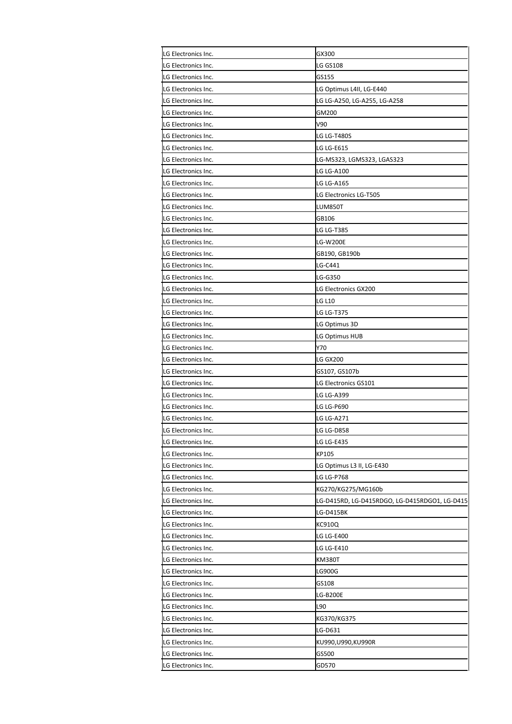| LG Electronics Inc.                        | GX300                                         |
|--------------------------------------------|-----------------------------------------------|
| LG Electronics Inc.                        | LG GS108                                      |
| LG Electronics Inc.                        | GS155                                         |
| LG Electronics Inc.                        | LG Optimus L4II, LG-E440                      |
| LG Electronics Inc.                        | LG LG-A250, LG-A255, LG-A258                  |
| LG Electronics Inc.                        | GM200                                         |
| LG Electronics Inc.                        | V90                                           |
| LG Electronics Inc.                        | LG LG-T480S                                   |
| LG Electronics Inc.                        | LG LG-E615                                    |
| LG Electronics Inc.                        | LG-MS323, LGMS323, LGAS323                    |
| LG Electronics Inc.                        | <b>LG LG-A100</b>                             |
| LG Electronics Inc.                        | LG LG-A165                                    |
| LG Electronics Inc.                        | LG Electronics LG-T505                        |
| LG Electronics Inc.                        | LUM850T                                       |
| LG Electronics Inc.                        | GB106                                         |
| LG Electronics Inc.                        | LG LG-T385                                    |
| LG Electronics Inc.                        | LG-W200E                                      |
| LG Electronics Inc.                        | GB190, GB190b                                 |
| LG Electronics Inc.                        | LG-C441                                       |
| LG Electronics Inc.                        | LG-G350                                       |
| LG Electronics Inc.                        | LG Electronics GX200                          |
| LG Electronics Inc.                        | <b>LG L10</b>                                 |
| LG Electronics Inc.                        | LG LG-T375                                    |
| LG Electronics Inc.                        | LG Optimus 3D                                 |
| LG Electronics Inc.                        | LG Optimus HUB                                |
| LG Electronics Inc.                        | Y70                                           |
| LG Electronics Inc.                        | LG GX200                                      |
| LG Electronics Inc.                        | GS107, GS107b                                 |
| LG Electronics Inc.                        | LG Electronics GS101                          |
| LG Electronics Inc.                        | LG LG-A399                                    |
| LG Electronics Inc.                        | LG LG-P690                                    |
|                                            |                                               |
| LG Electronics Inc.<br>LG Electronics Inc. | LG LG-A271<br>LG LG-D858                      |
|                                            |                                               |
| LG Electronics Inc.                        | LG LG-E435                                    |
| LG Electronics Inc.                        | KP105                                         |
| LG Electronics Inc.                        | LG Optimus L3 II, LG-E430                     |
| LG Electronics Inc.                        | LG LG-P768                                    |
| LG Electronics Inc.                        | KG270/KG275/MG160b                            |
| LG Electronics Inc.                        | LG-D415RD, LG-D415RDGO, LG-D415RDGO1, LG-D415 |
| LG Electronics Inc.                        | LG-D415BK                                     |
| LG Electronics Inc.                        | KC910Q                                        |
| LG Electronics Inc.                        | <b>LG LG-E400</b>                             |
| LG Electronics Inc.                        | LG LG-E410                                    |
| LG Electronics Inc.                        | KM380T                                        |
| LG Electronics Inc.                        | LG900G                                        |
| LG Electronics Inc.                        | GS108                                         |
| LG Electronics Inc.                        | LG-B200E                                      |
| LG Electronics Inc.                        | L90                                           |
| LG Electronics Inc.                        | KG370/KG375                                   |
| LG Electronics Inc.                        | LG-D631                                       |
| LG Electronics Inc.                        | KU990,U990,KU990R                             |
| LG Electronics Inc.                        | GS500                                         |
| LG Electronics Inc.                        | GD570                                         |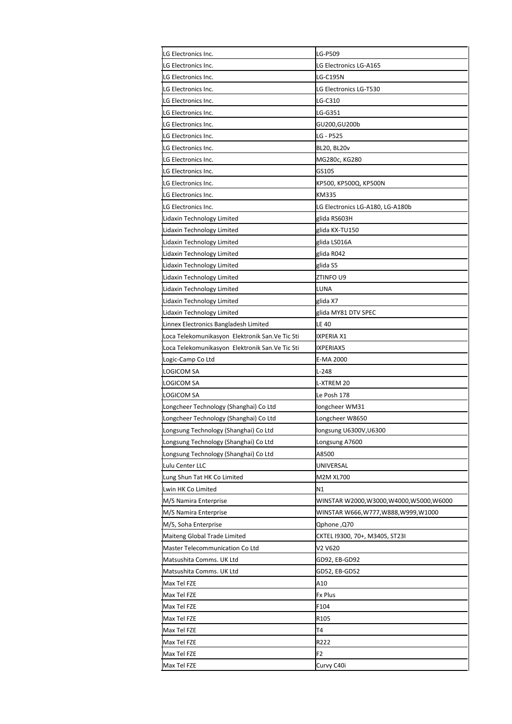| LG Electronics Inc.                              | LG-P509                               |
|--------------------------------------------------|---------------------------------------|
| LG Electronics Inc.                              | LG Electronics LG-A165                |
| LG Electronics Inc.                              | LG-C195N                              |
| LG Electronics Inc.                              | LG Electronics LG-T530                |
| LG Electronics Inc.                              | LG-C310                               |
| LG Electronics Inc.                              | LG-G351                               |
| LG Electronics Inc.                              | GU200,GU200b                          |
| LG Electronics Inc.                              | LG - P525                             |
| LG Electronics Inc.                              | BL20, BL20v                           |
| LG Electronics Inc.                              | MG280c, KG280                         |
| LG Electronics Inc.                              | GS105                                 |
| LG Electronics Inc.                              | KP500, KP500Q, KP500N                 |
| LG Electronics Inc.                              | KM335                                 |
| LG Electronics Inc.                              | LG Electronics LG-A180, LG-A180b      |
| Lidaxin Technology Limited                       | glida RS603H                          |
| Lidaxin Technology Limited                       | glida KX-TU150                        |
| Lidaxin Technology Limited                       | glida LS016A                          |
| Lidaxin Technology Limited                       | glida R042                            |
| Lidaxin Technology Limited                       | glida S5                              |
| Lidaxin Technology Limited                       | ZTINFO U9                             |
| Lidaxin Technology Limited                       | LUNA                                  |
| Lidaxin Technology Limited                       | glida X7                              |
| Lidaxin Technology Limited                       | glida MY81 DTV SPEC                   |
| Linnex Electronics Bangladesh Limited            | <b>LE 40</b>                          |
| Loca Telekomunikasyon Elektronik San.Ve Tic Sti  | IXPERIA X1                            |
| Loca Telekomunikasyon Elektronik San. Ve Tic Sti | IXPERIAX5                             |
| Logic-Camp Co Ltd                                | E-MA 2000                             |
| LOGICOM SA                                       | L-248                                 |
| LOGICOM SA                                       | L-XTREM 20                            |
| LOGICOM SA                                       | Le Posh 178                           |
| Longcheer Technology (Shanghai) Co Ltd           | longcheer WM31                        |
| Longcheer Technology (Shanghai) Co Ltd           | Longcheer W8650                       |
| Longsung Technology (Shanghai) Co Ltd            | longsung U6300V, U6300                |
| Longsung Technology (Shanghai) Co Ltd            | Longsung A7600                        |
| Longsung Technology (Shanghai) Co Ltd            | A8500                                 |
| Lulu Center LLC                                  | UNIVERSAL                             |
| Lung Shun Tat HK Co Limited                      | M2M XL700                             |
| Lwin HK Co Limited                               | N1                                    |
| M/S Namira Enterprise                            | WINSTAR W2000,W3000,W4000,W5000,W6000 |
| M/S Namira Enterprise                            | WINSTAR W666,W777,W888,W999,W1000     |
| M/S, Soha Enterprise                             | Qphone ,Q70                           |
| Maiteng Global Trade Limited                     | CKTEL 19300, 70+, M340S, ST23I        |
| Master Telecommunication Co Ltd                  | V2 V620                               |
| Matsushita Comms. UK Ltd                         | GD92, EB-GD92                         |
| Matsushita Comms. UK Ltd                         | GD52, EB-GD52                         |
| Max Tel FZE                                      | A10                                   |
| Max Tel FZE                                      | Fx Plus                               |
| Max Tel FZE                                      | F104                                  |
| Max Tel FZE                                      | R105                                  |
| Max Tel FZE                                      | Τ4                                    |
| Max Tel FZE                                      | R222                                  |
| Max Tel FZE                                      | F <sub>2</sub>                        |
| Max Tel FZE                                      | Curvy C40i                            |
|                                                  |                                       |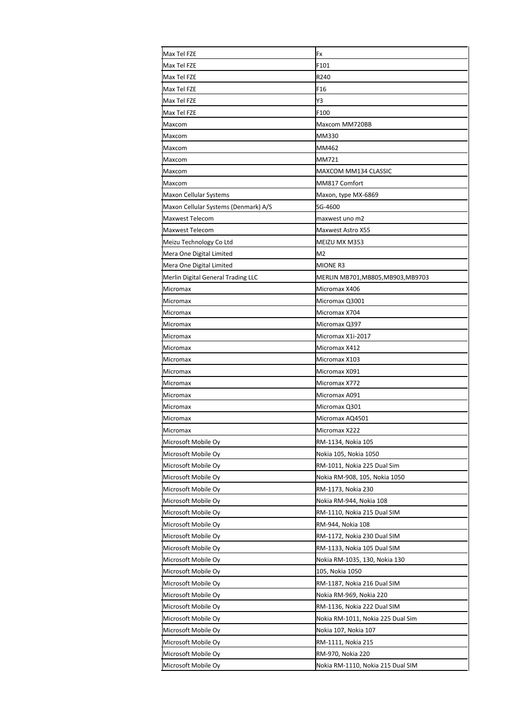| Max Tel FZE                          | Fx                                |
|--------------------------------------|-----------------------------------|
| Max Tel FZE                          | F101                              |
| Max Tel FZE                          | R240                              |
| Max Tel FZE                          | F <sub>16</sub>                   |
| Max Tel FZE                          | Y3                                |
| Max Tel FZE                          | F100                              |
| Maxcom                               | Maxcom MM720BB                    |
| Maxcom                               | MM330                             |
| Maxcom                               | MM462                             |
| Maxcom                               | MM721                             |
| Maxcom                               | MAXCOM MM134 CLASSIC              |
| Maxcom                               | MM817 Comfort                     |
| Maxon Cellular Systems               | Maxon, type MX-6869               |
| Maxon Cellular Systems (Denmark) A/S | SG-4600                           |
| <b>Maxwest Telecom</b>               | maxwest uno m2                    |
| <b>Maxwest Telecom</b>               | Maxwest Astro X55                 |
| Meizu Technology Co Ltd              | MEIZU MX M353                     |
| Mera One Digital Limited             | M <sub>2</sub>                    |
| Mera One Digital Limited             | <b>MIONE R3</b>                   |
| Merlin Digital General Trading LLC   | MERLIN MB701,MB805,MB903,MB9703   |
| Micromax                             | Micromax X406                     |
| Micromax                             | Micromax Q3001                    |
| Micromax                             | Micromax X704                     |
| Micromax                             | Micromax Q397                     |
| Micromax                             | Micromax X1i-2017                 |
| Micromax                             | Micromax X412                     |
| Micromax                             | Micromax X103                     |
| Micromax                             | Micromax X091                     |
| Micromax                             | Micromax X772                     |
| Micromax                             | Micromax A091                     |
| Micromax                             | Micromax Q301                     |
| Micromax                             | Micromax AQ4501                   |
| <b>Micromax</b>                      | Micromax X222                     |
| Microsoft Mobile Oy                  | RM-1134, Nokia 105                |
| Microsoft Mobile Oy                  | Nokia 105, Nokia 1050             |
| Microsoft Mobile Oy                  | RM-1011, Nokia 225 Dual Sim       |
| Microsoft Mobile Oy                  | Nokia RM-908, 105, Nokia 1050     |
| Microsoft Mobile Oy                  | RM-1173, Nokia 230                |
| Microsoft Mobile Oy                  | Nokia RM-944, Nokia 108           |
| Microsoft Mobile Oy                  | RM-1110, Nokia 215 Dual SIM       |
| Microsoft Mobile Oy                  | RM-944, Nokia 108                 |
| Microsoft Mobile Oy                  | RM-1172, Nokia 230 Dual SIM       |
| Microsoft Mobile Oy                  | RM-1133, Nokia 105 Dual SIM       |
| Microsoft Mobile Oy                  | Nokia RM-1035, 130, Nokia 130     |
| Microsoft Mobile Oy                  | 105, Nokia 1050                   |
| Microsoft Mobile Oy                  | RM-1187, Nokia 216 Dual SIM       |
| Microsoft Mobile Oy                  | Nokia RM-969, Nokia 220           |
| Microsoft Mobile Oy                  | RM-1136, Nokia 222 Dual SIM       |
| Microsoft Mobile Oy                  | Nokia RM-1011, Nokia 225 Dual Sim |
| Microsoft Mobile Oy                  | Nokia 107, Nokia 107              |
| Microsoft Mobile Oy                  | RM-1111, Nokia 215                |
| Microsoft Mobile Oy                  | RM-970, Nokia 220                 |
|                                      |                                   |
| Microsoft Mobile Oy                  | Nokia RM-1110, Nokia 215 Dual SIM |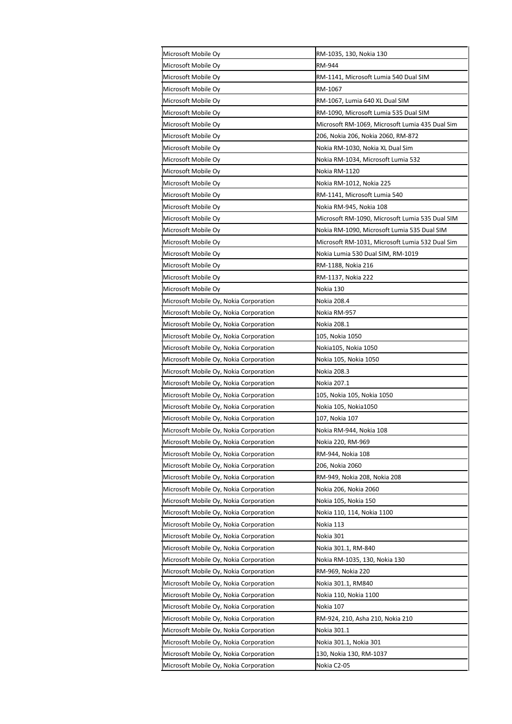| Microsoft Mobile Oy                    | RM-1035, 130, Nokia 130                         |
|----------------------------------------|-------------------------------------------------|
| Microsoft Mobile Oy                    | RM-944                                          |
| Microsoft Mobile Oy                    | RM-1141, Microsoft Lumia 540 Dual SIM           |
| Microsoft Mobile Oy                    | RM-1067                                         |
| Microsoft Mobile Oy                    | RM-1067, Lumia 640 XL Dual SIM                  |
| Microsoft Mobile Oy                    | RM-1090, Microsoft Lumia 535 Dual SIM           |
| Microsoft Mobile Oy                    | Microsoft RM-1069, Microsoft Lumia 435 Dual Sim |
| Microsoft Mobile Oy                    | 206, Nokia 206, Nokia 2060, RM-872              |
| Microsoft Mobile Oy                    | Nokia RM-1030, Nokia XL Dual Sim                |
| Microsoft Mobile Oy                    | Nokia RM-1034, Microsoft Lumia 532              |
| Microsoft Mobile Oy                    | Nokia RM-1120                                   |
| Microsoft Mobile Oy                    | Nokia RM-1012, Nokia 225                        |
| Microsoft Mobile Oy                    | RM-1141, Microsoft Lumia 540                    |
| Microsoft Mobile Oy                    | Nokia RM-945, Nokia 108                         |
| Microsoft Mobile Oy                    | Microsoft RM-1090, Microsoft Lumia 535 Dual SIM |
| Microsoft Mobile Oy                    | Nokia RM-1090, Microsoft Lumia 535 Dual SIM     |
| Microsoft Mobile Oy                    | Microsoft RM-1031, Microsoft Lumia 532 Dual Sim |
| Microsoft Mobile Oy                    | Nokia Lumia 530 Dual SIM, RM-1019               |
| Microsoft Mobile Oy                    | RM-1188, Nokia 216                              |
| Microsoft Mobile Oy                    | RM-1137, Nokia 222                              |
| Microsoft Mobile Oy                    | Nokia 130                                       |
| Microsoft Mobile Oy, Nokia Corporation | Nokia 208.4                                     |
| Microsoft Mobile Oy, Nokia Corporation | Nokia RM-957                                    |
| Microsoft Mobile Oy, Nokia Corporation | Nokia 208.1                                     |
| Microsoft Mobile Oy, Nokia Corporation | 105, Nokia 1050                                 |
| Microsoft Mobile Oy, Nokia Corporation | Nokia105, Nokia 1050                            |
| Microsoft Mobile Oy, Nokia Corporation | Nokia 105, Nokia 1050                           |
| Microsoft Mobile Oy, Nokia Corporation | Nokia 208.3                                     |
| Microsoft Mobile Oy, Nokia Corporation | Nokia 207.1                                     |
| Microsoft Mobile Oy, Nokia Corporation | 105, Nokia 105, Nokia 1050                      |
| Microsoft Mobile Oy, Nokia Corporation | Nokia 105, Nokia1050                            |
| Microsoft Mobile Oy, Nokia Corporation | 107, Nokia 107                                  |
| Microsoft Mobile Oy, Nokia Corporation | Nokia RM-944, Nokia 108                         |
| Microsoft Mobile Oy, Nokia Corporation | Nokia 220, RM-969                               |
| Microsoft Mobile Oy, Nokia Corporation | RM-944, Nokia 108                               |
| Microsoft Mobile Oy, Nokia Corporation | 206, Nokia 2060                                 |
| Microsoft Mobile Oy, Nokia Corporation | RM-949, Nokia 208, Nokia 208                    |
| Microsoft Mobile Oy, Nokia Corporation | Nokia 206, Nokia 2060                           |
| Microsoft Mobile Oy, Nokia Corporation | Nokia 105, Nokia 150                            |
| Microsoft Mobile Oy, Nokia Corporation | Nokia 110, 114, Nokia 1100                      |
| Microsoft Mobile Oy, Nokia Corporation | Nokia 113                                       |
| Microsoft Mobile Oy, Nokia Corporation | Nokia 301                                       |
| Microsoft Mobile Oy, Nokia Corporation | Nokia 301.1, RM-840                             |
| Microsoft Mobile Oy, Nokia Corporation | Nokia RM-1035, 130, Nokia 130                   |
| Microsoft Mobile Oy, Nokia Corporation | RM-969, Nokia 220                               |
| Microsoft Mobile Oy, Nokia Corporation | Nokia 301.1, RM840                              |
| Microsoft Mobile Oy, Nokia Corporation | Nokia 110, Nokia 1100                           |
| Microsoft Mobile Oy, Nokia Corporation | Nokia 107                                       |
| Microsoft Mobile Oy, Nokia Corporation | RM-924, 210, Asha 210, Nokia 210                |
| Microsoft Mobile Oy, Nokia Corporation | Nokia 301.1                                     |
| Microsoft Mobile Oy, Nokia Corporation | Nokia 301.1, Nokia 301                          |
| Microsoft Mobile Oy, Nokia Corporation | 130, Nokia 130, RM-1037                         |
| Microsoft Mobile Oy, Nokia Corporation | Nokia C2-05                                     |
|                                        |                                                 |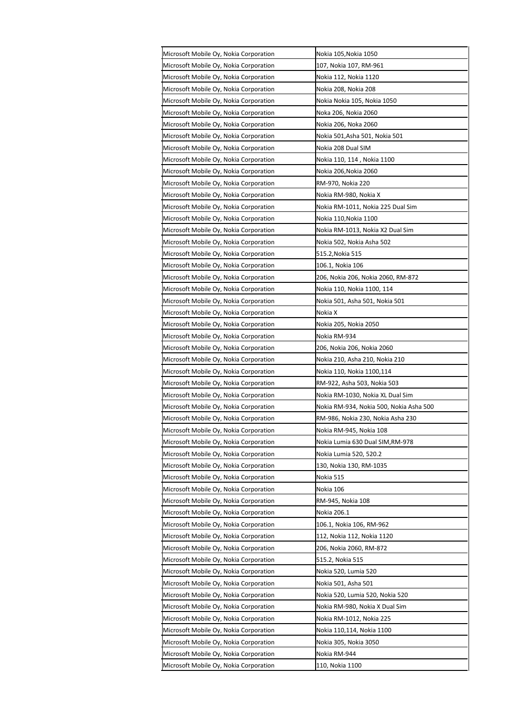| Microsoft Mobile Oy, Nokia Corporation | Nokia 105,Nokia 1050                    |
|----------------------------------------|-----------------------------------------|
| Microsoft Mobile Oy, Nokia Corporation | 107, Nokia 107, RM-961                  |
| Microsoft Mobile Oy, Nokia Corporation | Nokia 112, Nokia 1120                   |
| Microsoft Mobile Oy, Nokia Corporation | Nokia 208, Nokia 208                    |
| Microsoft Mobile Oy, Nokia Corporation | Nokia Nokia 105, Nokia 1050             |
| Microsoft Mobile Oy, Nokia Corporation | Noka 206, Nokia 2060                    |
| Microsoft Mobile Oy, Nokia Corporation | Nokia 206, Noka 2060                    |
| Microsoft Mobile Oy, Nokia Corporation | Nokia 501,Asha 501, Nokia 501           |
| Microsoft Mobile Oy, Nokia Corporation | Nokia 208 Dual SIM                      |
| Microsoft Mobile Oy, Nokia Corporation | Nokia 110, 114 , Nokia 1100             |
| Microsoft Mobile Oy, Nokia Corporation | Nokia 206,Nokia 2060                    |
| Microsoft Mobile Oy, Nokia Corporation | RM-970, Nokia 220                       |
| Microsoft Mobile Oy, Nokia Corporation | Nokia RM-980, Nokia X                   |
| Microsoft Mobile Oy, Nokia Corporation | Nokia RM-1011, Nokia 225 Dual Sim       |
| Microsoft Mobile Oy, Nokia Corporation | Nokia 110,Nokia 1100                    |
| Microsoft Mobile Oy, Nokia Corporation | Nokia RM-1013, Nokia X2 Dual Sim        |
| Microsoft Mobile Oy, Nokia Corporation | Nokia 502, Nokia Asha 502               |
| Microsoft Mobile Oy, Nokia Corporation | 515.2,Nokia 515                         |
| Microsoft Mobile Oy, Nokia Corporation | 106.1, Nokia 106                        |
| Microsoft Mobile Oy, Nokia Corporation | 206, Nokia 206, Nokia 2060, RM-872      |
| Microsoft Mobile Oy, Nokia Corporation | Nokia 110, Nokia 1100, 114              |
| Microsoft Mobile Oy, Nokia Corporation | Nokia 501, Asha 501, Nokia 501          |
| Microsoft Mobile Oy, Nokia Corporation | Nokia X                                 |
| Microsoft Mobile Oy, Nokia Corporation | Nokia 205, Nokia 2050                   |
| Microsoft Mobile Oy, Nokia Corporation | Nokia RM-934                            |
| Microsoft Mobile Oy, Nokia Corporation | 206, Nokia 206, Nokia 2060              |
| Microsoft Mobile Oy, Nokia Corporation | Nokia 210, Asha 210, Nokia 210          |
| Microsoft Mobile Oy, Nokia Corporation | Nokia 110, Nokia 1100,114               |
| Microsoft Mobile Oy, Nokia Corporation | RM-922, Asha 503, Nokia 503             |
| Microsoft Mobile Oy, Nokia Corporation | Nokia RM-1030, Nokia XL Dual Sim        |
| Microsoft Mobile Oy, Nokia Corporation | Nokia RM-934, Nokia 500, Nokia Asha 500 |
| Microsoft Mobile Oy, Nokia Corporation | RM-986, Nokia 230, Nokia Asha 230       |
| Microsoft Mobile Oy, Nokia Corporation | Nokia RM-945, Nokia 108                 |
| Microsoft Mobile Oy, Nokia Corporation | Nokia Lumia 630 Dual SIM,RM-978         |
| Microsoft Mobile Oy, Nokia Corporation | Nokia Lumia 520, 520.2                  |
| Microsoft Mobile Oy, Nokia Corporation | 130, Nokia 130, RM-1035                 |
| Microsoft Mobile Oy, Nokia Corporation | Nokia 515                               |
| Microsoft Mobile Oy, Nokia Corporation | Nokia 106                               |
| Microsoft Mobile Oy, Nokia Corporation | RM-945, Nokia 108                       |
| Microsoft Mobile Oy, Nokia Corporation | Nokia 206.1                             |
| Microsoft Mobile Oy, Nokia Corporation | 106.1, Nokia 106, RM-962                |
| Microsoft Mobile Oy, Nokia Corporation | 112, Nokia 112, Nokia 1120              |
| Microsoft Mobile Oy, Nokia Corporation | 206, Nokia 2060, RM-872                 |
| Microsoft Mobile Oy, Nokia Corporation | 515.2, Nokia 515                        |
| Microsoft Mobile Oy, Nokia Corporation | Nokia 520, Lumia 520                    |
| Microsoft Mobile Oy, Nokia Corporation | Nokia 501, Asha 501                     |
| Microsoft Mobile Oy, Nokia Corporation | Nokia 520, Lumia 520, Nokia 520         |
| Microsoft Mobile Oy, Nokia Corporation | Nokia RM-980, Nokia X Dual Sim          |
| Microsoft Mobile Oy, Nokia Corporation | Nokia RM-1012, Nokia 225                |
| Microsoft Mobile Oy, Nokia Corporation | Nokia 110,114, Nokia 1100               |
| Microsoft Mobile Oy, Nokia Corporation | Nokia 305, Nokia 3050                   |
| Microsoft Mobile Oy, Nokia Corporation | Nokia RM-944                            |
| Microsoft Mobile Oy, Nokia Corporation | 110, Nokia 1100                         |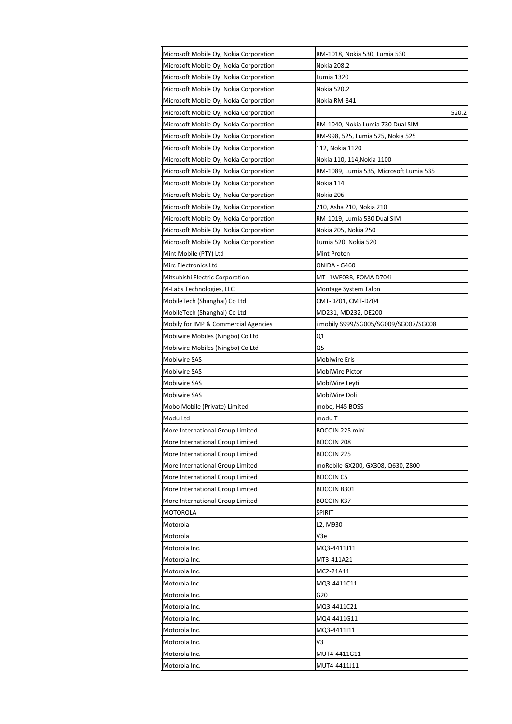| Microsoft Mobile Oy, Nokia Corporation | RM-1018, Nokia 530, Lumia 530           |
|----------------------------------------|-----------------------------------------|
| Microsoft Mobile Oy, Nokia Corporation | Nokia 208.2                             |
| Microsoft Mobile Oy, Nokia Corporation | Lumia 1320                              |
| Microsoft Mobile Oy, Nokia Corporation | Nokia 520.2                             |
| Microsoft Mobile Oy, Nokia Corporation | Nokia RM-841                            |
| Microsoft Mobile Oy, Nokia Corporation | 520.2                                   |
| Microsoft Mobile Oy, Nokia Corporation | RM-1040, Nokia Lumia 730 Dual SIM       |
| Microsoft Mobile Oy, Nokia Corporation | RM-998, 525, Lumia 525, Nokia 525       |
| Microsoft Mobile Oy, Nokia Corporation | 112, Nokia 1120                         |
| Microsoft Mobile Oy, Nokia Corporation | Nokia 110, 114, Nokia 1100              |
| Microsoft Mobile Oy, Nokia Corporation | RM-1089, Lumia 535, Microsoft Lumia 535 |
| Microsoft Mobile Oy, Nokia Corporation | Nokia 114                               |
| Microsoft Mobile Oy, Nokia Corporation | Nokia 206                               |
| Microsoft Mobile Oy, Nokia Corporation | 210, Asha 210, Nokia 210                |
| Microsoft Mobile Oy, Nokia Corporation | RM-1019, Lumia 530 Dual SIM             |
| Microsoft Mobile Oy, Nokia Corporation | Nokia 205, Nokia 250                    |
| Microsoft Mobile Oy, Nokia Corporation | Lumia 520, Nokia 520                    |
| Mint Mobile (PTY) Ltd                  | Mint Proton                             |
| Mirc Electronics Ltd                   | ONIDA - G460                            |
| Mitsubishi Electric Corporation        | MT- 1WE03B, FOMA D704i                  |
| M-Labs Technologies, LLC               | Montage System Talon                    |
| MobileTech (Shanghai) Co Ltd           | CMT-DZ01, CMT-DZ04                      |
| MobileTech (Shanghai) Co Ltd           | MD231, MD232, DE200                     |
| Mobily for IMP & Commercial Agencies   | mobily S999/SG005/SG009/SG007/SG008     |
| Mobiwire Mobiles (Ningbo) Co Ltd       | Q1                                      |
| Mobiwire Mobiles (Ningbo) Co Ltd       | Q5                                      |
| <b>Mobiwire SAS</b>                    | <b>Mobiwire Eris</b>                    |
| <b>Mobiwire SAS</b>                    | MobiWire Pictor                         |
| <b>Mobiwire SAS</b>                    | MobiWire Leyti                          |
| <b>Mobiwire SAS</b>                    | MobiWire Doli                           |
| Mobo Mobile (Private) Limited          | mobo, H45 BOSS                          |
| Modu Ltd                               | modu T                                  |
| More International Group Limited       | BOCOIN 225 mini                         |
| More International Group Limited       | BOCOIN 208                              |
| More International Group Limited       | BOCOIN 225                              |
| More International Group Limited       | moRebile GX200, GX308, Q630, Z800       |
| More International Group Limited       | <b>BOCOIN C5</b>                        |
| More International Group Limited       | <b>BOCOIN B301</b>                      |
| More International Group Limited       | <b>BOCOIN K37</b>                       |
| MOTOROLA                               | <b>SPIRIT</b>                           |
| Motorola                               | L2, M930                                |
| Motorola                               | V3e                                     |
| Motorola Inc.                          | MQ3-4411J11                             |
| Motorola Inc.                          | MT3-411A21                              |
| Motorola Inc.                          | MC2-21A11                               |
| Motorola Inc.                          | MQ3-4411C11                             |
| Motorola Inc.                          | G20                                     |
| Motorola Inc.                          | MQ3-4411C21                             |
| Motorola Inc.                          | MQ4-4411G11                             |
| Motorola Inc.                          | MQ3-4411I11                             |
| Motorola Inc.                          | V3                                      |
| Motorola Inc.                          | MUT4-4411G11                            |
| Motorola Inc.                          | MUT4-4411J11                            |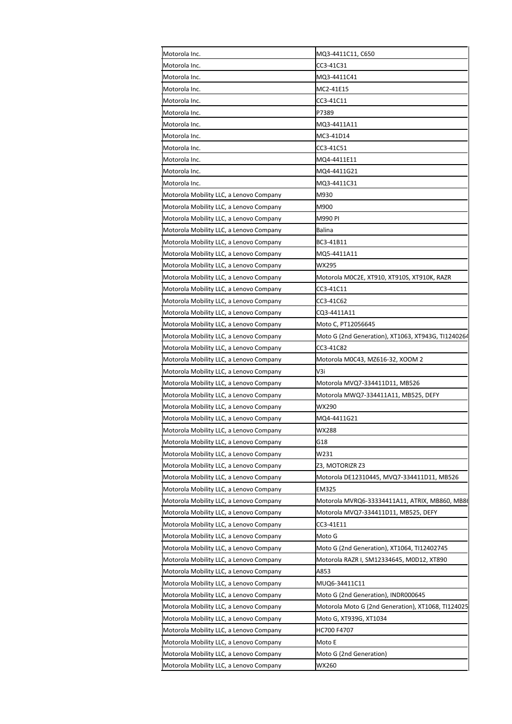| Motorola Inc.                           | MQ3-4411C11, C650                                  |
|-----------------------------------------|----------------------------------------------------|
| Motorola Inc.                           | CC3-41C31                                          |
| Motorola Inc.                           | MQ3-4411C41                                        |
| Motorola Inc.                           | MC2-41E15                                          |
| Motorola Inc.                           | CC3-41C11                                          |
| Motorola Inc.                           | P7389                                              |
| Motorola Inc.                           | MQ3-4411A11                                        |
| Motorola Inc.                           | MC3-41D14                                          |
| Motorola Inc.                           | CC3-41C51                                          |
| Motorola Inc.                           | MQ4-4411E11                                        |
| Motorola Inc.                           | MQ4-4411G21                                        |
| Motorola Inc.                           | MQ3-4411C31                                        |
| Motorola Mobility LLC, a Lenovo Company | M930                                               |
| Motorola Mobility LLC, a Lenovo Company | M900                                               |
| Motorola Mobility LLC, a Lenovo Company | M990 PI                                            |
| Motorola Mobility LLC, a Lenovo Company | Balina                                             |
| Motorola Mobility LLC, a Lenovo Company | BC3-41B11                                          |
| Motorola Mobility LLC, a Lenovo Company | MQ5-4411A11                                        |
| Motorola Mobility LLC, a Lenovo Company | WX295                                              |
| Motorola Mobility LLC, a Lenovo Company | Motorola M0C2E, XT910, XT910S, XT910K, RAZR        |
| Motorola Mobility LLC, a Lenovo Company | CC3-41C11                                          |
| Motorola Mobility LLC, a Lenovo Company | CC3-41C62                                          |
| Motorola Mobility LLC, a Lenovo Company | CQ3-4411A11                                        |
| Motorola Mobility LLC, a Lenovo Company | Moto C, PT12056645                                 |
| Motorola Mobility LLC, a Lenovo Company | Moto G (2nd Generation), XT1063, XT943G, TI1240264 |
| Motorola Mobility LLC, a Lenovo Company | CC3-41C82                                          |
| Motorola Mobility LLC, a Lenovo Company | Motorola M0C43, MZ616-32, XOOM 2                   |
| Motorola Mobility LLC, a Lenovo Company | V3i                                                |
| Motorola Mobility LLC, a Lenovo Company | Motorola MVQ7-334411D11, MB526                     |
| Motorola Mobility LLC, a Lenovo Company | Motorola MWQ7-334411A11, MB525, DEFY               |
| Motorola Mobility LLC, a Lenovo Company | WX290                                              |
| Motorola Mobility LLC, a Lenovo Company | MQ4-4411G21                                        |
| Motorola Mobility LLC, a Lenovo Company | WX288                                              |
|                                         |                                                    |
| Motorola Mobility LLC, a Lenovo Company | G18                                                |
| Motorola Mobility LLC, a Lenovo Company | W231                                               |
| Motorola Mobility LLC, a Lenovo Company | Z3, MOTORIZR Z3                                    |
| Motorola Mobility LLC, a Lenovo Company | Motorola DE12310445, MVQ7-334411D11, MB526         |
| Motorola Mobility LLC, a Lenovo Company | EM325                                              |
| Motorola Mobility LLC, a Lenovo Company | Motorola MVRQ6-33334411A11, ATRIX, MB860, MB86     |
| Motorola Mobility LLC, a Lenovo Company | Motorola MVQ7-334411D11, MB525, DEFY               |
| Motorola Mobility LLC, a Lenovo Company | CC3-41E11                                          |
| Motorola Mobility LLC, a Lenovo Company | Moto G                                             |
| Motorola Mobility LLC, a Lenovo Company | Moto G (2nd Generation), XT1064, TI12402745        |
| Motorola Mobility LLC, a Lenovo Company | Motorola RAZR I, SM12334645, M0D12, XT890          |
| Motorola Mobility LLC, a Lenovo Company | A853                                               |
| Motorola Mobility LLC, a Lenovo Company | MUQ6-34411C11                                      |
| Motorola Mobility LLC, a Lenovo Company | Moto G (2nd Generation), INDR000645                |
| Motorola Mobility LLC, a Lenovo Company | Motorola Moto G (2nd Generation), XT1068, TI124025 |
| Motorola Mobility LLC, a Lenovo Company | Moto G, XT939G, XT1034                             |
| Motorola Mobility LLC, a Lenovo Company | HC700 F4707                                        |
| Motorola Mobility LLC, a Lenovo Company | Moto E                                             |
| Motorola Mobility LLC, a Lenovo Company | Moto G (2nd Generation)                            |
| Motorola Mobility LLC, a Lenovo Company | WX260                                              |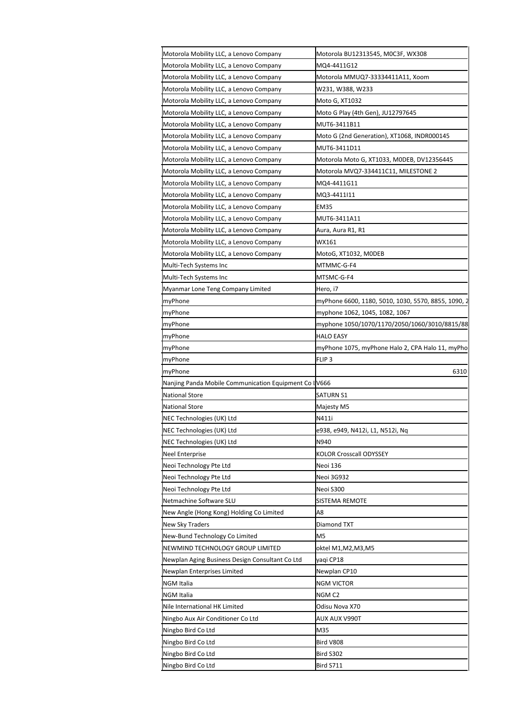| Motorola Mobility LLC, a Lenovo Company                                                                                                                                                                                                                                                                                                                                                                                                                                                                                                                                                                                                                                                         | Motorola BU12313545, M0C3F, WX308                   |
|-------------------------------------------------------------------------------------------------------------------------------------------------------------------------------------------------------------------------------------------------------------------------------------------------------------------------------------------------------------------------------------------------------------------------------------------------------------------------------------------------------------------------------------------------------------------------------------------------------------------------------------------------------------------------------------------------|-----------------------------------------------------|
| Motorola Mobility LLC, a Lenovo Company                                                                                                                                                                                                                                                                                                                                                                                                                                                                                                                                                                                                                                                         | MQ4-4411G12                                         |
| Motorola Mobility LLC, a Lenovo Company                                                                                                                                                                                                                                                                                                                                                                                                                                                                                                                                                                                                                                                         | Motorola MMUQ7-33334411A11, Xoom                    |
| Motorola Mobility LLC, a Lenovo Company                                                                                                                                                                                                                                                                                                                                                                                                                                                                                                                                                                                                                                                         | W231, W388, W233                                    |
| Motorola Mobility LLC, a Lenovo Company                                                                                                                                                                                                                                                                                                                                                                                                                                                                                                                                                                                                                                                         | Moto G, XT1032                                      |
| Motorola Mobility LLC, a Lenovo Company                                                                                                                                                                                                                                                                                                                                                                                                                                                                                                                                                                                                                                                         | Moto G Play (4th Gen), JU12797645                   |
| Motorola Mobility LLC, a Lenovo Company                                                                                                                                                                                                                                                                                                                                                                                                                                                                                                                                                                                                                                                         | MUT6-3411B11                                        |
| Motorola Mobility LLC, a Lenovo Company                                                                                                                                                                                                                                                                                                                                                                                                                                                                                                                                                                                                                                                         | Moto G (2nd Generation), XT1068, INDR000145         |
| Motorola Mobility LLC, a Lenovo Company                                                                                                                                                                                                                                                                                                                                                                                                                                                                                                                                                                                                                                                         | MUT6-3411D11                                        |
| Motorola Mobility LLC, a Lenovo Company                                                                                                                                                                                                                                                                                                                                                                                                                                                                                                                                                                                                                                                         | Motorola Moto G, XT1033, M0DEB, DV12356445          |
| Motorola Mobility LLC, a Lenovo Company                                                                                                                                                                                                                                                                                                                                                                                                                                                                                                                                                                                                                                                         | Motorola MVQ7-334411C11, MILESTONE 2                |
| Motorola Mobility LLC, a Lenovo Company                                                                                                                                                                                                                                                                                                                                                                                                                                                                                                                                                                                                                                                         | MQ4-4411G11                                         |
| Motorola Mobility LLC, a Lenovo Company                                                                                                                                                                                                                                                                                                                                                                                                                                                                                                                                                                                                                                                         | MQ3-4411I11                                         |
| Motorola Mobility LLC, a Lenovo Company                                                                                                                                                                                                                                                                                                                                                                                                                                                                                                                                                                                                                                                         | EM35                                                |
| Motorola Mobility LLC, a Lenovo Company                                                                                                                                                                                                                                                                                                                                                                                                                                                                                                                                                                                                                                                         | MUT6-3411A11                                        |
| Motorola Mobility LLC, a Lenovo Company                                                                                                                                                                                                                                                                                                                                                                                                                                                                                                                                                                                                                                                         | Aura, Aura R1, R1                                   |
| Motorola Mobility LLC, a Lenovo Company                                                                                                                                                                                                                                                                                                                                                                                                                                                                                                                                                                                                                                                         | WX161                                               |
| Motorola Mobility LLC, a Lenovo Company                                                                                                                                                                                                                                                                                                                                                                                                                                                                                                                                                                                                                                                         | MotoG, XT1032, M0DEB                                |
| Multi-Tech Systems Inc                                                                                                                                                                                                                                                                                                                                                                                                                                                                                                                                                                                                                                                                          | MTMMC-G-F4                                          |
| Multi-Tech Systems Inc                                                                                                                                                                                                                                                                                                                                                                                                                                                                                                                                                                                                                                                                          | MTSMC-G-F4                                          |
| Myanmar Lone Teng Company Limited                                                                                                                                                                                                                                                                                                                                                                                                                                                                                                                                                                                                                                                               | Hero, i7                                            |
| myPhone                                                                                                                                                                                                                                                                                                                                                                                                                                                                                                                                                                                                                                                                                         | myPhone 6600, 1180, 5010, 1030, 5570, 8855, 1090, 2 |
| myPhone                                                                                                                                                                                                                                                                                                                                                                                                                                                                                                                                                                                                                                                                                         | myphone 1062, 1045, 1082, 1067                      |
| myPhone                                                                                                                                                                                                                                                                                                                                                                                                                                                                                                                                                                                                                                                                                         | myphone 1050/1070/1170/2050/1060/3010/8815/88       |
| myPhone                                                                                                                                                                                                                                                                                                                                                                                                                                                                                                                                                                                                                                                                                         | HALO EASY                                           |
| myPhone                                                                                                                                                                                                                                                                                                                                                                                                                                                                                                                                                                                                                                                                                         | myPhone 1075, myPhone Halo 2, CPA Halo 11, myPho    |
|                                                                                                                                                                                                                                                                                                                                                                                                                                                                                                                                                                                                                                                                                                 |                                                     |
|                                                                                                                                                                                                                                                                                                                                                                                                                                                                                                                                                                                                                                                                                                 |                                                     |
|                                                                                                                                                                                                                                                                                                                                                                                                                                                                                                                                                                                                                                                                                                 | FLIP <sub>3</sub>                                   |
|                                                                                                                                                                                                                                                                                                                                                                                                                                                                                                                                                                                                                                                                                                 | 6310                                                |
|                                                                                                                                                                                                                                                                                                                                                                                                                                                                                                                                                                                                                                                                                                 |                                                     |
|                                                                                                                                                                                                                                                                                                                                                                                                                                                                                                                                                                                                                                                                                                 | SATURN S1                                           |
|                                                                                                                                                                                                                                                                                                                                                                                                                                                                                                                                                                                                                                                                                                 | Majesty M5                                          |
|                                                                                                                                                                                                                                                                                                                                                                                                                                                                                                                                                                                                                                                                                                 | N411i                                               |
|                                                                                                                                                                                                                                                                                                                                                                                                                                                                                                                                                                                                                                                                                                 | e938, e949, N412i, L1, N512i, Nq                    |
|                                                                                                                                                                                                                                                                                                                                                                                                                                                                                                                                                                                                                                                                                                 | N940                                                |
|                                                                                                                                                                                                                                                                                                                                                                                                                                                                                                                                                                                                                                                                                                 | KOLOR Crosscall ODYSSEY                             |
|                                                                                                                                                                                                                                                                                                                                                                                                                                                                                                                                                                                                                                                                                                 | Neoi 136                                            |
|                                                                                                                                                                                                                                                                                                                                                                                                                                                                                                                                                                                                                                                                                                 | Neoi 3G932                                          |
|                                                                                                                                                                                                                                                                                                                                                                                                                                                                                                                                                                                                                                                                                                 | Neoi S300                                           |
|                                                                                                                                                                                                                                                                                                                                                                                                                                                                                                                                                                                                                                                                                                 | SISTEMA REMOTE                                      |
|                                                                                                                                                                                                                                                                                                                                                                                                                                                                                                                                                                                                                                                                                                 | А8                                                  |
|                                                                                                                                                                                                                                                                                                                                                                                                                                                                                                                                                                                                                                                                                                 | Diamond TXT                                         |
|                                                                                                                                                                                                                                                                                                                                                                                                                                                                                                                                                                                                                                                                                                 | M5                                                  |
|                                                                                                                                                                                                                                                                                                                                                                                                                                                                                                                                                                                                                                                                                                 | oktel M1,M2,M3,M5                                   |
|                                                                                                                                                                                                                                                                                                                                                                                                                                                                                                                                                                                                                                                                                                 | yaqi CP18                                           |
|                                                                                                                                                                                                                                                                                                                                                                                                                                                                                                                                                                                                                                                                                                 | Newplan CP10                                        |
|                                                                                                                                                                                                                                                                                                                                                                                                                                                                                                                                                                                                                                                                                                 | NGM VICTOR                                          |
|                                                                                                                                                                                                                                                                                                                                                                                                                                                                                                                                                                                                                                                                                                 | NGM C2                                              |
|                                                                                                                                                                                                                                                                                                                                                                                                                                                                                                                                                                                                                                                                                                 | Odisu Nova X70                                      |
| NGM Italia<br>Nile International HK Limited                                                                                                                                                                                                                                                                                                                                                                                                                                                                                                                                                                                                                                                     | AUX AUX V990T                                       |
| Ningbo Bird Co Ltd                                                                                                                                                                                                                                                                                                                                                                                                                                                                                                                                                                                                                                                                              | M35                                                 |
|                                                                                                                                                                                                                                                                                                                                                                                                                                                                                                                                                                                                                                                                                                 | Bird V808                                           |
| myPhone<br>myPhone<br>Nanjing Panda Mobile Communication Equipment Co IV666<br><b>National Store</b><br><b>National Store</b><br>NEC Technologies (UK) Ltd<br>NEC Technologies (UK) Ltd<br>NEC Technologies (UK) Ltd<br>Neel Enterprise<br>Neoi Technology Pte Ltd<br>Neoi Technology Pte Ltd<br>Neoi Technology Pte Ltd<br>Netmachine Software SLU<br>New Angle (Hong Kong) Holding Co Limited<br>New Sky Traders<br>New-Bund Technology Co Limited<br>NEWMIND TECHNOLOGY GROUP LIMITED<br>Newplan Aging Business Design Consultant Co Ltd<br>Newplan Enterprises Limited<br>NGM Italia<br>Ningbo Aux Air Conditioner Co Ltd<br>Ningbo Bird Co Ltd<br>Ningbo Bird Co Ltd<br>Ningbo Bird Co Ltd | <b>Bird S302</b><br><b>Bird S711</b>                |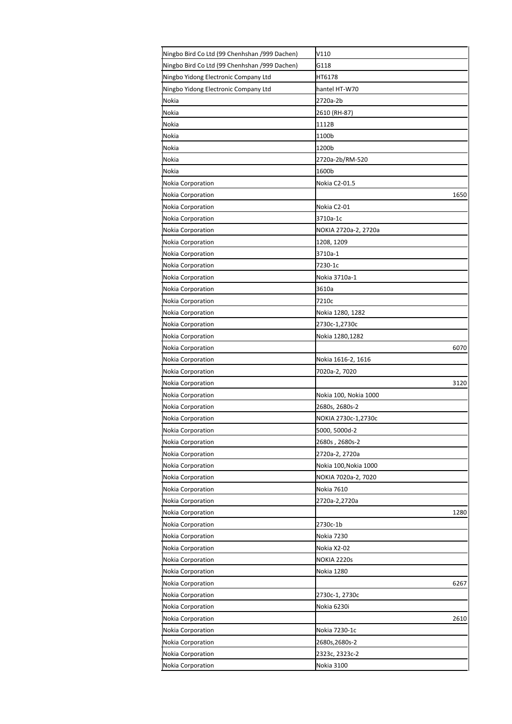| Ningbo Bird Co Ltd (99 Chenhshan /999 Dachen) | V110                  |
|-----------------------------------------------|-----------------------|
| Ningbo Bird Co Ltd (99 Chenhshan /999 Dachen) | G118                  |
| Ningbo Yidong Electronic Company Ltd          | HT6178                |
| Ningbo Yidong Electronic Company Ltd          | hantel HT-W70         |
| Nokia                                         | 2720a-2b              |
| Nokia                                         | 2610 (RH-87)          |
| Nokia                                         | 1112B                 |
| Nokia                                         | 1100b                 |
| Nokia                                         | 1200b                 |
| Nokia                                         | 2720a-2b/RM-520       |
| Nokia                                         | 1600b                 |
| Nokia Corporation                             | Nokia C2-01.5         |
| <b>Nokia Corporation</b>                      | 1650                  |
| Nokia Corporation                             | Nokia C2-01           |
| Nokia Corporation                             | 3710a-1c              |
| Nokia Corporation                             | NOKIA 2720a-2, 2720a  |
| Nokia Corporation                             | 1208, 1209            |
| Nokia Corporation                             | 3710a-1               |
| Nokia Corporation                             | 7230-1c               |
| Nokia Corporation                             | Nokia 3710a-1         |
| Nokia Corporation                             | 3610a                 |
| Nokia Corporation                             | 7210c                 |
| Nokia Corporation                             | Nokia 1280, 1282      |
| Nokia Corporation                             | 2730c-1,2730c         |
| Nokia Corporation                             | Nokia 1280,1282       |
| Nokia Corporation                             | 6070                  |
| Nokia Corporation                             | Nokia 1616-2, 1616    |
| Nokia Corporation                             | 7020a-2, 7020         |
| Nokia Corporation                             | 3120                  |
| Nokia Corporation                             | Nokia 100, Nokia 1000 |
| Nokia Corporation                             | 2680s, 2680s-2        |
| Nokia Corporation                             | NOKIA 2730c-1,2730c   |
| Nokia Corporation                             | 5000, 5000d-2         |
| Nokia Corporation                             | 2680s, 2680s-2        |
| Nokia Corporation                             | 2720a-2, 2720a        |
| Nokia Corporation                             | Nokia 100, Nokia 1000 |
| Nokia Corporation                             | NOKIA 7020a-2, 7020   |
| Nokia Corporation                             | Nokia 7610            |
| Nokia Corporation                             | 2720a-2,2720a         |
| Nokia Corporation                             | 1280                  |
| Nokia Corporation                             | 2730c-1b              |
| Nokia Corporation                             | Nokia 7230            |
| Nokia Corporation                             | Nokia X2-02           |
| Nokia Corporation                             | NOKIA 2220s           |
| <b>Nokia Corporation</b>                      | Nokia 1280            |
| Nokia Corporation                             | 6267                  |
| Nokia Corporation                             | 2730c-1, 2730c        |
| Nokia Corporation                             | Nokia 6230i           |
| Nokia Corporation                             | 2610                  |
| Nokia Corporation                             | Nokia 7230-1c         |
| Nokia Corporation                             | 2680s, 2680s-2        |
| Nokia Corporation                             | 2323c, 2323c-2        |
| Nokia Corporation                             | Nokia 3100            |
|                                               |                       |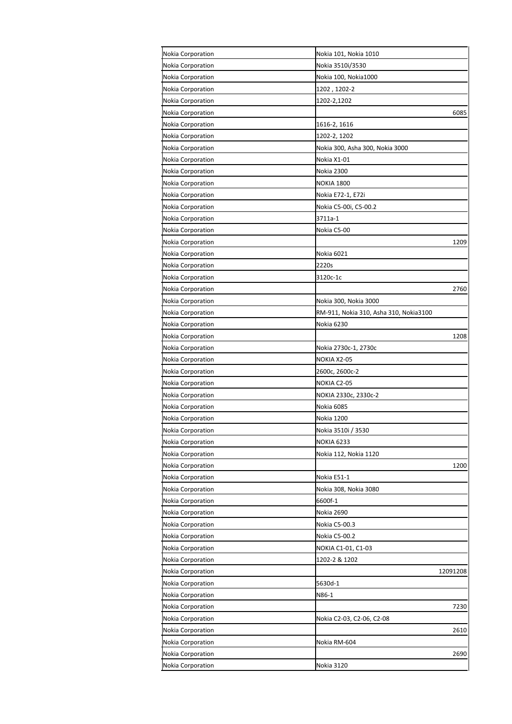| Nokia Corporation        | Nokia 101, Nokia 1010                  |
|--------------------------|----------------------------------------|
| <b>Nokia Corporation</b> | Nokia 3510i/3530                       |
| Nokia Corporation        | Nokia 100, Nokia1000                   |
| <b>Nokia Corporation</b> | 1202, 1202-2                           |
| Nokia Corporation        | 1202-2,1202                            |
| Nokia Corporation        | 6085                                   |
| <b>Nokia Corporation</b> | 1616-2, 1616                           |
| Nokia Corporation        | 1202-2, 1202                           |
| Nokia Corporation        | Nokia 300, Asha 300, Nokia 3000        |
| Nokia Corporation        | Nokia X1-01                            |
| Nokia Corporation        | Nokia 2300                             |
| Nokia Corporation        | <b>NOKIA 1800</b>                      |
| Nokia Corporation        | Nokia E72-1, E72i                      |
| Nokia Corporation        | Nokia C5-00i, C5-00.2                  |
| Nokia Corporation        | 3711a-1                                |
| <b>Nokia Corporation</b> | Nokia C5-00                            |
| Nokia Corporation        | 1209                                   |
| Nokia Corporation        | Nokia 6021                             |
| Nokia Corporation        | 2220s                                  |
| Nokia Corporation        | 3120c-1c                               |
| Nokia Corporation        | 2760                                   |
| <b>Nokia Corporation</b> | Nokia 300, Nokia 3000                  |
| <b>Nokia Corporation</b> | RM-911, Nokia 310, Asha 310, Nokia3100 |
| Nokia Corporation        | Nokia 6230                             |
| Nokia Corporation        | 1208                                   |
| Nokia Corporation        | Nokia 2730c-1, 2730c                   |
| Nokia Corporation        | NOKIA X2-05                            |
| <b>Nokia Corporation</b> | 2600c, 2600c-2                         |
| <b>Nokia Corporation</b> | NOKIA C2-05                            |
| Nokia Corporation        | NOKIA 2330c, 2330c-2                   |
| Nokia Corporation        | Nokia 6085                             |
| <b>Nokia Corporation</b> | Nokia 1200                             |
| <b>Nokia Corporation</b> | Nokia 3510i / 3530                     |
| Nokia Corporation        | <b>NOKIA 6233</b>                      |
| Nokia Corporation        | Nokia 112, Nokia 1120                  |
| Nokia Corporation        | 1200                                   |
| Nokia Corporation        | Nokia E51-1                            |
| Nokia Corporation        | Nokia 308, Nokia 3080                  |
| Nokia Corporation        | 6600f-1                                |
| Nokia Corporation        | Nokia 2690                             |
| Nokia Corporation        | Nokia C5-00.3                          |
| Nokia Corporation        | Nokia C5-00.2                          |
| <b>Nokia Corporation</b> | NOKIA C1-01, C1-03                     |
| Nokia Corporation        | 1202-2 & 1202                          |
| <b>Nokia Corporation</b> | 12091208                               |
| Nokia Corporation        | 5630d-1                                |
| Nokia Corporation        | N86-1                                  |
| Nokia Corporation        | 7230                                   |
| Nokia Corporation        | Nokia C2-03, C2-06, C2-08              |
| Nokia Corporation        | 2610                                   |
| Nokia Corporation        | Nokia RM-604                           |
| Nokia Corporation        | 2690                                   |
| Nokia Corporation        | Nokia 3120                             |
|                          |                                        |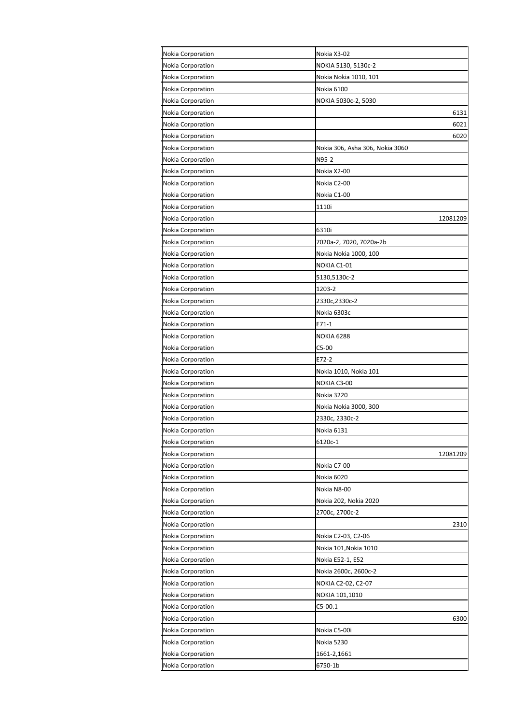| Nokia Corporation | Nokia X3-02                     |
|-------------------|---------------------------------|
| Nokia Corporation | NOKIA 5130, 5130c-2             |
| Nokia Corporation | Nokia Nokia 1010, 101           |
| Nokia Corporation | Nokia 6100                      |
| Nokia Corporation | NOKIA 5030c-2, 5030             |
| Nokia Corporation | 6131                            |
| Nokia Corporation | 6021                            |
| Nokia Corporation | 6020                            |
| Nokia Corporation | Nokia 306, Asha 306, Nokia 3060 |
| Nokia Corporation | N95-2                           |
| Nokia Corporation | Nokia X2-00                     |
| Nokia Corporation | Nokia C2-00                     |
| Nokia Corporation | Nokia C1-00                     |
| Nokia Corporation | 1110i                           |
| Nokia Corporation | 12081209                        |
| Nokia Corporation | 6310i                           |
| Nokia Corporation | 7020a-2, 7020, 7020a-2b         |
| Nokia Corporation | Nokia Nokia 1000, 100           |
| Nokia Corporation | NOKIA C1-01                     |
| Nokia Corporation | 5130,5130c-2                    |
| Nokia Corporation | 1203-2                          |
| Nokia Corporation | 2330c,2330c-2                   |
| Nokia Corporation | Nokia 6303c                     |
| Nokia Corporation | E71-1                           |
| Nokia Corporation | NOKIA 6288                      |
| Nokia Corporation | C5-00                           |
| Nokia Corporation | E72-2                           |
| Nokia Corporation | Nokia 1010, Nokia 101           |
| Nokia Corporation | NOKIA C3-00                     |
| Nokia Corporation | Nokia 3220                      |
| Nokia Corporation | Nokia Nokia 3000, 300           |
| Nokia Corporation | 2330c, 2330c-2                  |
| Nokia Corporation | Nokia 6131                      |
| Nokia Corporation | 6120c-1                         |
| Nokia Corporation | 12081209                        |
| Nokia Corporation | Nokia C7-00                     |
| Nokia Corporation | Nokia 6020                      |
| Nokia Corporation | Nokia N8-00                     |
| Nokia Corporation | Nokia 202, Nokia 2020           |
| Nokia Corporation | 2700c, 2700c-2                  |
| Nokia Corporation | 2310                            |
| Nokia Corporation | Nokia C2-03, C2-06              |
| Nokia Corporation | Nokia 101,Nokia 1010            |
| Nokia Corporation | Nokia E52-1, E52                |
| Nokia Corporation | Nokia 2600c, 2600c-2            |
| Nokia Corporation | NOKIA C2-02, C2-07              |
| Nokia Corporation | NOKIA 101,1010                  |
| Nokia Corporation | $C5-00.1$                       |
| Nokia Corporation | 6300                            |
| Nokia Corporation | Nokia C5-00i                    |
| Nokia Corporation | Nokia 5230                      |
| Nokia Corporation | 1661-2,1661                     |
| Nokia Corporation | 6750-1b                         |
|                   |                                 |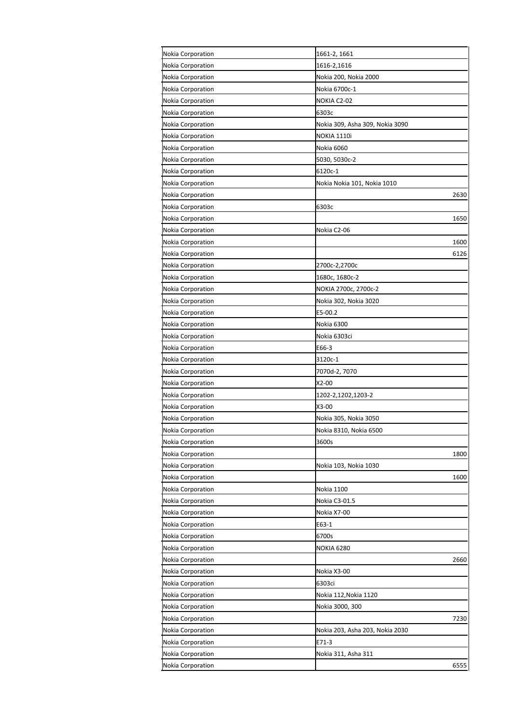| Nokia Corporation<br>1616-2,1616<br>Nokia Corporation<br>Nokia 200, Nokia 2000<br>Nokia 6700c-1<br>Nokia Corporation<br>Nokia Corporation<br>NOKIA C2-02<br>Nokia Corporation<br>6303c<br>Nokia Corporation<br>Nokia 309, Asha 309, Nokia 3090<br>Nokia Corporation<br><b>NOKIA 1110i</b><br>Nokia 6060<br>Nokia Corporation<br>Nokia Corporation<br>5030, 5030c-2<br>6120c-1<br><b>Nokia Corporation</b><br>Nokia Corporation<br>Nokia Nokia 101, Nokia 1010<br>Nokia Corporation<br>2630<br>Nokia Corporation<br>6303c<br>Nokia Corporation<br>1650<br>Nokia Corporation<br>Nokia C2-06<br><b>Nokia Corporation</b><br>1600<br>Nokia Corporation<br>6126<br>Nokia Corporation<br>2700c-2,2700c<br>Nokia Corporation<br>1680c, 1680c-2<br>NOKIA 2700c, 2700c-2<br>Nokia Corporation<br><b>Nokia Corporation</b><br>Nokia 302, Nokia 3020<br>E5-00.2<br><b>Nokia Corporation</b><br>Nokia 6300<br>Nokia Corporation<br>Nokia Corporation<br>Nokia 6303ci<br>Nokia Corporation<br>E66-3<br>Nokia Corporation<br>3120c-1<br>7070d-2, 7070<br><b>Nokia Corporation</b><br>Nokia Corporation<br>X2-00<br>Nokia Corporation<br>1202-2,1202,1203-2<br><b>Nokia Corporation</b><br>X3-00<br><b>Nokia Corporation</b><br>Nokia 305, Nokia 3050<br>Nokia Corporation<br>Nokia 8310, Nokia 6500<br>3600s<br>Nokia Corporation<br>Nokia Corporation<br>1800<br>Nokia Corporation<br>Nokia 103, Nokia 1030<br>Nokia Corporation<br>1600<br>Nokia Corporation<br>Nokia 1100<br>Nokia C3-01.5<br><b>Nokia Corporation</b><br>Nokia Corporation<br>Nokia X7-00<br>Nokia Corporation<br>E63-1<br>Nokia Corporation<br>6700s<br><b>Nokia Corporation</b><br>NOKIA 6280<br>Nokia Corporation<br>2660<br>Nokia X3-00<br><b>Nokia Corporation</b><br>Nokia Corporation<br>6303ci<br>Nokia Corporation<br>Nokia 112, Nokia 1120<br><b>Nokia Corporation</b><br>Nokia 3000, 300<br>Nokia Corporation<br>7230<br>Nokia Corporation<br>Nokia 203, Asha 203, Nokia 2030<br>Nokia Corporation<br>E71-3<br>Nokia Corporation<br>Nokia 311, Asha 311<br>Nokia Corporation<br>6555 | Nokia Corporation | 1661-2, 1661 |
|-------------------------------------------------------------------------------------------------------------------------------------------------------------------------------------------------------------------------------------------------------------------------------------------------------------------------------------------------------------------------------------------------------------------------------------------------------------------------------------------------------------------------------------------------------------------------------------------------------------------------------------------------------------------------------------------------------------------------------------------------------------------------------------------------------------------------------------------------------------------------------------------------------------------------------------------------------------------------------------------------------------------------------------------------------------------------------------------------------------------------------------------------------------------------------------------------------------------------------------------------------------------------------------------------------------------------------------------------------------------------------------------------------------------------------------------------------------------------------------------------------------------------------------------------------------------------------------------------------------------------------------------------------------------------------------------------------------------------------------------------------------------------------------------------------------------------------------------------------------------------------------------------------------------------------------------------------------------------------------------------------------------------------------------------------|-------------------|--------------|
|                                                                                                                                                                                                                                                                                                                                                                                                                                                                                                                                                                                                                                                                                                                                                                                                                                                                                                                                                                                                                                                                                                                                                                                                                                                                                                                                                                                                                                                                                                                                                                                                                                                                                                                                                                                                                                                                                                                                                                                                                                                       |                   |              |
|                                                                                                                                                                                                                                                                                                                                                                                                                                                                                                                                                                                                                                                                                                                                                                                                                                                                                                                                                                                                                                                                                                                                                                                                                                                                                                                                                                                                                                                                                                                                                                                                                                                                                                                                                                                                                                                                                                                                                                                                                                                       |                   |              |
|                                                                                                                                                                                                                                                                                                                                                                                                                                                                                                                                                                                                                                                                                                                                                                                                                                                                                                                                                                                                                                                                                                                                                                                                                                                                                                                                                                                                                                                                                                                                                                                                                                                                                                                                                                                                                                                                                                                                                                                                                                                       |                   |              |
|                                                                                                                                                                                                                                                                                                                                                                                                                                                                                                                                                                                                                                                                                                                                                                                                                                                                                                                                                                                                                                                                                                                                                                                                                                                                                                                                                                                                                                                                                                                                                                                                                                                                                                                                                                                                                                                                                                                                                                                                                                                       |                   |              |
|                                                                                                                                                                                                                                                                                                                                                                                                                                                                                                                                                                                                                                                                                                                                                                                                                                                                                                                                                                                                                                                                                                                                                                                                                                                                                                                                                                                                                                                                                                                                                                                                                                                                                                                                                                                                                                                                                                                                                                                                                                                       |                   |              |
|                                                                                                                                                                                                                                                                                                                                                                                                                                                                                                                                                                                                                                                                                                                                                                                                                                                                                                                                                                                                                                                                                                                                                                                                                                                                                                                                                                                                                                                                                                                                                                                                                                                                                                                                                                                                                                                                                                                                                                                                                                                       |                   |              |
|                                                                                                                                                                                                                                                                                                                                                                                                                                                                                                                                                                                                                                                                                                                                                                                                                                                                                                                                                                                                                                                                                                                                                                                                                                                                                                                                                                                                                                                                                                                                                                                                                                                                                                                                                                                                                                                                                                                                                                                                                                                       |                   |              |
|                                                                                                                                                                                                                                                                                                                                                                                                                                                                                                                                                                                                                                                                                                                                                                                                                                                                                                                                                                                                                                                                                                                                                                                                                                                                                                                                                                                                                                                                                                                                                                                                                                                                                                                                                                                                                                                                                                                                                                                                                                                       |                   |              |
|                                                                                                                                                                                                                                                                                                                                                                                                                                                                                                                                                                                                                                                                                                                                                                                                                                                                                                                                                                                                                                                                                                                                                                                                                                                                                                                                                                                                                                                                                                                                                                                                                                                                                                                                                                                                                                                                                                                                                                                                                                                       |                   |              |
|                                                                                                                                                                                                                                                                                                                                                                                                                                                                                                                                                                                                                                                                                                                                                                                                                                                                                                                                                                                                                                                                                                                                                                                                                                                                                                                                                                                                                                                                                                                                                                                                                                                                                                                                                                                                                                                                                                                                                                                                                                                       |                   |              |
|                                                                                                                                                                                                                                                                                                                                                                                                                                                                                                                                                                                                                                                                                                                                                                                                                                                                                                                                                                                                                                                                                                                                                                                                                                                                                                                                                                                                                                                                                                                                                                                                                                                                                                                                                                                                                                                                                                                                                                                                                                                       |                   |              |
|                                                                                                                                                                                                                                                                                                                                                                                                                                                                                                                                                                                                                                                                                                                                                                                                                                                                                                                                                                                                                                                                                                                                                                                                                                                                                                                                                                                                                                                                                                                                                                                                                                                                                                                                                                                                                                                                                                                                                                                                                                                       |                   |              |
|                                                                                                                                                                                                                                                                                                                                                                                                                                                                                                                                                                                                                                                                                                                                                                                                                                                                                                                                                                                                                                                                                                                                                                                                                                                                                                                                                                                                                                                                                                                                                                                                                                                                                                                                                                                                                                                                                                                                                                                                                                                       |                   |              |
|                                                                                                                                                                                                                                                                                                                                                                                                                                                                                                                                                                                                                                                                                                                                                                                                                                                                                                                                                                                                                                                                                                                                                                                                                                                                                                                                                                                                                                                                                                                                                                                                                                                                                                                                                                                                                                                                                                                                                                                                                                                       |                   |              |
|                                                                                                                                                                                                                                                                                                                                                                                                                                                                                                                                                                                                                                                                                                                                                                                                                                                                                                                                                                                                                                                                                                                                                                                                                                                                                                                                                                                                                                                                                                                                                                                                                                                                                                                                                                                                                                                                                                                                                                                                                                                       |                   |              |
|                                                                                                                                                                                                                                                                                                                                                                                                                                                                                                                                                                                                                                                                                                                                                                                                                                                                                                                                                                                                                                                                                                                                                                                                                                                                                                                                                                                                                                                                                                                                                                                                                                                                                                                                                                                                                                                                                                                                                                                                                                                       |                   |              |
|                                                                                                                                                                                                                                                                                                                                                                                                                                                                                                                                                                                                                                                                                                                                                                                                                                                                                                                                                                                                                                                                                                                                                                                                                                                                                                                                                                                                                                                                                                                                                                                                                                                                                                                                                                                                                                                                                                                                                                                                                                                       |                   |              |
|                                                                                                                                                                                                                                                                                                                                                                                                                                                                                                                                                                                                                                                                                                                                                                                                                                                                                                                                                                                                                                                                                                                                                                                                                                                                                                                                                                                                                                                                                                                                                                                                                                                                                                                                                                                                                                                                                                                                                                                                                                                       |                   |              |
|                                                                                                                                                                                                                                                                                                                                                                                                                                                                                                                                                                                                                                                                                                                                                                                                                                                                                                                                                                                                                                                                                                                                                                                                                                                                                                                                                                                                                                                                                                                                                                                                                                                                                                                                                                                                                                                                                                                                                                                                                                                       |                   |              |
|                                                                                                                                                                                                                                                                                                                                                                                                                                                                                                                                                                                                                                                                                                                                                                                                                                                                                                                                                                                                                                                                                                                                                                                                                                                                                                                                                                                                                                                                                                                                                                                                                                                                                                                                                                                                                                                                                                                                                                                                                                                       |                   |              |
|                                                                                                                                                                                                                                                                                                                                                                                                                                                                                                                                                                                                                                                                                                                                                                                                                                                                                                                                                                                                                                                                                                                                                                                                                                                                                                                                                                                                                                                                                                                                                                                                                                                                                                                                                                                                                                                                                                                                                                                                                                                       |                   |              |
|                                                                                                                                                                                                                                                                                                                                                                                                                                                                                                                                                                                                                                                                                                                                                                                                                                                                                                                                                                                                                                                                                                                                                                                                                                                                                                                                                                                                                                                                                                                                                                                                                                                                                                                                                                                                                                                                                                                                                                                                                                                       |                   |              |
|                                                                                                                                                                                                                                                                                                                                                                                                                                                                                                                                                                                                                                                                                                                                                                                                                                                                                                                                                                                                                                                                                                                                                                                                                                                                                                                                                                                                                                                                                                                                                                                                                                                                                                                                                                                                                                                                                                                                                                                                                                                       |                   |              |
|                                                                                                                                                                                                                                                                                                                                                                                                                                                                                                                                                                                                                                                                                                                                                                                                                                                                                                                                                                                                                                                                                                                                                                                                                                                                                                                                                                                                                                                                                                                                                                                                                                                                                                                                                                                                                                                                                                                                                                                                                                                       |                   |              |
|                                                                                                                                                                                                                                                                                                                                                                                                                                                                                                                                                                                                                                                                                                                                                                                                                                                                                                                                                                                                                                                                                                                                                                                                                                                                                                                                                                                                                                                                                                                                                                                                                                                                                                                                                                                                                                                                                                                                                                                                                                                       |                   |              |
|                                                                                                                                                                                                                                                                                                                                                                                                                                                                                                                                                                                                                                                                                                                                                                                                                                                                                                                                                                                                                                                                                                                                                                                                                                                                                                                                                                                                                                                                                                                                                                                                                                                                                                                                                                                                                                                                                                                                                                                                                                                       |                   |              |
|                                                                                                                                                                                                                                                                                                                                                                                                                                                                                                                                                                                                                                                                                                                                                                                                                                                                                                                                                                                                                                                                                                                                                                                                                                                                                                                                                                                                                                                                                                                                                                                                                                                                                                                                                                                                                                                                                                                                                                                                                                                       |                   |              |
|                                                                                                                                                                                                                                                                                                                                                                                                                                                                                                                                                                                                                                                                                                                                                                                                                                                                                                                                                                                                                                                                                                                                                                                                                                                                                                                                                                                                                                                                                                                                                                                                                                                                                                                                                                                                                                                                                                                                                                                                                                                       |                   |              |
|                                                                                                                                                                                                                                                                                                                                                                                                                                                                                                                                                                                                                                                                                                                                                                                                                                                                                                                                                                                                                                                                                                                                                                                                                                                                                                                                                                                                                                                                                                                                                                                                                                                                                                                                                                                                                                                                                                                                                                                                                                                       |                   |              |
|                                                                                                                                                                                                                                                                                                                                                                                                                                                                                                                                                                                                                                                                                                                                                                                                                                                                                                                                                                                                                                                                                                                                                                                                                                                                                                                                                                                                                                                                                                                                                                                                                                                                                                                                                                                                                                                                                                                                                                                                                                                       |                   |              |
|                                                                                                                                                                                                                                                                                                                                                                                                                                                                                                                                                                                                                                                                                                                                                                                                                                                                                                                                                                                                                                                                                                                                                                                                                                                                                                                                                                                                                                                                                                                                                                                                                                                                                                                                                                                                                                                                                                                                                                                                                                                       |                   |              |
|                                                                                                                                                                                                                                                                                                                                                                                                                                                                                                                                                                                                                                                                                                                                                                                                                                                                                                                                                                                                                                                                                                                                                                                                                                                                                                                                                                                                                                                                                                                                                                                                                                                                                                                                                                                                                                                                                                                                                                                                                                                       |                   |              |
|                                                                                                                                                                                                                                                                                                                                                                                                                                                                                                                                                                                                                                                                                                                                                                                                                                                                                                                                                                                                                                                                                                                                                                                                                                                                                                                                                                                                                                                                                                                                                                                                                                                                                                                                                                                                                                                                                                                                                                                                                                                       |                   |              |
|                                                                                                                                                                                                                                                                                                                                                                                                                                                                                                                                                                                                                                                                                                                                                                                                                                                                                                                                                                                                                                                                                                                                                                                                                                                                                                                                                                                                                                                                                                                                                                                                                                                                                                                                                                                                                                                                                                                                                                                                                                                       |                   |              |
|                                                                                                                                                                                                                                                                                                                                                                                                                                                                                                                                                                                                                                                                                                                                                                                                                                                                                                                                                                                                                                                                                                                                                                                                                                                                                                                                                                                                                                                                                                                                                                                                                                                                                                                                                                                                                                                                                                                                                                                                                                                       |                   |              |
|                                                                                                                                                                                                                                                                                                                                                                                                                                                                                                                                                                                                                                                                                                                                                                                                                                                                                                                                                                                                                                                                                                                                                                                                                                                                                                                                                                                                                                                                                                                                                                                                                                                                                                                                                                                                                                                                                                                                                                                                                                                       |                   |              |
|                                                                                                                                                                                                                                                                                                                                                                                                                                                                                                                                                                                                                                                                                                                                                                                                                                                                                                                                                                                                                                                                                                                                                                                                                                                                                                                                                                                                                                                                                                                                                                                                                                                                                                                                                                                                                                                                                                                                                                                                                                                       |                   |              |
|                                                                                                                                                                                                                                                                                                                                                                                                                                                                                                                                                                                                                                                                                                                                                                                                                                                                                                                                                                                                                                                                                                                                                                                                                                                                                                                                                                                                                                                                                                                                                                                                                                                                                                                                                                                                                                                                                                                                                                                                                                                       |                   |              |
|                                                                                                                                                                                                                                                                                                                                                                                                                                                                                                                                                                                                                                                                                                                                                                                                                                                                                                                                                                                                                                                                                                                                                                                                                                                                                                                                                                                                                                                                                                                                                                                                                                                                                                                                                                                                                                                                                                                                                                                                                                                       |                   |              |
|                                                                                                                                                                                                                                                                                                                                                                                                                                                                                                                                                                                                                                                                                                                                                                                                                                                                                                                                                                                                                                                                                                                                                                                                                                                                                                                                                                                                                                                                                                                                                                                                                                                                                                                                                                                                                                                                                                                                                                                                                                                       |                   |              |
|                                                                                                                                                                                                                                                                                                                                                                                                                                                                                                                                                                                                                                                                                                                                                                                                                                                                                                                                                                                                                                                                                                                                                                                                                                                                                                                                                                                                                                                                                                                                                                                                                                                                                                                                                                                                                                                                                                                                                                                                                                                       |                   |              |
|                                                                                                                                                                                                                                                                                                                                                                                                                                                                                                                                                                                                                                                                                                                                                                                                                                                                                                                                                                                                                                                                                                                                                                                                                                                                                                                                                                                                                                                                                                                                                                                                                                                                                                                                                                                                                                                                                                                                                                                                                                                       |                   |              |
|                                                                                                                                                                                                                                                                                                                                                                                                                                                                                                                                                                                                                                                                                                                                                                                                                                                                                                                                                                                                                                                                                                                                                                                                                                                                                                                                                                                                                                                                                                                                                                                                                                                                                                                                                                                                                                                                                                                                                                                                                                                       |                   |              |
|                                                                                                                                                                                                                                                                                                                                                                                                                                                                                                                                                                                                                                                                                                                                                                                                                                                                                                                                                                                                                                                                                                                                                                                                                                                                                                                                                                                                                                                                                                                                                                                                                                                                                                                                                                                                                                                                                                                                                                                                                                                       |                   |              |
|                                                                                                                                                                                                                                                                                                                                                                                                                                                                                                                                                                                                                                                                                                                                                                                                                                                                                                                                                                                                                                                                                                                                                                                                                                                                                                                                                                                                                                                                                                                                                                                                                                                                                                                                                                                                                                                                                                                                                                                                                                                       |                   |              |
|                                                                                                                                                                                                                                                                                                                                                                                                                                                                                                                                                                                                                                                                                                                                                                                                                                                                                                                                                                                                                                                                                                                                                                                                                                                                                                                                                                                                                                                                                                                                                                                                                                                                                                                                                                                                                                                                                                                                                                                                                                                       |                   |              |
|                                                                                                                                                                                                                                                                                                                                                                                                                                                                                                                                                                                                                                                                                                                                                                                                                                                                                                                                                                                                                                                                                                                                                                                                                                                                                                                                                                                                                                                                                                                                                                                                                                                                                                                                                                                                                                                                                                                                                                                                                                                       |                   |              |
|                                                                                                                                                                                                                                                                                                                                                                                                                                                                                                                                                                                                                                                                                                                                                                                                                                                                                                                                                                                                                                                                                                                                                                                                                                                                                                                                                                                                                                                                                                                                                                                                                                                                                                                                                                                                                                                                                                                                                                                                                                                       |                   |              |
|                                                                                                                                                                                                                                                                                                                                                                                                                                                                                                                                                                                                                                                                                                                                                                                                                                                                                                                                                                                                                                                                                                                                                                                                                                                                                                                                                                                                                                                                                                                                                                                                                                                                                                                                                                                                                                                                                                                                                                                                                                                       |                   |              |
|                                                                                                                                                                                                                                                                                                                                                                                                                                                                                                                                                                                                                                                                                                                                                                                                                                                                                                                                                                                                                                                                                                                                                                                                                                                                                                                                                                                                                                                                                                                                                                                                                                                                                                                                                                                                                                                                                                                                                                                                                                                       |                   |              |
|                                                                                                                                                                                                                                                                                                                                                                                                                                                                                                                                                                                                                                                                                                                                                                                                                                                                                                                                                                                                                                                                                                                                                                                                                                                                                                                                                                                                                                                                                                                                                                                                                                                                                                                                                                                                                                                                                                                                                                                                                                                       |                   |              |
|                                                                                                                                                                                                                                                                                                                                                                                                                                                                                                                                                                                                                                                                                                                                                                                                                                                                                                                                                                                                                                                                                                                                                                                                                                                                                                                                                                                                                                                                                                                                                                                                                                                                                                                                                                                                                                                                                                                                                                                                                                                       |                   |              |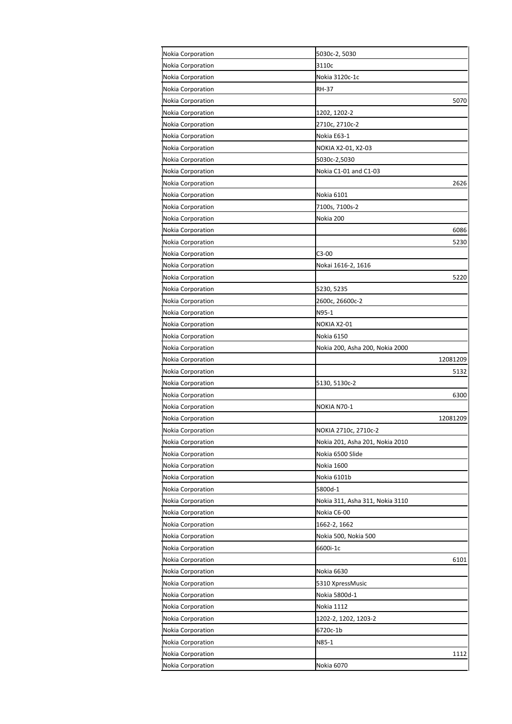| Nokia Corporation        | 5030c-2, 5030                   |
|--------------------------|---------------------------------|
| <b>Nokia Corporation</b> | 3110c                           |
| Nokia Corporation        | Nokia 3120c-1c                  |
| Nokia Corporation        | <b>RH-37</b>                    |
| Nokia Corporation        | 5070                            |
| Nokia Corporation        | 1202, 1202-2                    |
| Nokia Corporation        | 2710c, 2710c-2                  |
| <b>Nokia Corporation</b> | Nokia E63-1                     |
| Nokia Corporation        | NOKIA X2-01, X2-03              |
| Nokia Corporation        | 5030c-2,5030                    |
| Nokia Corporation        | Nokia C1-01 and C1-03           |
| Nokia Corporation        | 2626                            |
| Nokia Corporation        | Nokia 6101                      |
| Nokia Corporation        | 7100s, 7100s-2                  |
| Nokia Corporation        | Nokia 200                       |
| Nokia Corporation        | 6086                            |
| <b>Nokia Corporation</b> | 5230                            |
| Nokia Corporation        | C3-00                           |
| Nokia Corporation        | Nokai 1616-2, 1616              |
| Nokia Corporation        | 5220                            |
| Nokia Corporation        | 5230, 5235                      |
| Nokia Corporation        | 2600c, 26600c-2                 |
| Nokia Corporation        | N95-1                           |
| <b>Nokia Corporation</b> | NOKIA X2-01                     |
| <b>Nokia Corporation</b> | Nokia 6150                      |
| Nokia Corporation        | Nokia 200, Asha 200, Nokia 2000 |
| <b>Nokia Corporation</b> | 12081209                        |
| <b>Nokia Corporation</b> | 5132                            |
| Nokia Corporation        | 5130, 5130c-2                   |
| Nokia Corporation        | 6300                            |
| <b>Nokia Corporation</b> | NOKIA N70-1                     |
| Nokia Corporation        | 12081209                        |
| Nokia Corporation        | NOKIA 2710c, 2710c-2            |
| Nokia Corporation        | Nokia 201, Asha 201, Nokia 2010 |
| Nokia Corporation        | Nokia 6500 Slide                |
| Nokia Corporation        | Nokia 1600                      |
| Nokia Corporation        | Nokia 6101b                     |
| Nokia Corporation        | 5800d-1                         |
| Nokia Corporation        | Nokia 311, Asha 311, Nokia 3110 |
| Nokia Corporation        | Nokia C6-00                     |
| Nokia Corporation        | 1662-2, 1662                    |
| Nokia Corporation        | Nokia 500, Nokia 500            |
| Nokia Corporation        | 6600i-1c                        |
| Nokia Corporation        | 6101                            |
| Nokia Corporation        | Nokia 6630                      |
| Nokia Corporation        | 5310 XpressMusic                |
| Nokia Corporation        | Nokia 5800d-1                   |
| Nokia Corporation        | <b>Nokia 1112</b>               |
| <b>Nokia Corporation</b> | 1202-2, 1202, 1203-2            |
| Nokia Corporation        | 6720c-1b                        |
| Nokia Corporation        | N85-1                           |
| Nokia Corporation        | 1112                            |
| Nokia Corporation        | Nokia 6070                      |
|                          |                                 |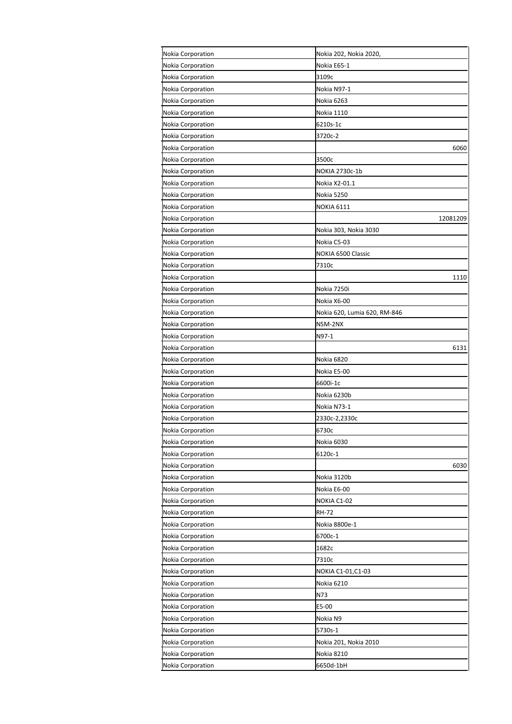| Nokia Corporation        | Nokia 202, Nokia 2020,       |
|--------------------------|------------------------------|
| Nokia Corporation        | Nokia E65-1                  |
| Nokia Corporation        | 3109с                        |
| Nokia Corporation        | Nokia N97-1                  |
| Nokia Corporation        | Nokia 6263                   |
| Nokia Corporation        | Nokia 1110                   |
| Nokia Corporation        | 6210s-1c                     |
| Nokia Corporation        | 3720c-2                      |
| Nokia Corporation        | 6060                         |
| Nokia Corporation        | 3500c                        |
| Nokia Corporation        | NOKIA 2730c-1b               |
| Nokia Corporation        | Nokia X2-01.1                |
| Nokia Corporation        | Nokia 5250                   |
| Nokia Corporation        | <b>NOKIA 6111</b>            |
| Nokia Corporation        | 12081209                     |
| Nokia Corporation        | Nokia 303, Nokia 3030        |
| Nokia Corporation        | Nokia C5-03                  |
| Nokia Corporation        | NOKIA 6500 Classic           |
| Nokia Corporation        | 7310c                        |
| Nokia Corporation        | 1110                         |
| Nokia Corporation        | Nokia 7250i                  |
| Nokia Corporation        | Nokia X6-00                  |
| Nokia Corporation        | Nokia 620, Lumia 620, RM-846 |
| <b>Nokia Corporation</b> | NSM-2NX                      |
| Nokia Corporation        | N97-1                        |
| Nokia Corporation        | 6131                         |
| <b>Nokia Corporation</b> | Nokia 6820                   |
| Nokia Corporation        | Nokia E5-00                  |
| Nokia Corporation        | 6600i-1c                     |
| Nokia Corporation        | Nokia 6230b                  |
| <b>Nokia Corporation</b> | Nokia N73-1                  |
| Nokia Corporation        | 2330c-2,2330c                |
| Nokia Corporation        | 6730c                        |
| Nokia Corporation        | Nokia 6030                   |
| Nokia Corporation        | 6120c-1                      |
| Nokia Corporation        | 6030                         |
| Nokia Corporation        | Nokia 3120b                  |
| Nokia Corporation        | Nokia E6-00                  |
| Nokia Corporation        | NOKIA C1-02                  |
| Nokia Corporation        | <b>RH-72</b>                 |
| Nokia Corporation        | Nokia 8800e-1                |
| Nokia Corporation        | 6700c-1                      |
|                          |                              |
| Nokia Corporation        | 1682c                        |
| Nokia Corporation        | 7310c                        |
| Nokia Corporation        | NOKIA C1-01,C1-03            |
| Nokia Corporation        | Nokia 6210                   |
| Nokia Corporation        | N73                          |
| Nokia Corporation        | E5-00                        |
| Nokia Corporation        | Nokia N9                     |
| Nokia Corporation        | 5730s-1                      |
| Nokia Corporation        | Nokia 201, Nokia 2010        |
| Nokia Corporation        | Nokia 8210                   |
| Nokia Corporation        | 6650d-1bH                    |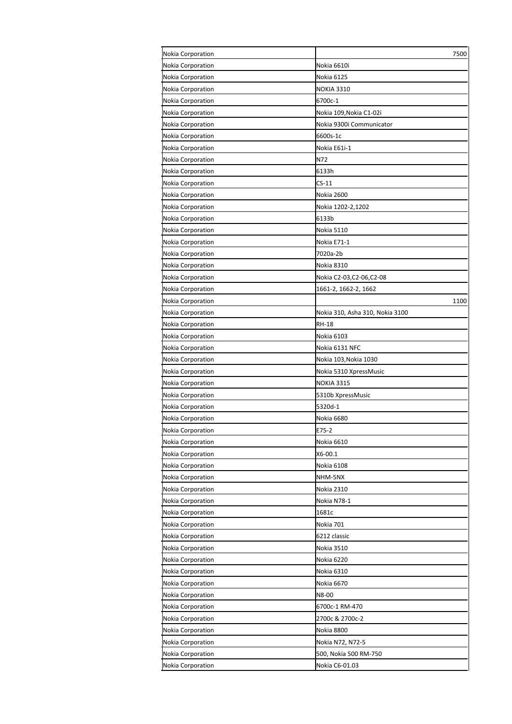| Nokia Corporation        | 7500                            |
|--------------------------|---------------------------------|
| Nokia Corporation        | Nokia 6610i                     |
| Nokia Corporation        | Nokia 6125                      |
| Nokia Corporation        | <b>NOKIA 3310</b>               |
| Nokia Corporation        | 6700c-1                         |
| Nokia Corporation        | Nokia 109, Nokia C1-02i         |
| Nokia Corporation        | Nokia 9300i Communicator        |
| Nokia Corporation        | 6600s-1c                        |
| Nokia Corporation        | Nokia E61i-1                    |
| Nokia Corporation        | N72                             |
| Nokia Corporation        | 6133h                           |
| Nokia Corporation        | $CS-11$                         |
| Nokia Corporation        | Nokia 2600                      |
| Nokia Corporation        | Nokia 1202-2,1202               |
| Nokia Corporation        | 6133b                           |
| Nokia Corporation        | Nokia 5110                      |
| Nokia Corporation        | Nokia E71-1                     |
| Nokia Corporation        | 7020a-2b                        |
| Nokia Corporation        | Nokia 8310                      |
| Nokia Corporation        | Nokia C2-03,C2-06,C2-08         |
| Nokia Corporation        | 1661-2, 1662-2, 1662            |
| Nokia Corporation        | 1100                            |
| Nokia Corporation        | Nokia 310, Asha 310, Nokia 3100 |
| Nokia Corporation        | RH-18                           |
| Nokia Corporation        | Nokia 6103                      |
| Nokia Corporation        | Nokia 6131 NFC                  |
| Nokia Corporation        | Nokia 103, Nokia 1030           |
| Nokia Corporation        | Nokia 5310 XpressMusic          |
| Nokia Corporation        | <b>NOKIA 3315</b>               |
| Nokia Corporation        | 5310b XpressMusic               |
| Nokia Corporation        | 5320d-1                         |
| Nokia Corporation        | Nokia 6680                      |
| <b>Nokia Corporation</b> | E75-2                           |
| Nokia Corporation        | Nokia 6610                      |
| Nokia Corporation        | X6-00.1                         |
| Nokia Corporation        | Nokia 6108                      |
| Nokia Corporation        | NHM-5NX                         |
| Nokia Corporation        | Nokia 2310                      |
| Nokia Corporation        | Nokia N78-1                     |
| Nokia Corporation        | 1681c                           |
| Nokia Corporation        | Nokia 701                       |
| Nokia Corporation        | 6212 classic                    |
| Nokia Corporation        | Nokia 3510                      |
| Nokia Corporation        | Nokia 6220                      |
| Nokia Corporation        | Nokia 6310                      |
| Nokia Corporation        | Nokia 6670                      |
| Nokia Corporation        | N8-00                           |
| Nokia Corporation        | 6700c-1 RM-470                  |
| Nokia Corporation        | 2700c & 2700c-2                 |
| Nokia Corporation        | Nokia 8800                      |
| Nokia Corporation        | Nokia N72, N72-5                |
| Nokia Corporation        | 500, Nokia 500 RM-750           |
| Nokia Corporation        | Nokia C6-01.03                  |
|                          |                                 |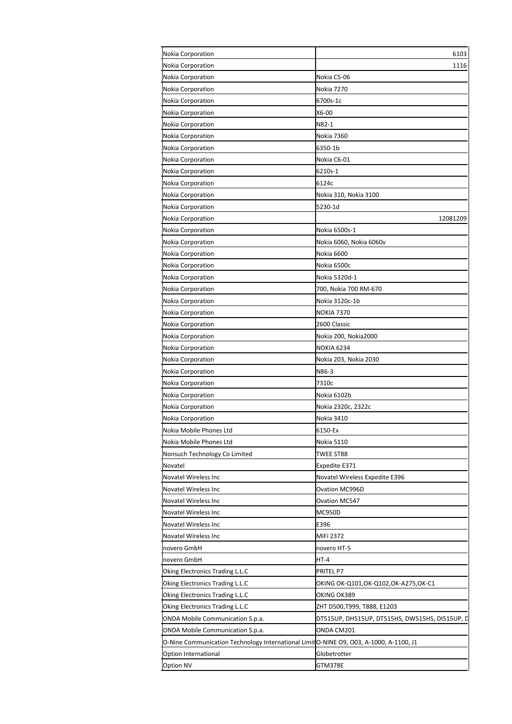| Nokia Corporation                                                                      | 6103                                           |
|----------------------------------------------------------------------------------------|------------------------------------------------|
| Nokia Corporation                                                                      | 1116                                           |
| <b>Nokia Corporation</b>                                                               | Nokia C5-06                                    |
| Nokia Corporation                                                                      | Nokia 7270                                     |
| Nokia Corporation                                                                      | 6700s-1c                                       |
| Nokia Corporation                                                                      | X6-00                                          |
| <b>Nokia Corporation</b>                                                               | N82-1                                          |
| Nokia Corporation                                                                      | <b>Nokia 7360</b>                              |
| Nokia Corporation                                                                      | 6350-1b                                        |
| Nokia Corporation                                                                      | Nokia C6-01                                    |
| Nokia Corporation                                                                      | 6210s-1                                        |
| Nokia Corporation                                                                      | 6124c                                          |
| Nokia Corporation                                                                      | Nokia 310, Nokia 3100                          |
| <b>Nokia Corporation</b>                                                               | 5230-1d                                        |
| Nokia Corporation                                                                      | 12081209                                       |
| Nokia Corporation                                                                      | Nokia 6500s-1                                  |
| Nokia Corporation                                                                      | Nokia 6060, Nokia 6060v                        |
| Nokia Corporation                                                                      | Nokia 6600                                     |
| Nokia Corporation                                                                      | Nokia 6500c                                    |
| Nokia Corporation                                                                      | Nokia 5320d-1                                  |
| Nokia Corporation                                                                      | 700, Nokia 700 RM-670                          |
| Nokia Corporation                                                                      | Nokia 3120c-1b                                 |
| Nokia Corporation                                                                      | <b>NOKIA 7370</b>                              |
| Nokia Corporation                                                                      | 2600 Classic                                   |
| Nokia Corporation                                                                      | Nokia 200, Nokia2000                           |
| Nokia Corporation                                                                      | <b>NOKIA 6234</b>                              |
| Nokia Corporation                                                                      | Nokia 203, Nokia 2030                          |
| <b>Nokia Corporation</b>                                                               | N86-3                                          |
| Nokia Corporation                                                                      | 7310c                                          |
| Nokia Corporation                                                                      | Nokia 6102b                                    |
| Nokia Corporation                                                                      | Nokia 2320c, 2322c                             |
| Nokia Corporation                                                                      | Nokia 3410                                     |
| Nokia Mobile Phones Ltd                                                                | 6150-Ex                                        |
| Nokia Mobile Phones Ltd                                                                | Nokia 5110                                     |
| Nonsuch Technology Co Limited                                                          | TWEE ST88                                      |
| Novatel                                                                                | Expedite E371                                  |
| Novatel Wireless Inc                                                                   | Novatel Wireless Expedite E396                 |
| Novatel Wireless Inc                                                                   | Ovation MC996D                                 |
| Novatel Wireless Inc                                                                   | Ovation MC547                                  |
| Novatel Wireless Inc                                                                   | <b>MC950D</b>                                  |
|                                                                                        | E396                                           |
| Novatel Wireless Inc                                                                   | MiFi 2372                                      |
| Novatel Wireless Inc                                                                   |                                                |
| novero GmbH                                                                            | novero HT-5                                    |
| novero GmbH                                                                            | $HT-4$                                         |
| Oking Electronics Trading L.L.C                                                        | PRITEL P7                                      |
| Oking Electronics Trading L.L.C                                                        | OKING OK-Q101,OK-Q102,OK-A275,OK-C1            |
| Oking Electronics Trading L.L.C                                                        | OKING OK389                                    |
| Oking Electronics Trading L.L.C                                                        | ZHT D500,T999, T888, E1203                     |
| ONDA Mobile Communication S.p.a.                                                       | DT515UP, DH515UP, DT515HS, DW515HS, DI515UP, D |
| ONDA Mobile Communication S.p.a.                                                       | ONDA CM201                                     |
| O-Nine Communication Technology International Limit O-NINE O9, O03, A-1000, A-1100, J1 |                                                |
| Option International                                                                   | Globetrotter                                   |
| Option NV                                                                              | GTM378E                                        |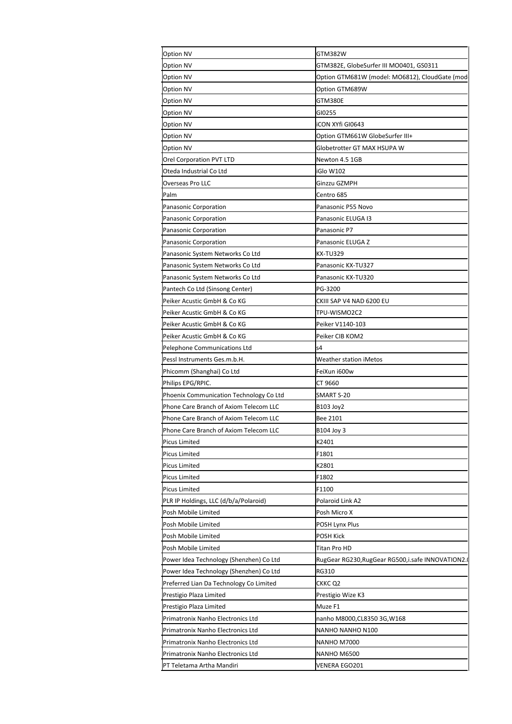| GTM382E, GlobeSurfer III MO0401, GS0311<br>Option GTM681W (model: MO6812), CloudGate (mod<br>Option GTM689W<br>GTM380E<br>GI0255<br>iCON XYfi GI0643<br>Option GTM661W GlobeSurfer III+<br>Globetrotter GT MAX HSUPA W<br>Newton 4.5 1GB<br>iGlo W102<br>Ginzzu GZMPH<br>Centro 685<br>Panasonic Corporation<br>Panasonic P55 Novo<br>Panasonic Corporation<br>Panasonic ELUGA I3<br>Panasonic P7<br>Panasonic ELUGA Z<br>KX-TU329<br>Panasonic System Networks Co Ltd<br>Panasonic KX-TU327<br>Panasonic System Networks Co Ltd<br>Panasonic KX-TU320<br>PG-3200<br>Pantech Co Ltd (Sinsong Center)<br>Peiker Acustic GmbH & Co KG<br>CKIII SAP V4 NAD 6200 EU<br>TPU-WISMO2C2<br>Peiker Acustic GmbH & Co KG<br>Peiker Acustic GmbH & Co KG<br>Peiker V1140-103<br>Peiker CIB KOM2<br>Peiker Acustic GmbH & Co KG<br>s4<br>Pelephone Communications Ltd<br>Pessl Instruments Ges.m.b.H.<br><b>Weather station iMetos</b><br>FeiXun i600w<br>Phicomm (Shanghai) Co Ltd<br>Philips EPG/RPIC.<br>CT 9660<br>Phoenix Communication Technology Co Ltd<br>SMART S-20<br>Phone Care Branch of Axiom Telecom LLC<br>B103 Joy2<br>Phone Care Branch of Axiom Telecom LLC<br>Bee 2101<br>Phone Care Branch of Axiom Telecom LLC<br>B104 Joy 3<br>K2401<br><b>Picus Limited</b><br>F1801<br><b>Picus Limited</b><br>Picus Limited<br>K2801<br>F1802<br>Picus Limited<br>F1100<br><b>Picus Limited</b><br>PLR IP Holdings, LLC (d/b/a/Polaroid)<br>Polaroid Link A2<br>Posh Mobile Limited<br>Posh Micro X<br>Posh Mobile Limited<br>POSH Lynx Plus<br><b>POSH Kick</b><br>Posh Mobile Limited<br>Posh Mobile Limited<br>Titan Pro HD<br>Power Idea Technology (Shenzhen) Co Ltd<br>RugGear RG230, RugGear RG500, i.safe INNOVATION2.<br>RG310<br>CKKC Q2<br>Prestigio Wize K3<br>Muze F1<br>nanho M8000,CL8350 3G,W168<br>NANHO NANHO N100<br>NANHO M7000<br>NANHO M6500<br>VENERA EGO201 | <b>Option NV</b>                        | GTM382W |
|----------------------------------------------------------------------------------------------------------------------------------------------------------------------------------------------------------------------------------------------------------------------------------------------------------------------------------------------------------------------------------------------------------------------------------------------------------------------------------------------------------------------------------------------------------------------------------------------------------------------------------------------------------------------------------------------------------------------------------------------------------------------------------------------------------------------------------------------------------------------------------------------------------------------------------------------------------------------------------------------------------------------------------------------------------------------------------------------------------------------------------------------------------------------------------------------------------------------------------------------------------------------------------------------------------------------------------------------------------------------------------------------------------------------------------------------------------------------------------------------------------------------------------------------------------------------------------------------------------------------------------------------------------------------------------------------------------------------------------------------------------------------------------------------------------------------------------------------------------------------------------|-----------------------------------------|---------|
|                                                                                                                                                                                                                                                                                                                                                                                                                                                                                                                                                                                                                                                                                                                                                                                                                                                                                                                                                                                                                                                                                                                                                                                                                                                                                                                                                                                                                                                                                                                                                                                                                                                                                                                                                                                                                                                                                  | <b>Option NV</b>                        |         |
|                                                                                                                                                                                                                                                                                                                                                                                                                                                                                                                                                                                                                                                                                                                                                                                                                                                                                                                                                                                                                                                                                                                                                                                                                                                                                                                                                                                                                                                                                                                                                                                                                                                                                                                                                                                                                                                                                  | Option NV                               |         |
|                                                                                                                                                                                                                                                                                                                                                                                                                                                                                                                                                                                                                                                                                                                                                                                                                                                                                                                                                                                                                                                                                                                                                                                                                                                                                                                                                                                                                                                                                                                                                                                                                                                                                                                                                                                                                                                                                  | Option NV                               |         |
|                                                                                                                                                                                                                                                                                                                                                                                                                                                                                                                                                                                                                                                                                                                                                                                                                                                                                                                                                                                                                                                                                                                                                                                                                                                                                                                                                                                                                                                                                                                                                                                                                                                                                                                                                                                                                                                                                  | <b>Option NV</b>                        |         |
|                                                                                                                                                                                                                                                                                                                                                                                                                                                                                                                                                                                                                                                                                                                                                                                                                                                                                                                                                                                                                                                                                                                                                                                                                                                                                                                                                                                                                                                                                                                                                                                                                                                                                                                                                                                                                                                                                  | <b>Option NV</b>                        |         |
|                                                                                                                                                                                                                                                                                                                                                                                                                                                                                                                                                                                                                                                                                                                                                                                                                                                                                                                                                                                                                                                                                                                                                                                                                                                                                                                                                                                                                                                                                                                                                                                                                                                                                                                                                                                                                                                                                  | <b>Option NV</b>                        |         |
|                                                                                                                                                                                                                                                                                                                                                                                                                                                                                                                                                                                                                                                                                                                                                                                                                                                                                                                                                                                                                                                                                                                                                                                                                                                                                                                                                                                                                                                                                                                                                                                                                                                                                                                                                                                                                                                                                  | Option NV                               |         |
|                                                                                                                                                                                                                                                                                                                                                                                                                                                                                                                                                                                                                                                                                                                                                                                                                                                                                                                                                                                                                                                                                                                                                                                                                                                                                                                                                                                                                                                                                                                                                                                                                                                                                                                                                                                                                                                                                  | <b>Option NV</b>                        |         |
|                                                                                                                                                                                                                                                                                                                                                                                                                                                                                                                                                                                                                                                                                                                                                                                                                                                                                                                                                                                                                                                                                                                                                                                                                                                                                                                                                                                                                                                                                                                                                                                                                                                                                                                                                                                                                                                                                  | Orel Corporation PVT LTD                |         |
|                                                                                                                                                                                                                                                                                                                                                                                                                                                                                                                                                                                                                                                                                                                                                                                                                                                                                                                                                                                                                                                                                                                                                                                                                                                                                                                                                                                                                                                                                                                                                                                                                                                                                                                                                                                                                                                                                  | Oteda Industrial Co Ltd                 |         |
|                                                                                                                                                                                                                                                                                                                                                                                                                                                                                                                                                                                                                                                                                                                                                                                                                                                                                                                                                                                                                                                                                                                                                                                                                                                                                                                                                                                                                                                                                                                                                                                                                                                                                                                                                                                                                                                                                  | Overseas Pro LLC                        |         |
|                                                                                                                                                                                                                                                                                                                                                                                                                                                                                                                                                                                                                                                                                                                                                                                                                                                                                                                                                                                                                                                                                                                                                                                                                                                                                                                                                                                                                                                                                                                                                                                                                                                                                                                                                                                                                                                                                  | Palm                                    |         |
|                                                                                                                                                                                                                                                                                                                                                                                                                                                                                                                                                                                                                                                                                                                                                                                                                                                                                                                                                                                                                                                                                                                                                                                                                                                                                                                                                                                                                                                                                                                                                                                                                                                                                                                                                                                                                                                                                  |                                         |         |
|                                                                                                                                                                                                                                                                                                                                                                                                                                                                                                                                                                                                                                                                                                                                                                                                                                                                                                                                                                                                                                                                                                                                                                                                                                                                                                                                                                                                                                                                                                                                                                                                                                                                                                                                                                                                                                                                                  |                                         |         |
|                                                                                                                                                                                                                                                                                                                                                                                                                                                                                                                                                                                                                                                                                                                                                                                                                                                                                                                                                                                                                                                                                                                                                                                                                                                                                                                                                                                                                                                                                                                                                                                                                                                                                                                                                                                                                                                                                  | Panasonic Corporation                   |         |
|                                                                                                                                                                                                                                                                                                                                                                                                                                                                                                                                                                                                                                                                                                                                                                                                                                                                                                                                                                                                                                                                                                                                                                                                                                                                                                                                                                                                                                                                                                                                                                                                                                                                                                                                                                                                                                                                                  | Panasonic Corporation                   |         |
|                                                                                                                                                                                                                                                                                                                                                                                                                                                                                                                                                                                                                                                                                                                                                                                                                                                                                                                                                                                                                                                                                                                                                                                                                                                                                                                                                                                                                                                                                                                                                                                                                                                                                                                                                                                                                                                                                  | Panasonic System Networks Co Ltd        |         |
|                                                                                                                                                                                                                                                                                                                                                                                                                                                                                                                                                                                                                                                                                                                                                                                                                                                                                                                                                                                                                                                                                                                                                                                                                                                                                                                                                                                                                                                                                                                                                                                                                                                                                                                                                                                                                                                                                  |                                         |         |
|                                                                                                                                                                                                                                                                                                                                                                                                                                                                                                                                                                                                                                                                                                                                                                                                                                                                                                                                                                                                                                                                                                                                                                                                                                                                                                                                                                                                                                                                                                                                                                                                                                                                                                                                                                                                                                                                                  |                                         |         |
|                                                                                                                                                                                                                                                                                                                                                                                                                                                                                                                                                                                                                                                                                                                                                                                                                                                                                                                                                                                                                                                                                                                                                                                                                                                                                                                                                                                                                                                                                                                                                                                                                                                                                                                                                                                                                                                                                  |                                         |         |
|                                                                                                                                                                                                                                                                                                                                                                                                                                                                                                                                                                                                                                                                                                                                                                                                                                                                                                                                                                                                                                                                                                                                                                                                                                                                                                                                                                                                                                                                                                                                                                                                                                                                                                                                                                                                                                                                                  |                                         |         |
|                                                                                                                                                                                                                                                                                                                                                                                                                                                                                                                                                                                                                                                                                                                                                                                                                                                                                                                                                                                                                                                                                                                                                                                                                                                                                                                                                                                                                                                                                                                                                                                                                                                                                                                                                                                                                                                                                  |                                         |         |
|                                                                                                                                                                                                                                                                                                                                                                                                                                                                                                                                                                                                                                                                                                                                                                                                                                                                                                                                                                                                                                                                                                                                                                                                                                                                                                                                                                                                                                                                                                                                                                                                                                                                                                                                                                                                                                                                                  |                                         |         |
|                                                                                                                                                                                                                                                                                                                                                                                                                                                                                                                                                                                                                                                                                                                                                                                                                                                                                                                                                                                                                                                                                                                                                                                                                                                                                                                                                                                                                                                                                                                                                                                                                                                                                                                                                                                                                                                                                  |                                         |         |
|                                                                                                                                                                                                                                                                                                                                                                                                                                                                                                                                                                                                                                                                                                                                                                                                                                                                                                                                                                                                                                                                                                                                                                                                                                                                                                                                                                                                                                                                                                                                                                                                                                                                                                                                                                                                                                                                                  |                                         |         |
|                                                                                                                                                                                                                                                                                                                                                                                                                                                                                                                                                                                                                                                                                                                                                                                                                                                                                                                                                                                                                                                                                                                                                                                                                                                                                                                                                                                                                                                                                                                                                                                                                                                                                                                                                                                                                                                                                  |                                         |         |
|                                                                                                                                                                                                                                                                                                                                                                                                                                                                                                                                                                                                                                                                                                                                                                                                                                                                                                                                                                                                                                                                                                                                                                                                                                                                                                                                                                                                                                                                                                                                                                                                                                                                                                                                                                                                                                                                                  |                                         |         |
|                                                                                                                                                                                                                                                                                                                                                                                                                                                                                                                                                                                                                                                                                                                                                                                                                                                                                                                                                                                                                                                                                                                                                                                                                                                                                                                                                                                                                                                                                                                                                                                                                                                                                                                                                                                                                                                                                  |                                         |         |
|                                                                                                                                                                                                                                                                                                                                                                                                                                                                                                                                                                                                                                                                                                                                                                                                                                                                                                                                                                                                                                                                                                                                                                                                                                                                                                                                                                                                                                                                                                                                                                                                                                                                                                                                                                                                                                                                                  |                                         |         |
|                                                                                                                                                                                                                                                                                                                                                                                                                                                                                                                                                                                                                                                                                                                                                                                                                                                                                                                                                                                                                                                                                                                                                                                                                                                                                                                                                                                                                                                                                                                                                                                                                                                                                                                                                                                                                                                                                  |                                         |         |
|                                                                                                                                                                                                                                                                                                                                                                                                                                                                                                                                                                                                                                                                                                                                                                                                                                                                                                                                                                                                                                                                                                                                                                                                                                                                                                                                                                                                                                                                                                                                                                                                                                                                                                                                                                                                                                                                                  |                                         |         |
|                                                                                                                                                                                                                                                                                                                                                                                                                                                                                                                                                                                                                                                                                                                                                                                                                                                                                                                                                                                                                                                                                                                                                                                                                                                                                                                                                                                                                                                                                                                                                                                                                                                                                                                                                                                                                                                                                  |                                         |         |
|                                                                                                                                                                                                                                                                                                                                                                                                                                                                                                                                                                                                                                                                                                                                                                                                                                                                                                                                                                                                                                                                                                                                                                                                                                                                                                                                                                                                                                                                                                                                                                                                                                                                                                                                                                                                                                                                                  |                                         |         |
|                                                                                                                                                                                                                                                                                                                                                                                                                                                                                                                                                                                                                                                                                                                                                                                                                                                                                                                                                                                                                                                                                                                                                                                                                                                                                                                                                                                                                                                                                                                                                                                                                                                                                                                                                                                                                                                                                  |                                         |         |
|                                                                                                                                                                                                                                                                                                                                                                                                                                                                                                                                                                                                                                                                                                                                                                                                                                                                                                                                                                                                                                                                                                                                                                                                                                                                                                                                                                                                                                                                                                                                                                                                                                                                                                                                                                                                                                                                                  |                                         |         |
|                                                                                                                                                                                                                                                                                                                                                                                                                                                                                                                                                                                                                                                                                                                                                                                                                                                                                                                                                                                                                                                                                                                                                                                                                                                                                                                                                                                                                                                                                                                                                                                                                                                                                                                                                                                                                                                                                  |                                         |         |
|                                                                                                                                                                                                                                                                                                                                                                                                                                                                                                                                                                                                                                                                                                                                                                                                                                                                                                                                                                                                                                                                                                                                                                                                                                                                                                                                                                                                                                                                                                                                                                                                                                                                                                                                                                                                                                                                                  |                                         |         |
|                                                                                                                                                                                                                                                                                                                                                                                                                                                                                                                                                                                                                                                                                                                                                                                                                                                                                                                                                                                                                                                                                                                                                                                                                                                                                                                                                                                                                                                                                                                                                                                                                                                                                                                                                                                                                                                                                  |                                         |         |
|                                                                                                                                                                                                                                                                                                                                                                                                                                                                                                                                                                                                                                                                                                                                                                                                                                                                                                                                                                                                                                                                                                                                                                                                                                                                                                                                                                                                                                                                                                                                                                                                                                                                                                                                                                                                                                                                                  |                                         |         |
|                                                                                                                                                                                                                                                                                                                                                                                                                                                                                                                                                                                                                                                                                                                                                                                                                                                                                                                                                                                                                                                                                                                                                                                                                                                                                                                                                                                                                                                                                                                                                                                                                                                                                                                                                                                                                                                                                  |                                         |         |
|                                                                                                                                                                                                                                                                                                                                                                                                                                                                                                                                                                                                                                                                                                                                                                                                                                                                                                                                                                                                                                                                                                                                                                                                                                                                                                                                                                                                                                                                                                                                                                                                                                                                                                                                                                                                                                                                                  |                                         |         |
|                                                                                                                                                                                                                                                                                                                                                                                                                                                                                                                                                                                                                                                                                                                                                                                                                                                                                                                                                                                                                                                                                                                                                                                                                                                                                                                                                                                                                                                                                                                                                                                                                                                                                                                                                                                                                                                                                  |                                         |         |
|                                                                                                                                                                                                                                                                                                                                                                                                                                                                                                                                                                                                                                                                                                                                                                                                                                                                                                                                                                                                                                                                                                                                                                                                                                                                                                                                                                                                                                                                                                                                                                                                                                                                                                                                                                                                                                                                                  |                                         |         |
|                                                                                                                                                                                                                                                                                                                                                                                                                                                                                                                                                                                                                                                                                                                                                                                                                                                                                                                                                                                                                                                                                                                                                                                                                                                                                                                                                                                                                                                                                                                                                                                                                                                                                                                                                                                                                                                                                  |                                         |         |
|                                                                                                                                                                                                                                                                                                                                                                                                                                                                                                                                                                                                                                                                                                                                                                                                                                                                                                                                                                                                                                                                                                                                                                                                                                                                                                                                                                                                                                                                                                                                                                                                                                                                                                                                                                                                                                                                                  | Power Idea Technology (Shenzhen) Co Ltd |         |
|                                                                                                                                                                                                                                                                                                                                                                                                                                                                                                                                                                                                                                                                                                                                                                                                                                                                                                                                                                                                                                                                                                                                                                                                                                                                                                                                                                                                                                                                                                                                                                                                                                                                                                                                                                                                                                                                                  | Preferred Lian Da Technology Co Limited |         |
|                                                                                                                                                                                                                                                                                                                                                                                                                                                                                                                                                                                                                                                                                                                                                                                                                                                                                                                                                                                                                                                                                                                                                                                                                                                                                                                                                                                                                                                                                                                                                                                                                                                                                                                                                                                                                                                                                  | Prestigio Plaza Limited                 |         |
|                                                                                                                                                                                                                                                                                                                                                                                                                                                                                                                                                                                                                                                                                                                                                                                                                                                                                                                                                                                                                                                                                                                                                                                                                                                                                                                                                                                                                                                                                                                                                                                                                                                                                                                                                                                                                                                                                  | Prestigio Plaza Limited                 |         |
|                                                                                                                                                                                                                                                                                                                                                                                                                                                                                                                                                                                                                                                                                                                                                                                                                                                                                                                                                                                                                                                                                                                                                                                                                                                                                                                                                                                                                                                                                                                                                                                                                                                                                                                                                                                                                                                                                  | Primatronix Nanho Electronics Ltd       |         |
|                                                                                                                                                                                                                                                                                                                                                                                                                                                                                                                                                                                                                                                                                                                                                                                                                                                                                                                                                                                                                                                                                                                                                                                                                                                                                                                                                                                                                                                                                                                                                                                                                                                                                                                                                                                                                                                                                  | Primatronix Nanho Electronics Ltd       |         |
|                                                                                                                                                                                                                                                                                                                                                                                                                                                                                                                                                                                                                                                                                                                                                                                                                                                                                                                                                                                                                                                                                                                                                                                                                                                                                                                                                                                                                                                                                                                                                                                                                                                                                                                                                                                                                                                                                  | Primatronix Nanho Electronics Ltd       |         |
|                                                                                                                                                                                                                                                                                                                                                                                                                                                                                                                                                                                                                                                                                                                                                                                                                                                                                                                                                                                                                                                                                                                                                                                                                                                                                                                                                                                                                                                                                                                                                                                                                                                                                                                                                                                                                                                                                  | Primatronix Nanho Electronics Ltd       |         |
|                                                                                                                                                                                                                                                                                                                                                                                                                                                                                                                                                                                                                                                                                                                                                                                                                                                                                                                                                                                                                                                                                                                                                                                                                                                                                                                                                                                                                                                                                                                                                                                                                                                                                                                                                                                                                                                                                  | PT Teletama Artha Mandiri               |         |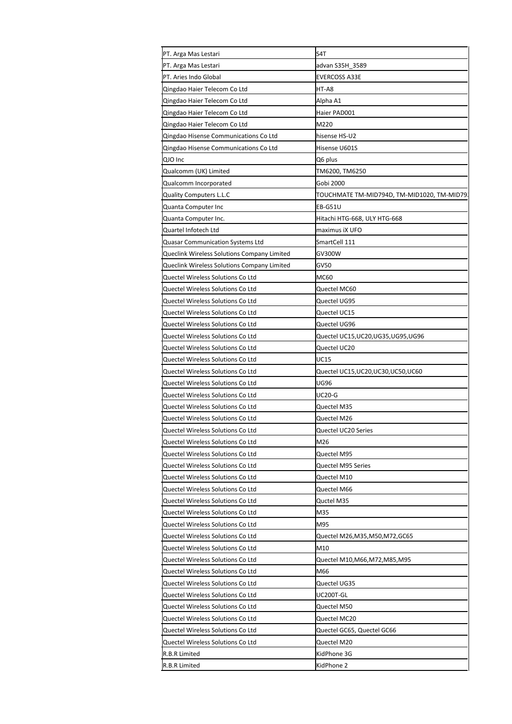| PT. Arga Mas Lestari                                                   | S4T                                              |
|------------------------------------------------------------------------|--------------------------------------------------|
| PT. Arga Mas Lestari                                                   | advan S35H_3589                                  |
| PT. Aries Indo Global                                                  | EVERCOSS A33E                                    |
| Qingdao Haier Telecom Co Ltd                                           | HT-A8                                            |
| Qingdao Haier Telecom Co Ltd                                           | Alpha A1                                         |
| Qingdao Haier Telecom Co Ltd                                           | Haier PAD001                                     |
| Qingdao Haier Telecom Co Ltd                                           | M220                                             |
| Qingdao Hisense Communications Co Ltd                                  | hisense HS-U2                                    |
| Qingdao Hisense Communications Co Ltd                                  | Hisense U601S                                    |
| QJO Inc                                                                | Q6 plus                                          |
| Qualcomm (UK) Limited                                                  | TM6200, TM6250                                   |
| Qualcomm Incorporated                                                  | Gobi 2000                                        |
| <b>Quality Computers L.L.C</b>                                         | TOUCHMATE TM-MID794D, TM-MID1020, TM-MID79       |
| Quanta Computer Inc                                                    | EB-G51U                                          |
| Quanta Computer Inc.                                                   | Hitachi HTG-668, ULY HTG-668                     |
| Quartel Infotech Ltd                                                   | maximus iX UFO                                   |
| Quasar Communication Systems Ltd                                       | SmartCell 111                                    |
| Queclink Wireless Solutions Company Limited                            | GV300W                                           |
| <b>Queclink Wireless Solutions Company Limited</b>                     | GV50                                             |
| Quectel Wireless Solutions Co Ltd                                      | MC60                                             |
| Quectel Wireless Solutions Co Ltd                                      | Quectel MC60                                     |
| Quectel Wireless Solutions Co Ltd                                      | Quectel UG95                                     |
| Quectel Wireless Solutions Co Ltd                                      | Quectel UC15                                     |
| Quectel Wireless Solutions Co Ltd                                      | Quectel UG96                                     |
| Quectel Wireless Solutions Co Ltd                                      |                                                  |
| Quectel Wireless Solutions Co Ltd                                      | Quectel UC15,UC20,UG35,UG95,UG96<br>Quectel UC20 |
| Quectel Wireless Solutions Co Ltd                                      | UC15                                             |
|                                                                        |                                                  |
| Quectel Wireless Solutions Co Ltd<br>Quectel Wireless Solutions Co Ltd | Quectel UC15,UC20,UC30,UC50,UC60<br>UG96         |
|                                                                        |                                                  |
| Quectel Wireless Solutions Co Ltd                                      | <b>UC20-G</b>                                    |
| Quectel Wireless Solutions Co Ltd                                      | Quectel M35                                      |
| Quectel Wireless Solutions Co Ltd                                      | Quectel M26                                      |
| Quectel Wireless Solutions Co Ltd                                      | Quectel UC20 Series                              |
| Quectel Wireless Solutions Co Ltd                                      | M26                                              |
| Quectel Wireless Solutions Co Ltd                                      | Quectel M95                                      |
| Quectel Wireless Solutions Co Ltd                                      | Quectel M95 Series                               |
| Quectel Wireless Solutions Co Ltd                                      | Quectel M10                                      |
| Quectel Wireless Solutions Co Ltd                                      | Quectel M66                                      |
| Quectel Wireless Solutions Co Ltd                                      | Quctel M35                                       |
| Quectel Wireless Solutions Co Ltd                                      | M35                                              |
| Quectel Wireless Solutions Co Ltd                                      | M95                                              |
| Quectel Wireless Solutions Co Ltd                                      | Quectel M26,M35,M50,M72,GC65                     |
| Quectel Wireless Solutions Co Ltd                                      | M10                                              |
| Quectel Wireless Solutions Co Ltd                                      | Quectel M10,M66,M72,M85,M95                      |
| Quectel Wireless Solutions Co Ltd                                      | M66                                              |
| Quectel Wireless Solutions Co Ltd                                      | Quectel UG35                                     |
| Quectel Wireless Solutions Co Ltd                                      | UC200T-GL                                        |
| Quectel Wireless Solutions Co Ltd                                      | Quectel M50                                      |
| Quectel Wireless Solutions Co Ltd                                      | Quectel MC20                                     |
| Quectel Wireless Solutions Co Ltd                                      | Quectel GC65, Quectel GC66                       |
| Quectel Wireless Solutions Co Ltd                                      | Quectel M20                                      |
| R.B.R Limited                                                          | KidPhone 3G                                      |
| R.B.R Limited                                                          | KidPhone 2                                       |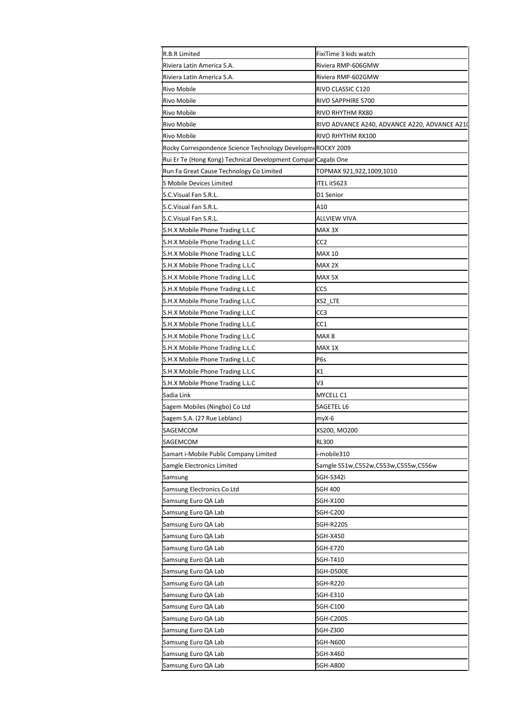| R.B.R Limited                                                 | FixiTime 3 kids watch                         |
|---------------------------------------------------------------|-----------------------------------------------|
| Riviera Latin America S.A.                                    | Riviera RMP-606GMW                            |
| Riviera Latin America S.A.                                    | Riviera RMP-602GMW                            |
| <b>Rivo Mobile</b>                                            | RIVO CLASSIC C120                             |
| <b>Rivo Mobile</b>                                            | RIVO SAPPHIRE S700                            |
| Rivo Mobile                                                   | RIVO RHYTHM RX80                              |
| <b>Rivo Mobile</b>                                            | RIVO ADVANCE A240, ADVANCE A220, ADVANCE A210 |
| <b>Rivo Mobile</b>                                            | RIVO RHYTHM RX100                             |
| Rocky Correspondence Science Technology Developm«ROCKY 2009   |                                               |
| Rui Er Te (Hong Kong) Technical Development Compar Cagabi One |                                               |
| Run Fa Great Cause Technology Co Limited                      | TOPMAX 921,922,1009,1010                      |
| <b>S Mobile Devices Limited</b>                               | ITEL it5623                                   |
| S.C.Visual Fan S.R.L.                                         | D1 Senior                                     |
| S.C.Visual Fan S.R.L.                                         | A10                                           |
| S.C.Visual Fan S.R.L.                                         | ALLVIEW VIVA                                  |
| S.H.X Mobile Phone Trading L.L.C                              | MAX <sub>3X</sub>                             |
| S.H.X Mobile Phone Trading L.L.C                              | CC2                                           |
| S.H.X Mobile Phone Trading L.L.C                              | MAX 10                                        |
| S.H.X Mobile Phone Trading L.L.C                              | MAX 2X                                        |
| S.H.X Mobile Phone Trading L.L.C                              | MAX 5X                                        |
| S.H.X Mobile Phone Trading L.L.C                              | CC5                                           |
| S.H.X Mobile Phone Trading L.L.C                              | XS2_LTE                                       |
| S.H.X Mobile Phone Trading L.L.C                              | CC3                                           |
| S.H.X Mobile Phone Trading L.L.C                              | CC1                                           |
| S.H.X Mobile Phone Trading L.L.C                              | MAX 8                                         |
| S.H.X Mobile Phone Trading L.L.C                              | MAX 1X                                        |
| S.H.X Mobile Phone Trading L.L.C                              | P <sub>6</sub> s                              |
| S.H.X Mobile Phone Trading L.L.C                              | X1                                            |
| S.H.X Mobile Phone Trading L.L.C                              | V3                                            |
| Sadia Link                                                    | MYCELL C1                                     |
| Sagem Mobiles (Ningbo) Co Ltd                                 | SAGETEL L6                                    |
| Sagem S.A. (27 Rue Leblanc)                                   | myX-6                                         |
| SAGEMCOM                                                      | XS200, MO200                                  |
| SAGEMCOM                                                      | <b>RL300</b>                                  |
| Samart i-Mobile Public Company Limited                        | i-mobile310                                   |
| Samgle Electronics Limited                                    | Samgle S51w,C552w,C553w,C555w,C556w           |
| Samsung                                                       | SGH-S342i                                     |
| Samsung Electronics Co Ltd                                    | SGH 400                                       |
| Samsung Euro QA Lab                                           | SGH-X100                                      |
| Samsung Euro QA Lab                                           | <b>SGH-C200</b>                               |
| Samsung Euro QA Lab                                           | <b>SGH-R220S</b>                              |
| Samsung Euro QA Lab                                           |                                               |
|                                                               | SGH-X450                                      |
| Samsung Euro QA Lab<br>Samsung Euro QA Lab                    | SGH-E720                                      |
|                                                               | SGH-T410                                      |
| Samsung Euro QA Lab                                           | SGH-D500E                                     |
| Samsung Euro QA Lab                                           | SGH-R220                                      |
| Samsung Euro QA Lab                                           | SGH-E310                                      |
| Samsung Euro QA Lab                                           | <b>SGH-C100</b>                               |
| Samsung Euro QA Lab                                           | SGH-C200S                                     |
| Samsung Euro QA Lab                                           | SGH-Z300                                      |
| Samsung Euro QA Lab                                           | SGH-N600                                      |
| Samsung Euro QA Lab                                           | SGH-X460                                      |
| Samsung Euro QA Lab                                           | <b>SGH-A800</b>                               |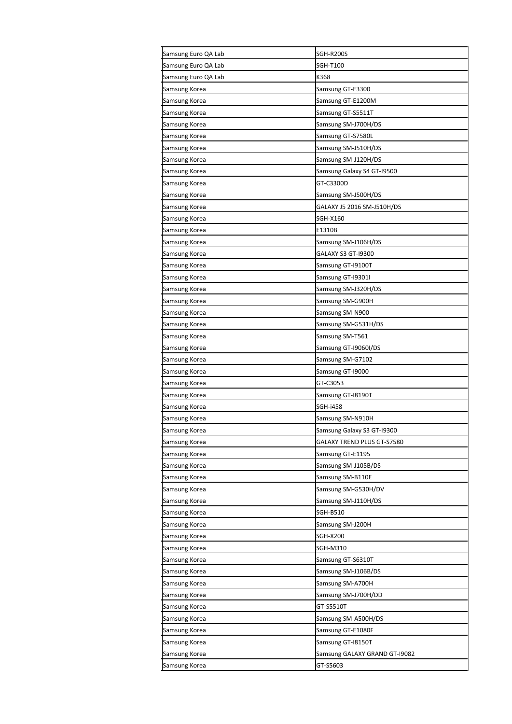| Samsung Euro QA Lab | SGH-R200S                     |
|---------------------|-------------------------------|
| Samsung Euro QA Lab | SGH-T100                      |
| Samsung Euro QA Lab | K368                          |
| Samsung Korea       | Samsung GT-E3300              |
| Samsung Korea       | Samsung GT-E1200M             |
| Samsung Korea       | Samsung GT-S5511T             |
| Samsung Korea       | Samsung SM-J700H/DS           |
| Samsung Korea       | Samsung GT-S7580L             |
| Samsung Korea       | Samsung SM-J510H/DS           |
| Samsung Korea       | Samsung SM-J120H/DS           |
| Samsung Korea       | Samsung Galaxy S4 GT-19500    |
| Samsung Korea       | GT-C3300D                     |
| Samsung Korea       | Samsung SM-J500H/DS           |
| Samsung Korea       | GALAXY J5 2016 SM-J510H/DS    |
| Samsung Korea       | SGH-X160                      |
| Samsung Korea       | E1310B                        |
| Samsung Korea       | Samsung SM-J106H/DS           |
| Samsung Korea       | GALAXY S3 GT-19300            |
| Samsung Korea       | Samsung GT-19100T             |
| Samsung Korea       | Samsung GT-193011             |
| Samsung Korea       | Samsung SM-J320H/DS           |
| Samsung Korea       | Samsung SM-G900H              |
| Samsung Korea       | Samsung SM-N900               |
| Samsung Korea       | Samsung SM-G531H/DS           |
| Samsung Korea       | Samsung SM-T561               |
| Samsung Korea       | Samsung GT-19060I/DS          |
| Samsung Korea       | Samsung SM-G7102              |
| Samsung Korea       | Samsung GT-19000              |
| Samsung Korea       | GT-C3053                      |
| Samsung Korea       | Samsung GT-18190T             |
| Samsung Korea       | SGH-i458                      |
| Samsung Korea       | Samsung SM-N910H              |
| Samsung Korea       | Samsung Galaxy S3 GT-19300    |
| Samsung Korea       | GALAXY TREND PLUS GT-S7580    |
| Samsung Korea       | Samsung GT-E1195              |
| Samsung Korea       | Samsung SM-J105B/DS           |
| Samsung Korea       | Samsung SM-B110E              |
| Samsung Korea       | Samsung SM-G530H/DV           |
| Samsung Korea       | Samsung SM-J110H/DS           |
| Samsung Korea       | SGH-B510                      |
| Samsung Korea       | Samsung SM-J200H              |
| Samsung Korea       | SGH-X200                      |
| Samsung Korea       | SGH-M310                      |
| Samsung Korea       | Samsung GT-S6310T             |
| Samsung Korea       | Samsung SM-J106B/DS           |
| Samsung Korea       | Samsung SM-A700H              |
| Samsung Korea       | Samsung SM-J700H/DD           |
| Samsung Korea       | GT-S5510T                     |
| Samsung Korea       | Samsung SM-A500H/DS           |
| Samsung Korea       | Samsung GT-E1080F             |
| Samsung Korea       | Samsung GT-18150T             |
| Samsung Korea       | Samsung GALAXY GRAND GT-19082 |
| Samsung Korea       | GT-S5603                      |
|                     |                               |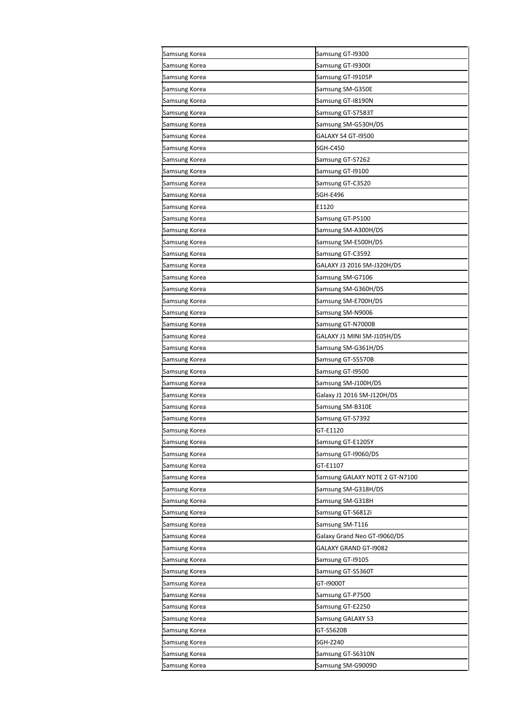| Samsung Korea | Samsung GT-19300               |
|---------------|--------------------------------|
| Samsung Korea | Samsung GT-19300I              |
| Samsung Korea | Samsung GT-19105P              |
| Samsung Korea | Samsung SM-G350E               |
| Samsung Korea | Samsung GT-18190N              |
| Samsung Korea | Samsung GT-S7583T              |
| Samsung Korea | Samsung SM-G530H/DS            |
| Samsung Korea | GALAXY S4 GT-19500             |
| Samsung Korea | <b>SGH-C450</b>                |
| Samsung Korea | Samsung GT-S7262               |
| Samsung Korea | Samsung GT-19100               |
| Samsung Korea | Samsung GT-C3520               |
| Samsung Korea | SGH-E496                       |
| Samsung Korea | E1120                          |
| Samsung Korea | Samsung GT-P5100               |
| Samsung Korea | Samsung SM-A300H/DS            |
| Samsung Korea | Samsung SM-E500H/DS            |
| Samsung Korea | Samsung GT-C3592               |
| Samsung Korea | GALAXY J3 2016 SM-J320H/DS     |
| Samsung Korea | Samsung SM-G7106               |
| Samsung Korea | Samsung SM-G360H/DS            |
| Samsung Korea | Samsung SM-E700H/DS            |
| Samsung Korea | Samsung SM-N9006               |
| Samsung Korea | Samsung GT-N7000B              |
| Samsung Korea | GALAXY J1 MINI SM-J105H/DS     |
| Samsung Korea | Samsung SM-G361H/DS            |
| Samsung Korea | Samsung GT-S5570B              |
| Samsung Korea | Samsung GT-19500               |
| Samsung Korea | Samsung SM-J100H/DS            |
| Samsung Korea | Galaxy J1 2016 SM-J120H/DS     |
| Samsung Korea | Samsung SM-B310E               |
| Samsung Korea | Samsung GT-S7392               |
| Samsung Korea | GT-E1120                       |
| Samsung Korea | Samsung GT-E1205Y              |
| Samsung Korea | Samsung GT-19060/DS            |
| Samsung Korea | GT-E1107                       |
| Samsung Korea | Samsung GALAXY NOTE 2 GT-N7100 |
| Samsung Korea | Samsung SM-G318H/DS            |
| Samsung Korea | Samsung SM-G318H               |
| Samsung Korea | Samsung GT-S6812i              |
| Samsung Korea | Samsung SM-T116                |
| Samsung Korea | Galaxy Grand Neo GT-19060/DS   |
| Samsung Korea | GALAXY GRAND GT-19082          |
| Samsung Korea | Samsung GT-19105               |
| Samsung Korea | Samsung GT-S5360T              |
| Samsung Korea | GT-19000T                      |
| Samsung Korea | Samsung GT-P7500               |
| Samsung Korea | Samsung GT-E2250               |
| Samsung Korea | Samsung GALAXY S3              |
| Samsung Korea | GT-S5620B                      |
| Samsung Korea | SGH-Z240                       |
| Samsung Korea | Samsung GT-S6310N              |
| Samsung Korea | Samsung SM-G9009D              |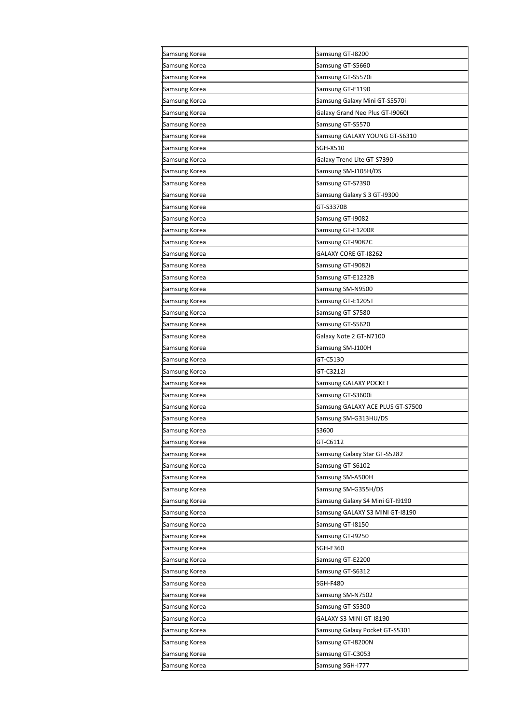| Samsung Korea | Samsung GT-18200                 |
|---------------|----------------------------------|
| Samsung Korea | Samsung GT-S5660                 |
| Samsung Korea | Samsung GT-S5570i                |
| Samsung Korea | Samsung GT-E1190                 |
| Samsung Korea | Samsung Galaxy Mini GT-S5570i    |
| Samsung Korea | Galaxy Grand Neo Plus GT-19060I  |
| Samsung Korea | Samsung GT-S5570                 |
| Samsung Korea | Samsung GALAXY YOUNG GT-S6310    |
| Samsung Korea | SGH-X510                         |
| Samsung Korea | Galaxy Trend Lite GT-S7390       |
| Samsung Korea | Samsung SM-J105H/DS              |
| Samsung Korea | Samsung GT-S7390                 |
| Samsung Korea | Samsung Galaxy S 3 GT-19300      |
| Samsung Korea | GT-S3370B                        |
| Samsung Korea | Samsung GT-19082                 |
| Samsung Korea | Samsung GT-E1200R                |
| Samsung Korea | Samsung GT-19082C                |
| Samsung Korea | GALAXY CORE GT-18262             |
| Samsung Korea | Samsung GT-19082i                |
| Samsung Korea | Samsung GT-E1232B                |
| Samsung Korea | Samsung SM-N9500                 |
| Samsung Korea | Samsung GT-E1205T                |
| Samsung Korea | Samsung GT-S7580                 |
| Samsung Korea | Samsung GT-S5620                 |
| Samsung Korea | Galaxy Note 2 GT-N7100           |
| Samsung Korea | Samsung SM-J100H                 |
| Samsung Korea | GT-C5130                         |
| Samsung Korea | GT-C3212i                        |
| Samsung Korea | Samsung GALAXY POCKET            |
| Samsung Korea | Samsung GT-S3600i                |
| Samsung Korea | Samsung GALAXY ACE PLUS GT-S7500 |
| Samsung Korea | Samsung SM-G313HU/DS             |
| Samsung Korea | S3600                            |
| Samsung Korea | GT-C6112                         |
| Samsung Korea | Samsung Galaxy Star GT-S5282     |
| Samsung Korea | Samsung GT-S6102                 |
| Samsung Korea | Samsung SM-A500H                 |
| Samsung Korea | Samsung SM-G355H/DS              |
| Samsung Korea | Samsung Galaxy S4 Mini GT-19190  |
| Samsung Korea | Samsung GALAXY S3 MINI GT-18190  |
| Samsung Korea | Samsung GT-18150                 |
| Samsung Korea | Samsung GT-19250                 |
| Samsung Korea | SGH-E360                         |
| Samsung Korea | Samsung GT-E2200                 |
| Samsung Korea | Samsung GT-S6312                 |
| Samsung Korea | <b>SGH-F480</b>                  |
| Samsung Korea | Samsung SM-N7502                 |
| Samsung Korea | Samsung GT-S5300                 |
| Samsung Korea | GALAXY S3 MINI GT-18190          |
| Samsung Korea | Samsung Galaxy Pocket GT-S5301   |
| Samsung Korea | Samsung GT-I8200N                |
| Samsung Korea | Samsung GT-C3053                 |
| Samsung Korea | Samsung SGH-1777                 |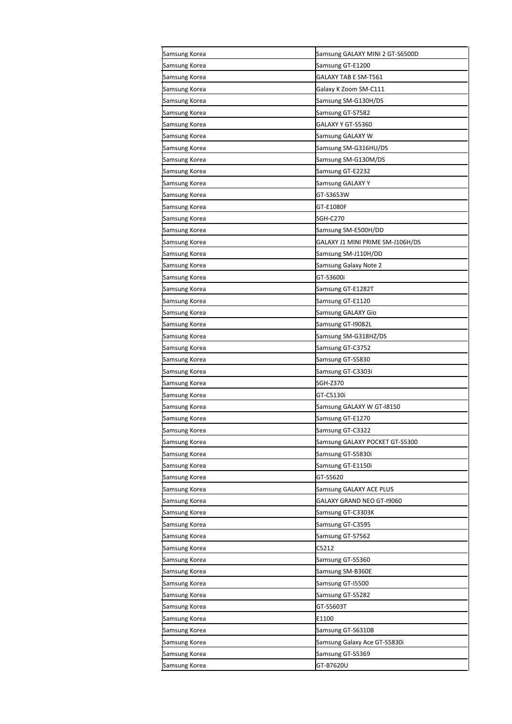| Samsung Korea | Samsung GALAXY MINI 2 GT-S6500D  |
|---------------|----------------------------------|
| Samsung Korea | Samsung GT-E1200                 |
| Samsung Korea | GALAXY TAB E SM-T561             |
| Samsung Korea | Galaxy K Zoom SM-C111            |
| Samsung Korea | Samsung SM-G130H/DS              |
| Samsung Korea | Samsung GT-S7582                 |
| Samsung Korea | GALAXY Y GT-S5360                |
| Samsung Korea | Samsung GALAXY W                 |
| Samsung Korea | Samsung SM-G316HU/DS             |
| Samsung Korea | Samsung SM-G130M/DS              |
| Samsung Korea | Samsung GT-E2232                 |
| Samsung Korea | Samsung GALAXY Y                 |
| Samsung Korea | GT-S3653W                        |
| Samsung Korea | GT-E1080F                        |
| Samsung Korea | SGH-C270                         |
| Samsung Korea | Samsung SM-E500H/DD              |
| Samsung Korea | GALAXY J1 MINI PRIME SM-J106H/DS |
| Samsung Korea | Samsung SM-J110H/DD              |
| Samsung Korea | Samsung Galaxy Note 2            |
| Samsung Korea | GT-S3600i                        |
| Samsung Korea | Samsung GT-E1282T                |
| Samsung Korea | Samsung GT-E1120                 |
| Samsung Korea | Samsung GALAXY Gio               |
| Samsung Korea | Samsung GT-19082L                |
| Samsung Korea | Samsung SM-G318HZ/DS             |
| Samsung Korea | Samsung GT-C3752                 |
| Samsung Korea | Samsung GT-S5830                 |
| Samsung Korea | Samsung GT-C3303i                |
| Samsung Korea | SGH-Z370                         |
| Samsung Korea | GT-C5130i                        |
| Samsung Korea | Samsung GALAXY W GT-18150        |
| Samsung Korea | Samsung GT-E1270                 |
| Samsung Korea | Samsung GT-C3322                 |
| Samsung Korea | Samsung GALAXY POCKET GT-S5300   |
| Samsung Korea | Samsung GT-S5830i                |
| Samsung Korea | Samsung GT-E1150i                |
| Samsung Korea | GT-S5620                         |
| Samsung Korea | Samsung GALAXY ACE PLUS          |
| Samsung Korea | GALAXY GRAND NEO GT-19060        |
| Samsung Korea | Samsung GT-C3303K                |
| Samsung Korea | Samsung GT-C3595                 |
| Samsung Korea | Samsung GT-S7562                 |
| Samsung Korea | C5212                            |
| Samsung Korea | Samsung GT-S5360                 |
| Samsung Korea | Samsung SM-B360E                 |
|               |                                  |
| Samsung Korea | Samsung GT-I5500                 |
| Samsung Korea | Samsung GT-S5282                 |
| Samsung Korea | GT-S5603T                        |
| Samsung Korea | E1100                            |
| Samsung Korea | Samsung GT-S6310B                |
| Samsung Korea | Samsung Galaxy Ace GT-S5830i     |
| Samsung Korea | Samsung GT-S5369                 |
| Samsung Korea | GT-B7620U                        |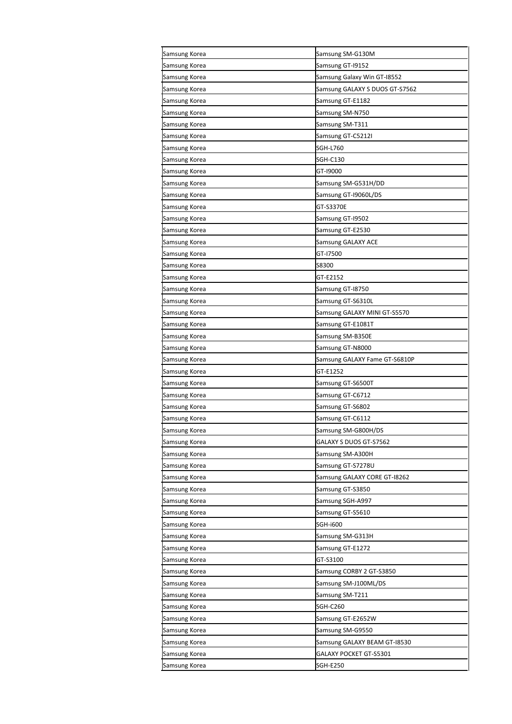| Samsung Korea | Samsung SM-G130M               |
|---------------|--------------------------------|
| Samsung Korea | Samsung GT-19152               |
| Samsung Korea | Samsung Galaxy Win GT-18552    |
| Samsung Korea | Samsung GALAXY S DUOS GT-S7562 |
| Samsung Korea | Samsung GT-E1182               |
| Samsung Korea | Samsung SM-N750                |
| Samsung Korea | Samsung SM-T311                |
| Samsung Korea | Samsung GT-C5212I              |
| Samsung Korea | SGH-L760                       |
| Samsung Korea | SGH-C130                       |
| Samsung Korea | GT-19000                       |
| Samsung Korea | Samsung SM-G531H/DD            |
| Samsung Korea | Samsung GT-I9060L/DS           |
| Samsung Korea | GT-S3370E                      |
| Samsung Korea | Samsung GT-19502               |
| Samsung Korea | Samsung GT-E2530               |
| Samsung Korea | Samsung GALAXY ACE             |
| Samsung Korea | GT-17500                       |
| Samsung Korea | S8300                          |
| Samsung Korea | GT-E2152                       |
| Samsung Korea | Samsung GT-18750               |
| Samsung Korea | Samsung GT-S6310L              |
| Samsung Korea | Samsung GALAXY MINI GT-S5570   |
| Samsung Korea | Samsung GT-E1081T              |
| Samsung Korea | Samsung SM-B350E               |
| Samsung Korea | Samsung GT-N8000               |
| Samsung Korea | Samsung GALAXY Fame GT-S6810P  |
| Samsung Korea | GT-E1252                       |
| Samsung Korea | Samsung GT-S6500T              |
| Samsung Korea | Samsung GT-C6712               |
| Samsung Korea | Samsung GT-S6802               |
| Samsung Korea | Samsung GT-C6112               |
| Samsung Korea | Samsung SM-G800H/DS            |
| Samsung Korea | GALAXY S DUOS GT-S7562         |
| Samsung Korea | Samsung SM-A300H               |
| Samsung Korea | Samsung GT-S7278U              |
| Samsung Korea | Samsung GALAXY CORE GT-I8262   |
| Samsung Korea | Samsung GT-S3850               |
| Samsung Korea | Samsung SGH-A997               |
| Samsung Korea | Samsung GT-S5610               |
| Samsung Korea | SGH-i600                       |
| Samsung Korea | Samsung SM-G313H               |
| Samsung Korea | Samsung GT-E1272               |
| Samsung Korea | GT-S3100                       |
| Samsung Korea | Samsung CORBY 2 GT-S3850       |
| Samsung Korea | Samsung SM-J100ML/DS           |
| Samsung Korea | Samsung SM-T211                |
| Samsung Korea | SGH-C260                       |
| Samsung Korea | Samsung GT-E2652W              |
| Samsung Korea | Samsung SM-G9550               |
| Samsung Korea | Samsung GALAXY BEAM GT-18530   |
| Samsung Korea | GALAXY POCKET GT-S5301         |
| Samsung Korea | SGH-E250                       |
|               |                                |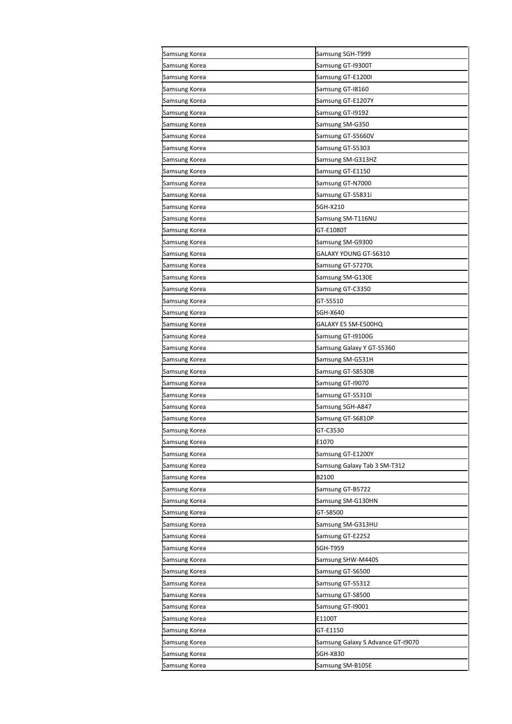| Samsung Korea | Samsung SGH-T999                  |
|---------------|-----------------------------------|
| Samsung Korea | Samsung GT-19300T                 |
| Samsung Korea | Samsung GT-E1200I                 |
| Samsung Korea | Samsung GT-18160                  |
| Samsung Korea | Samsung GT-E1207Y                 |
| Samsung Korea | Samsung GT-19192                  |
| Samsung Korea | Samsung SM-G350                   |
| Samsung Korea | Samsung GT-S5660V                 |
| Samsung Korea | Samsung GT-S5303                  |
| Samsung Korea | Samsung SM-G313HZ                 |
| Samsung Korea | Samsung GT-E1150                  |
| Samsung Korea | Samsung GT-N7000                  |
| Samsung Korea | Samsung GT-S5831i                 |
| Samsung Korea | SGH-X210                          |
| Samsung Korea | Samsung SM-T116NU                 |
| Samsung Korea | GT-E1080T                         |
| Samsung Korea | Samsung SM-G9300                  |
| Samsung Korea | GALAXY YOUNG GT-S6310             |
| Samsung Korea | Samsung GT-S7270L                 |
| Samsung Korea | Samsung SM-G130E                  |
| Samsung Korea | Samsung GT-C3350                  |
| Samsung Korea | GT-S5510                          |
| Samsung Korea | SGH-X640                          |
| Samsung Korea | GALAXY E5 SM-E500HQ               |
| Samsung Korea | Samsung GT-19100G                 |
| Samsung Korea | Samsung Galaxy Y GT-S5360         |
| Samsung Korea | Samsung SM-G531H                  |
| Samsung Korea | Samsung GT-S8530B                 |
| Samsung Korea | Samsung GT-19070                  |
| Samsung Korea | Samsung GT-S5310I                 |
| Samsung Korea | Samsung SGH-A847                  |
| Samsung Korea | Samsung GT-S6810P                 |
| Samsung Korea | GT-C3530                          |
| Samsung Korea | E1070                             |
| Samsung Korea | Samsung GT-E1200Y                 |
| Samsung Korea | Samsung Galaxy Tab 3 SM-T312      |
| Samsung Korea | B2100                             |
| Samsung Korea | Samsung GT-B5722                  |
| Samsung Korea | Samsung SM-G130HN                 |
| Samsung Korea | GT-S8500                          |
| Samsung Korea | Samsung SM-G313HU                 |
| Samsung Korea | Samsung GT-E2252                  |
| Samsung Korea | SGH-T959                          |
| Samsung Korea | Samsung SHW-M440S                 |
| Samsung Korea | Samsung GT-S6500                  |
| Samsung Korea | Samsung GT-S5312                  |
| Samsung Korea | Samsung GT-S8500                  |
| Samsung Korea | Samsung GT-19001                  |
| Samsung Korea | E1100T                            |
| Samsung Korea | GT-E1150                          |
| Samsung Korea | Samsung Galaxy S Advance GT-19070 |
| Samsung Korea | <b>SGH-X830</b>                   |
| Samsung Korea | Samsung SM-B105E                  |
|               |                                   |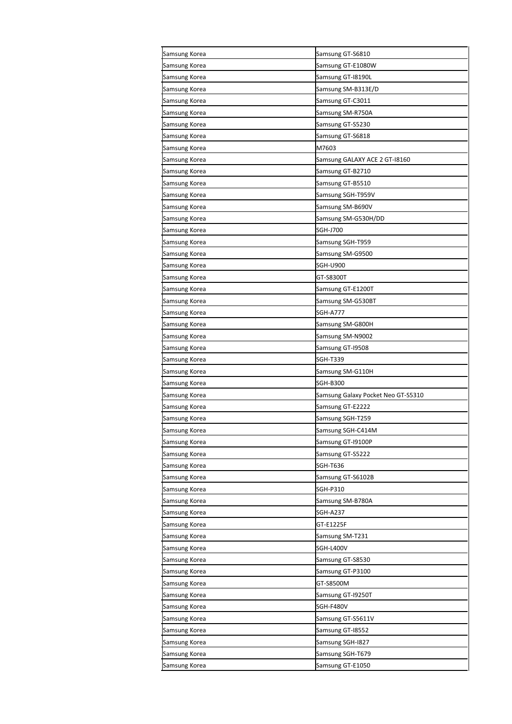| Samsung Korea | Samsung GT-S6810                   |
|---------------|------------------------------------|
| Samsung Korea | Samsung GT-E1080W                  |
| Samsung Korea | Samsung GT-18190L                  |
| Samsung Korea | Samsung SM-B313E/D                 |
| Samsung Korea | Samsung GT-C3011                   |
| Samsung Korea | Samsung SM-R750A                   |
| Samsung Korea | Samsung GT-S5230                   |
| Samsung Korea | Samsung GT-S6818                   |
| Samsung Korea | M7603                              |
| Samsung Korea | Samsung GALAXY ACE 2 GT-18160      |
| Samsung Korea | Samsung GT-B2710                   |
| Samsung Korea | Samsung GT-B5510                   |
| Samsung Korea | Samsung SGH-T959V                  |
| Samsung Korea | Samsung SM-B690V                   |
| Samsung Korea | Samsung SM-G530H/DD                |
| Samsung Korea | SGH-J700                           |
| Samsung Korea | Samsung SGH-T959                   |
| Samsung Korea | Samsung SM-G9500                   |
| Samsung Korea | <b>SGH-U900</b>                    |
| Samsung Korea | GT-S8300T                          |
| Samsung Korea | Samsung GT-E1200T                  |
| Samsung Korea | Samsung SM-G530BT                  |
| Samsung Korea | <b>SGH-A777</b>                    |
| Samsung Korea | Samsung SM-G800H                   |
| Samsung Korea | Samsung SM-N9002                   |
| Samsung Korea | Samsung GT-19508                   |
| Samsung Korea | SGH-T339                           |
| Samsung Korea | Samsung SM-G110H                   |
| Samsung Korea | SGH-B300                           |
| Samsung Korea | Samsung Galaxy Pocket Neo GT-S5310 |
| Samsung Korea | Samsung GT-E2222                   |
| Samsung Korea | Samsung SGH-T259                   |
| Samsung Korea | Samsung SGH-C414M                  |
| Samsung Korea | Samsung GT-19100P                  |
| Samsung Korea | Samsung GT-S5222                   |
| Samsung Korea | SGH-T636                           |
| Samsung Korea | Samsung GT-S6102B                  |
| Samsung Korea | SGH-P310                           |
| Samsung Korea | Samsung SM-B780A                   |
| Samsung Korea | SGH-A237                           |
| Samsung Korea | GT-E1225F                          |
| Samsung Korea | Samsung SM-T231                    |
| Samsung Korea | SGH-L400V                          |
| Samsung Korea | Samsung GT-S8530                   |
| Samsung Korea | Samsung GT-P3100                   |
| Samsung Korea | GT-S8500M                          |
| Samsung Korea | Samsung GT-19250T                  |
| Samsung Korea | SGH-F480V                          |
| Samsung Korea | Samsung GT-S5611V                  |
| Samsung Korea | Samsung GT-18552                   |
| Samsung Korea | Samsung SGH-I827                   |
| Samsung Korea | Samsung SGH-T679                   |
| Samsung Korea | Samsung GT-E1050                   |
|               |                                    |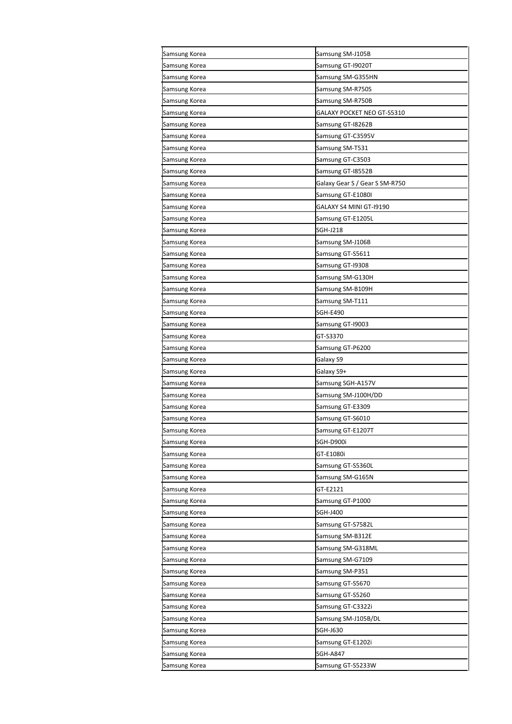| Samsung Korea | Samsung SM-J105B               |
|---------------|--------------------------------|
| Samsung Korea | Samsung GT-19020T              |
| Samsung Korea | Samsung SM-G355HN              |
| Samsung Korea | Samsung SM-R750S               |
| Samsung Korea | Samsung SM-R750B               |
| Samsung Korea | GALAXY POCKET NEO GT-S5310     |
| Samsung Korea | Samsung GT-18262B              |
| Samsung Korea | Samsung GT-C3595V              |
| Samsung Korea | Samsung SM-T531                |
| Samsung Korea | Samsung GT-C3503               |
| Samsung Korea | Samsung GT-18552B              |
| Samsung Korea | Galaxy Gear S / Gear S SM-R750 |
| Samsung Korea | Samsung GT-E1080I              |
| Samsung Korea | GALAXY S4 MINI GT-19190        |
| Samsung Korea | Samsung GT-E1205L              |
| Samsung Korea | SGH-J218                       |
| Samsung Korea | Samsung SM-J106B               |
| Samsung Korea | Samsung GT-S5611               |
| Samsung Korea | Samsung GT-19308               |
| Samsung Korea | Samsung SM-G130H               |
| Samsung Korea | Samsung SM-B109H               |
| Samsung Korea | Samsung SM-T111                |
| Samsung Korea | <b>SGH-E490</b>                |
| Samsung Korea | Samsung GT-19003               |
| Samsung Korea | GT-S3370                       |
| Samsung Korea | Samsung GT-P6200               |
| Samsung Korea | Galaxy S9                      |
| Samsung Korea | Galaxy S9+                     |
| Samsung Korea | Samsung SGH-A157V              |
| Samsung Korea | Samsung SM-J100H/DD            |
| Samsung Korea | Samsung GT-E3309               |
| Samsung Korea | Samsung GT-S6010               |
| Samsung Korea | Samsung GT-E1207T              |
| Samsung Korea | SGH-D900i                      |
| Samsung Korea | GT-E1080i                      |
| Samsung Korea | Samsung GT-S5360L              |
| Samsung Korea | Samsung SM-G165N               |
| Samsung Korea | GT-E2121                       |
| Samsung Korea | Samsung GT-P1000               |
| Samsung Korea | SGH-J400                       |
| Samsung Korea | Samsung GT-S7582L              |
| Samsung Korea | Samsung SM-B312E               |
| Samsung Korea | Samsung SM-G318ML              |
| Samsung Korea | Samsung SM-G7109               |
| Samsung Korea | Samsung SM-P351                |
| Samsung Korea | Samsung GT-S5670               |
| Samsung Korea | Samsung GT-S5260               |
| Samsung Korea | Samsung GT-C3322i              |
| Samsung Korea | Samsung SM-J105B/DL            |
| Samsung Korea | SGH-J630                       |
| Samsung Korea | Samsung GT-E1202i              |
| Samsung Korea | SGH-A847                       |
| Samsung Korea | Samsung GT-S5233W              |
|               |                                |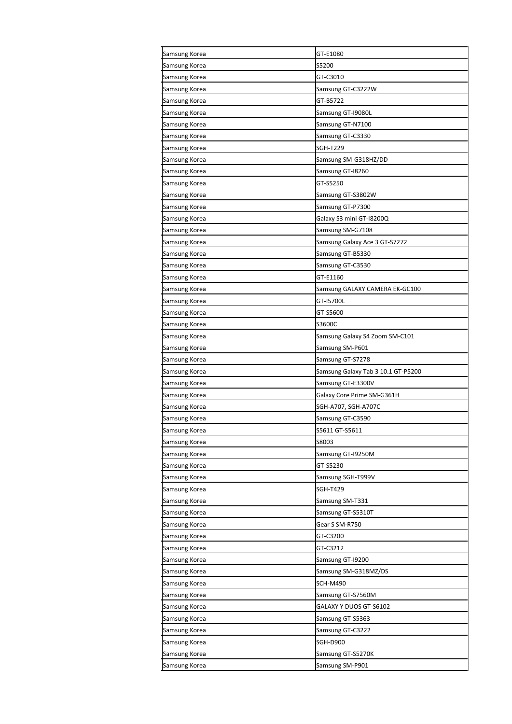| Samsung Korea | GT-E1080                           |
|---------------|------------------------------------|
| Samsung Korea | S5200                              |
| Samsung Korea | GT-C3010                           |
| Samsung Korea | Samsung GT-C3222W                  |
| Samsung Korea | GT-B5722                           |
| Samsung Korea | Samsung GT-19080L                  |
| Samsung Korea | Samsung GT-N7100                   |
| Samsung Korea | Samsung GT-C3330                   |
| Samsung Korea | SGH-T229                           |
| Samsung Korea | Samsung SM-G318HZ/DD               |
| Samsung Korea | Samsung GT-18260                   |
| Samsung Korea | GT-S5250                           |
| Samsung Korea | Samsung GT-S3802W                  |
| Samsung Korea | Samsung GT-P7300                   |
| Samsung Korea | Galaxy S3 mini GT-I8200Q           |
| Samsung Korea | Samsung SM-G7108                   |
| Samsung Korea | Samsung Galaxy Ace 3 GT-S7272      |
| Samsung Korea | Samsung GT-B5330                   |
| Samsung Korea | Samsung GT-C3530                   |
| Samsung Korea | GT-E1160                           |
| Samsung Korea | Samsung GALAXY CAMERA EK-GC100     |
| Samsung Korea | GT-15700L                          |
| Samsung Korea | GT-S5600                           |
| Samsung Korea | S3600C                             |
| Samsung Korea | Samsung Galaxy S4 Zoom SM-C101     |
| Samsung Korea | Samsung SM-P601                    |
| Samsung Korea | Samsung GT-S7278                   |
| Samsung Korea | Samsung Galaxy Tab 3 10.1 GT-P5200 |
| Samsung Korea | Samsung GT-E3300V                  |
| Samsung Korea | Galaxy Core Prime SM-G361H         |
| Samsung Korea | SGH-A707, SGH-A707C                |
| Samsung Korea | Samsung GT-C3590                   |
| Samsung Korea | S5611 GT-S5611                     |
| Samsung Korea | S8003                              |
| Samsung Korea | Samsung GT-19250M                  |
| Samsung Korea | GT-S5230                           |
| Samsung Korea | Samsung SGH-T999V                  |
| Samsung Korea | SGH-T429                           |
| Samsung Korea | Samsung SM-T331                    |
| Samsung Korea | Samsung GT-S5310T                  |
| Samsung Korea | Gear S SM-R750                     |
| Samsung Korea | GT-C3200                           |
| Samsung Korea | GT-C3212                           |
| Samsung Korea | Samsung GT-19200                   |
| Samsung Korea | Samsung SM-G318MZ/DS               |
| Samsung Korea | SCH-M490                           |
| Samsung Korea | Samsung GT-S7560M                  |
| Samsung Korea | GALAXY Y DUOS GT-S6102             |
| Samsung Korea | Samsung GT-S5363                   |
| Samsung Korea | Samsung GT-C3222                   |
| Samsung Korea | SGH-D900                           |
| Samsung Korea | Samsung GT-S5270K                  |
| Samsung Korea | Samsung SM-P901                    |
|               |                                    |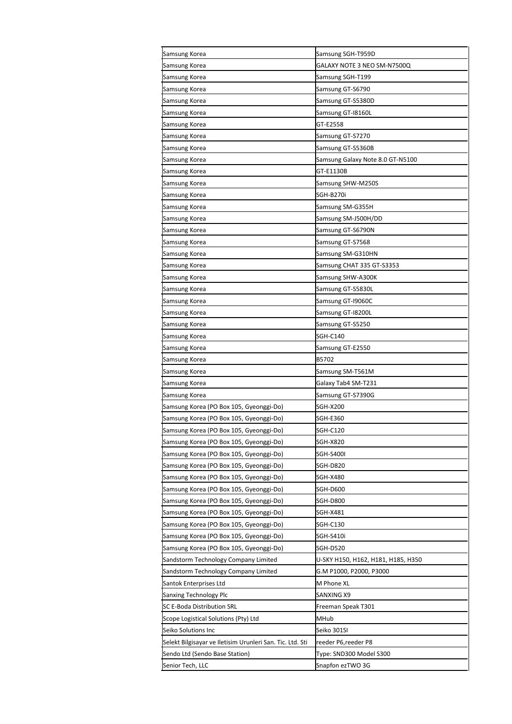| Samsung Korea                                             | Samsung SGH-T959D                  |
|-----------------------------------------------------------|------------------------------------|
| Samsung Korea                                             | GALAXY NOTE 3 NEO SM-N7500Q        |
| Samsung Korea                                             | Samsung SGH-T199                   |
| Samsung Korea                                             | Samsung GT-S6790                   |
| Samsung Korea                                             | Samsung GT-S5380D                  |
| Samsung Korea                                             | Samsung GT-I8160L                  |
| Samsung Korea                                             | GT-E2558                           |
| Samsung Korea                                             | Samsung GT-S7270                   |
| Samsung Korea                                             | Samsung GT-S5360B                  |
| Samsung Korea                                             | Samsung Galaxy Note 8.0 GT-N5100   |
| Samsung Korea                                             | GT-E1130B                          |
| Samsung Korea                                             | Samsung SHW-M250S                  |
| Samsung Korea                                             | SGH-B270i                          |
| Samsung Korea                                             | Samsung SM-G355H                   |
| Samsung Korea                                             | Samsung SM-J500H/DD                |
| Samsung Korea                                             | Samsung GT-S6790N                  |
| Samsung Korea                                             | Samsung GT-S7568                   |
| Samsung Korea                                             | Samsung SM-G310HN                  |
| Samsung Korea                                             | Samsung CHAT 335 GT-S3353          |
| Samsung Korea                                             | Samsung SHW-A300K                  |
| Samsung Korea                                             | Samsung GT-S5830L                  |
| Samsung Korea                                             | Samsung GT-19060C                  |
| Samsung Korea                                             | Samsung GT-18200L                  |
| Samsung Korea                                             | Samsung GT-S5250                   |
| Samsung Korea                                             | SGH-C140                           |
| Samsung Korea                                             | Samsung GT-E2550                   |
| Samsung Korea                                             | B5702                              |
| Samsung Korea                                             | Samsung SM-T561M                   |
| Samsung Korea                                             | Galaxy Tab4 SM-T231                |
| Samsung Korea                                             | Samsung GT-S7390G                  |
| Samsung Korea (PO Box 105, Gyeonggi-Do)                   | SGH-X200                           |
| Samsung Korea (PO Box 105, Gyeonggi-Do)                   | SGH-E360                           |
| Samsung Korea (PO Box 105, Gyeonggi-Do)                   | SGH-C120                           |
| Samsung Korea (PO Box 105, Gyeonggi-Do)                   | SGH-X820                           |
| Samsung Korea (PO Box 105, Gyeonggi-Do)                   | SGH-S400I                          |
| Samsung Korea (PO Box 105, Gyeonggi-Do)                   | SGH-D820                           |
| Samsung Korea (PO Box 105, Gyeonggi-Do)                   | SGH-X480                           |
| Samsung Korea (PO Box 105, Gyeonggi-Do)                   | SGH-D600                           |
| Samsung Korea (PO Box 105, Gyeonggi-Do)                   | SGH-D800                           |
| Samsung Korea (PO Box 105, Gyeonggi-Do)                   | SGH-X481                           |
| Samsung Korea (PO Box 105, Gyeonggi-Do)                   | SGH-C130                           |
| Samsung Korea (PO Box 105, Gyeonggi-Do)                   | SGH-S410i                          |
| Samsung Korea (PO Box 105, Gyeonggi-Do)                   | SGH-D520                           |
| Sandstorm Technology Company Limited                      | U-SKY H150, H162, H181, H185, H350 |
| Sandstorm Technology Company Limited                      | G.M P1000, P2000, P3000            |
| Santok Enterprises Ltd                                    | M Phone XL                         |
| Sanxing Technology Plc                                    | SANXING X9                         |
| <b>SC E-Boda Distribution SRL</b>                         | Freeman Speak T301                 |
| Scope Logistical Solutions (Pty) Ltd                      | MHub                               |
| Seiko Solutions Inc                                       | Seiko 301SI                        |
| Selekt Bilgisayar ve Iletisim Urunleri San. Tic. Ltd. Sti | reeder P6,reeder P8                |
| Sendo Ltd (Sendo Base Station)                            | Type: SND300 Model S300            |
| Senior Tech, LLC                                          | Snapfon ezTWO 3G                   |
|                                                           |                                    |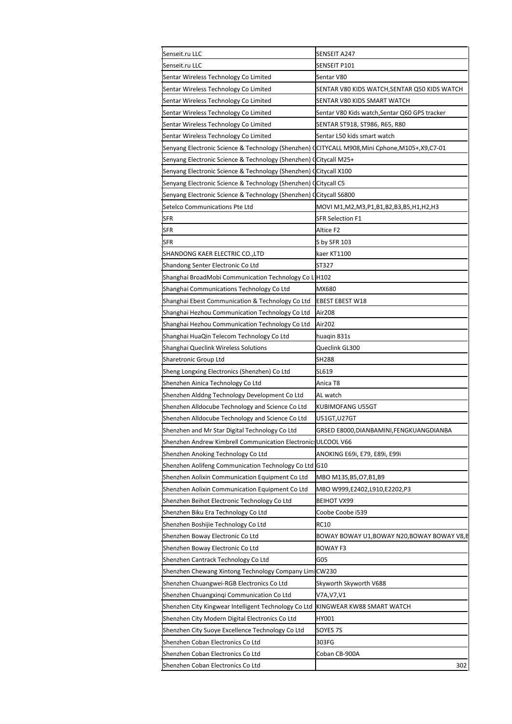| Senseit.ru LLC                                                                                   | SENSEIT A247                                 |
|--------------------------------------------------------------------------------------------------|----------------------------------------------|
| Senseit.ru LLC                                                                                   | SENSEIT P101                                 |
| Sentar Wireless Technology Co Limited                                                            | Sentar V80                                   |
| Sentar Wireless Technology Co Limited                                                            | SENTAR V80 KIDS WATCH,SENTAR Q50 KIDS WATCH  |
| Sentar Wireless Technology Co Limited                                                            | SENTAR V80 KIDS SMART WATCH                  |
| Sentar Wireless Technology Co Limited                                                            | Sentar V80 Kids watch,Sentar Q60 GPS tracker |
| Sentar Wireless Technology Co Limited                                                            | SENTAR ST918, ST986, R65, R80                |
| Sentar Wireless Technology Co Limited                                                            | Sentar L50 kids smart watch                  |
| Senyang Electronic Science & Technology (Shenzhen) (CITYCALL M908, Mini Cphone, M105+, X9, C7-01 |                                              |
| Senyang Electronic Science & Technology (Shenzhen) (Citycall M25+                                |                                              |
| Senyang Electronic Science & Technology (Shenzhen) (Citycall X100                                |                                              |
| Senyang Electronic Science & Technology (Shenzhen) (Citycall C5                                  |                                              |
| Senyang Electronic Science & Technology (Shenzhen) (Citycall S6800                               |                                              |
| Setelco Communications Pte Ltd                                                                   | MOVI M1,M2,M3,P1,B1,B2,B3,B5,H1,H2,H3        |
| SFR                                                                                              | <b>SFR Selection F1</b>                      |
| <b>SFR</b>                                                                                       | Altice F2                                    |
| SFR                                                                                              | S by SFR 103                                 |
| SHANDONG KAER ELECTRIC CO.,LTD                                                                   | kaer KT1100                                  |
| Shandong Senter Electronic Co Ltd                                                                | ST327                                        |
| Shanghai BroadMobi Communication Technology Co LIH102                                            |                                              |
| Shanghai Communications Technology Co Ltd                                                        | MX680                                        |
| Shanghai Ebest Communication & Technology Co Ltd                                                 | <b>EBEST EBEST W18</b>                       |
| Shanghai Hezhou Communication Technology Co Ltd                                                  | Air208                                       |
| Shanghai Hezhou Communication Technology Co Ltd                                                  | Air202                                       |
| Shanghai HuaQin Telecom Technology Co Ltd                                                        | huaqin 831s                                  |
| Shanghai Queclink Wireless Solutions                                                             | Queclink GL300                               |
| Sharetronic Group Ltd                                                                            | <b>SH288</b>                                 |
| Sheng Longxing Electronics (Shenzhen) Co Ltd                                                     | SL619                                        |
| Shenzhen Ainica Technology Co Ltd                                                                | Anica T8                                     |
| Shenzhen Alddng Technology Development Co Ltd                                                    | AL watch                                     |
| Shenzhen Alldocube Technology and Science Co Ltd                                                 | KUBIMOFANG U55GT                             |
| Shenzhen Alldocube Technology and Science Co Ltd                                                 | U51GT,U27GT                                  |
| Shenzhen and Mr Star Digital Technology Co Ltd                                                   | GRSED E8000, DIANBAMINI, FENGKUANGDIANBA     |
| Shenzhen Andrew Kimbrell Communication Electronic: ULCOOL V66                                    |                                              |
| Shenzhen Anoking Technology Co Ltd                                                               | ANOKING E69i, E79, E89i, E99i                |
| Shenzhen Aolifeng Communication Technology Co Ltd G10                                            |                                              |
| Shenzhen Aolixin Communication Equipment Co Ltd                                                  | MBO M13S, B5, 07, B1, B9                     |
| Shenzhen Aolixin Communication Equipment Co Ltd                                                  | MBO W999,E2402,L910,E2202,P3                 |
| Shenzhen Beihot Electronic Technology Co Ltd                                                     | BEIHOT VX99                                  |
| Shenzhen Biku Era Technology Co Ltd                                                              | Coobe Coobe i539                             |
| Shenzhen Boshijie Technology Co Ltd                                                              | <b>RC10</b>                                  |
| Shenzhen Boway Electronic Co Ltd                                                                 | BOWAY BOWAY U1,BOWAY N20,BOWAY BOWAY V8,B    |
| Shenzhen Boway Electronic Co Ltd                                                                 | <b>BOWAY F3</b>                              |
|                                                                                                  | G05                                          |
| Shenzhen Cantrack Technology Co Ltd<br>Shenzhen Chewang Xintong Technology Company LimiCW230     |                                              |
|                                                                                                  |                                              |
| Shenzhen Chuangwei-RGB Electronics Co Ltd                                                        | Skyworth Skyworth V688                       |
| Shenzhen Chuangxinqi Communication Co Ltd                                                        | V7A,V7,V1                                    |
| Shenzhen City Kingwear Intelligent Technology Co Ltd                                             | KINGWEAR KW88 SMART WATCH                    |
| Shenzhen City Modern Digital Electronics Co Ltd                                                  | HY001                                        |
| Shenzhen City Suoye Excellence Technology Co Ltd                                                 | SOYES 7S                                     |
| Shenzhen Coban Electronics Co Ltd                                                                | 303FG                                        |
| Shenzhen Coban Electronics Co Ltd                                                                | Coban CB-900A                                |
| Shenzhen Coban Electronics Co Ltd                                                                | 302                                          |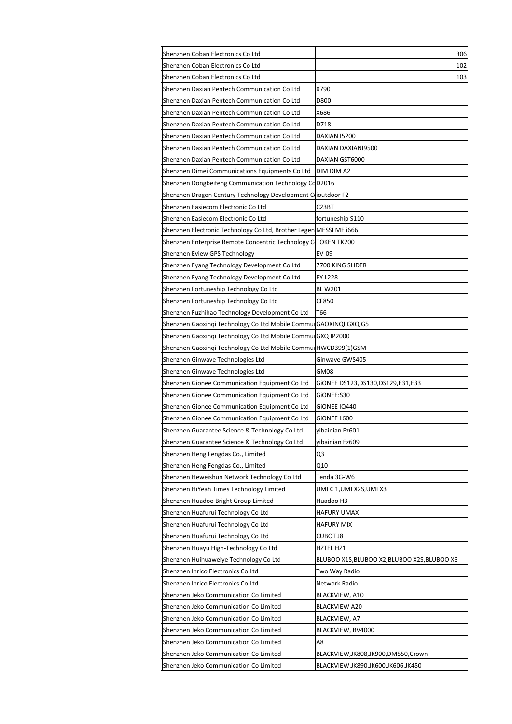| Shenzhen Coban Electronics Co Ltd                                  | 306                                       |
|--------------------------------------------------------------------|-------------------------------------------|
| Shenzhen Coban Electronics Co Ltd                                  | 102                                       |
| Shenzhen Coban Electronics Co Ltd                                  | 103                                       |
| Shenzhen Daxian Pentech Communication Co Ltd                       | X790                                      |
| Shenzhen Daxian Pentech Communication Co Ltd                       | D800                                      |
| Shenzhen Daxian Pentech Communication Co Ltd                       | X686                                      |
| Shenzhen Daxian Pentech Communication Co Ltd                       | D718                                      |
| Shenzhen Daxian Pentech Communication Co Ltd                       | DAXIAN 15200                              |
| Shenzhen Daxian Pentech Communication Co Ltd                       | DAXIAN DAXIANI9500                        |
| Shenzhen Daxian Pentech Communication Co Ltd                       | DAXIAN GST6000                            |
| Shenzhen Dimei Communications Equipments Co Ltd                    | DIM DIM A2                                |
| Shenzhen Dongbeifeng Communication Technology CcD2016              |                                           |
| Shenzhen Dragon Century Technology Development Clioutdoor F2       |                                           |
| Shenzhen Easiecom Electronic Co Ltd                                | C23BT                                     |
| Shenzhen Easiecom Electronic Co Ltd                                | fortuneship S110                          |
| Shenzhen Electronic Technology Co Ltd, Brother Legen MESSI ME i666 |                                           |
| Shenzhen Enterprise Remote Concentric Technology CTOKEN TK200      |                                           |
| Shenzhen Eview GPS Technology                                      | EV-09                                     |
| Shenzhen Eyang Technology Development Co Ltd                       | 7700 KING SLIDER                          |
| Shenzhen Eyang Technology Development Co Ltd                       | <b>EY L228</b>                            |
| Shenzhen Fortuneship Technology Co Ltd                             | <b>BL W201</b>                            |
| Shenzhen Fortuneship Technology Co Ltd                             | CF850                                     |
| Shenzhen Fuzhihao Technology Development Co Ltd                    | T66                                       |
| Shenzhen Gaoxingi Technology Co Ltd Mobile CommurGAOXINQI GXQ G5   |                                           |
| Shenzhen Gaoxinqi Technology Co Ltd Mobile CommulGXQ IP2000        |                                           |
| Shenzhen Gaoxinqi Technology Co Ltd Mobile CommulHWCD399(1)GSM     |                                           |
| Shenzhen Ginwave Technologies Ltd                                  | Ginwave GWS405                            |
| Shenzhen Ginwave Technologies Ltd                                  | GM08                                      |
| Shenzhen Gionee Communication Equipment Co Ltd                     | GIONEE DS123,DS130,DS129,E31,E33          |
| Shenzhen Gionee Communication Equipment Co Ltd                     | GiONEE:S30                                |
| Shenzhen Gionee Communication Equipment Co Ltd                     | GIONEE IQ440                              |
| Shenzhen Gionee Communication Equipment Co Ltd                     | GIONEE L600                               |
| Shenzhen Guarantee Science & Technology Co Ltd                     | yibainian Ez601                           |
| Shenzhen Guarantee Science & Technology Co Ltd                     | yibainian Ez609                           |
| Shenzhen Heng Fengdas Co., Limited                                 | Q3                                        |
| Shenzhen Heng Fengdas Co., Limited                                 | Q10                                       |
| Shenzhen Heweishun Network Technology Co Ltd                       | Tenda 3G-W6                               |
| Shenzhen HiYeah Times Technology Limited                           | UMI C 1,UMI X2S,UMI X3                    |
| Shenzhen Huadoo Bright Group Limited                               | Huadoo H3                                 |
| Shenzhen Huafurui Technology Co Ltd                                | HAFURY UMAX                               |
| Shenzhen Huafurui Technology Co Ltd                                | <b>HAFURY MIX</b>                         |
| Shenzhen Huafurui Technology Co Ltd                                | CUBOT J8                                  |
| Shenzhen Huayu High-Technology Co Ltd                              | HZTEL HZ1                                 |
| Shenzhen Huihuaweiye Technology Co Ltd                             | BLUBOO X1S,BLUBOO X2,BLUBOO X2S,BLUBOO X3 |
| Shenzhen Inrico Electronics Co Ltd                                 | Two Way Radio                             |
| Shenzhen Inrico Electronics Co Ltd                                 | Network Radio                             |
| Shenzhen Jeko Communication Co Limited                             | BLACKVIEW, A10                            |
| Shenzhen Jeko Communication Co Limited                             | <b>BLACKVIEW A20</b>                      |
| Shenzhen Jeko Communication Co Limited                             | BLACKVIEW, A7                             |
| Shenzhen Jeko Communication Co Limited                             | BLACKVIEW, BV4000                         |
| Shenzhen Jeko Communication Co Limited                             | A8                                        |
| Shenzhen Jeko Communication Co Limited                             | BLACKVIEW,JK808,JK900,DM550,Crown         |
| Shenzhen Jeko Communication Co Limited                             | BLACKVIEW,JK890,JK600,JK606,JK450         |
|                                                                    |                                           |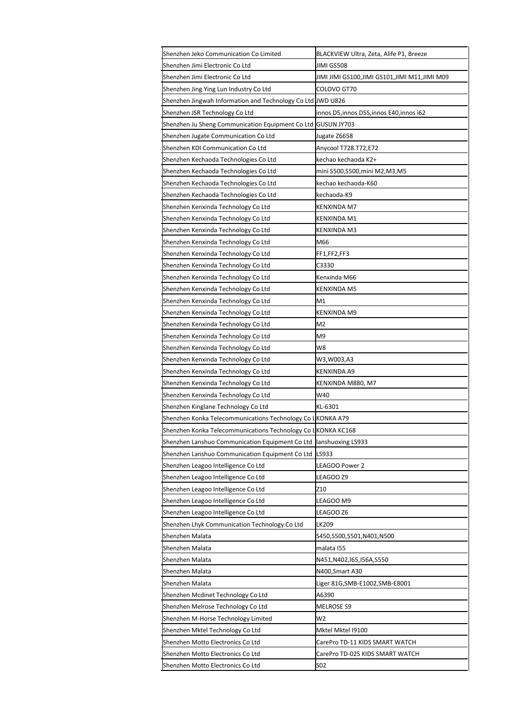| Shenzhen Jeko Communication Co Limited                                                                                     | BLACKVIEW Ultra, Zeta, Alife P1, Breeze      |
|----------------------------------------------------------------------------------------------------------------------------|----------------------------------------------|
| Shenzhen Jimi Electronic Co Ltd                                                                                            | JIMI GS508                                   |
| Shenzhen Jimi Electronic Co Ltd                                                                                            | JIMI JIMI GS100,JIMI GS101,JIMI M11,JIMI M09 |
| Shenzhen Jing Ying Lun Industry Co Ltd                                                                                     | COLOVO GT70                                  |
| Shenzhen Jingwah Information and Technology Co Ltd JWD U826                                                                |                                              |
| Shenzhen JSR Technology Co Ltd                                                                                             | innos D5, innos D5S, innos E40, innos i62    |
| Shenzhen Ju Sheng Communication Equipment Co Ltd                                                                           | GUSUN JY703                                  |
| Shenzhen Jugate Communication Co Ltd                                                                                       | Jugate Z6658                                 |
| Shenzhen KDI Communication Co Ltd                                                                                          | Anycool T728.T72,E72                         |
| Shenzhen Kechaoda Technologies Co Ltd                                                                                      | kechao kechaoda K2+                          |
| Shenzhen Kechaoda Technologies Co Ltd                                                                                      | mini S500,S500,mini M2,M3,M5                 |
| Shenzhen Kechaoda Technologies Co Ltd                                                                                      | kechao kechaoda-K60                          |
| Shenzhen Kechaoda Technologies Co Ltd                                                                                      | kechaoda-K9                                  |
| Shenzhen Kenxinda Technology Co Ltd                                                                                        | KENXINDA M7                                  |
| Shenzhen Kenxinda Technology Co Ltd                                                                                        | KENXINDA M1                                  |
| Shenzhen Kenxinda Technology Co Ltd                                                                                        | KENXINDA M3                                  |
| Shenzhen Kenxinda Technology Co Ltd                                                                                        | M66                                          |
| Shenzhen Kenxinda Technology Co Ltd                                                                                        | FF1,FF2,FF3                                  |
| Shenzhen Kenxinda Technology Co Ltd                                                                                        | C3330                                        |
| Shenzhen Kenxinda Technology Co Ltd                                                                                        | Kenxinda M66                                 |
| Shenzhen Kenxinda Technology Co Ltd                                                                                        | KENXINDA M5                                  |
| Shenzhen Kenxinda Technology Co Ltd                                                                                        | M1                                           |
| Shenzhen Kenxinda Technology Co Ltd                                                                                        | KENXINDA M9                                  |
| Shenzhen Kenxinda Technology Co Ltd                                                                                        | M <sub>2</sub>                               |
| Shenzhen Kenxinda Technology Co Ltd                                                                                        | M9                                           |
| Shenzhen Kenxinda Technology Co Ltd                                                                                        | W8                                           |
| Shenzhen Kenxinda Technology Co Ltd                                                                                        | W3,W003,A3                                   |
| Shenzhen Kenxinda Technology Co Ltd                                                                                        | KENXINDA A9                                  |
| Shenzhen Kenxinda Technology Co Ltd                                                                                        | KENXINDA M880, M7                            |
| Shenzhen Kenxinda Technology Co Ltd                                                                                        | W40                                          |
| Shenzhen Kinglane Technology Co Ltd                                                                                        | KL-6301                                      |
|                                                                                                                            |                                              |
| Shenzhen Konka Telecommunications Technology Co LKONKA A79<br>Shenzhen Konka Telecommunications Technology Co LKONKA KC168 |                                              |
|                                                                                                                            |                                              |
| Shenzhen Lanshuo Communication Equipment Co Ltd                                                                            | lanshuoxing LS933                            |
| Shenzhen Lanshuo Communication Equipment Co Ltd                                                                            | LS933                                        |
| Shenzhen Leagoo Intelligence Co Ltd                                                                                        | LEAGOO Power 2                               |
| Shenzhen Leagoo Intelligence Co Ltd                                                                                        | LEAGOO Z9                                    |
| Shenzhen Leagoo Intelligence Co Ltd                                                                                        | Z10                                          |
| Shenzhen Leagoo Intelligence Co Ltd                                                                                        | LEAGOO M9                                    |
| Shenzhen Leagoo Intelligence Co Ltd                                                                                        | LEAGOO Z6                                    |
| Shenzhen Lhyk Communication Technology Co Ltd                                                                              | LK209                                        |
| Shenzhen Malata                                                                                                            | S450,S500,S501,N401,N500                     |
| Shenzhen Malata                                                                                                            | malata 155                                   |
| Shenzhen Malata                                                                                                            | N451,N402,I65,I56A,S550                      |
| Shenzhen Malata                                                                                                            | N400, Smart A30                              |
| Shenzhen Malata                                                                                                            | Liger 81G,SMB-E1002,SMB-E8001                |
| Shenzhen Mcdinet Technology Co Ltd                                                                                         | A6390                                        |
| Shenzhen Melrose Technology Co Ltd                                                                                         | <b>MELROSE S9</b>                            |
| Shenzhen M-Horse Technology Limited                                                                                        | W <sub>2</sub>                               |
| Shenzhen Mktel Technology Co Ltd                                                                                           | Mktel Mktel 19100                            |
| Shenzhen Motto Electronics Co Ltd                                                                                          | CarePro TD-11 KIDS SMART WATCH               |
| Shenzhen Motto Electronics Co Ltd                                                                                          | CarePro TD-02S KIDS SMART WATCH              |
| Shenzhen Motto Electronics Co Ltd                                                                                          | S02                                          |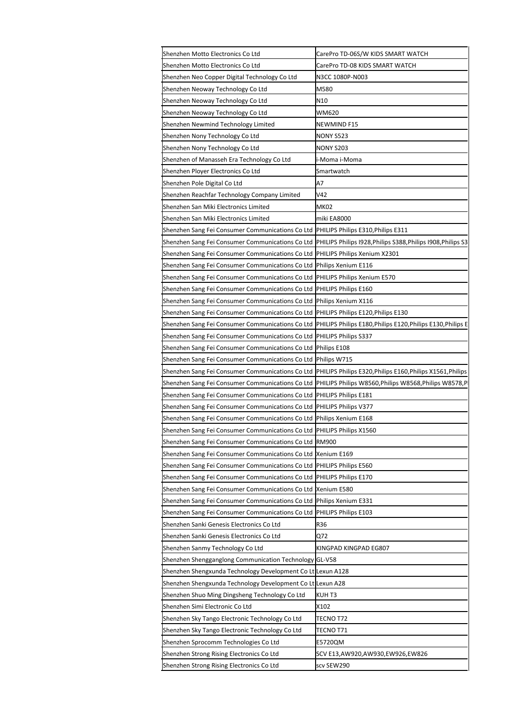| Shenzhen Motto Electronics Co Ltd                                      | CarePro TD-06S/W KIDS SMART WATCH                                   |
|------------------------------------------------------------------------|---------------------------------------------------------------------|
| Shenzhen Motto Electronics Co Ltd                                      | CarePro TD-08 KIDS SMART WATCH                                      |
| Shenzhen Neo Copper Digital Technology Co Ltd                          | N3CC 1080P-N003                                                     |
| Shenzhen Neoway Technology Co Ltd                                      | M580                                                                |
| Shenzhen Neoway Technology Co Ltd                                      | N10                                                                 |
| Shenzhen Neoway Technology Co Ltd                                      | WM620                                                               |
| Shenzhen Newmind Technology Limited                                    | NEWMIND F15                                                         |
| Shenzhen Nony Technology Co Ltd                                        | NONY S523                                                           |
| Shenzhen Nony Technology Co Ltd                                        | NONY S203                                                           |
| Shenzhen of Manasseh Era Technology Co Ltd                             | -Moma i-Moma                                                        |
| Shenzhen Ployer Electronics Co Ltd                                     | Smartwatch                                                          |
| Shenzhen Pole Digital Co Ltd                                           | А7                                                                  |
| Shenzhen Reachfar Technology Company Limited                           | V42                                                                 |
| Shenzhen San Miki Electronics Limited                                  | МК02                                                                |
| Shenzhen San Miki Electronics Limited                                  | miki EA8000                                                         |
| Shenzhen Sang Fei Consumer Communications Co Ltd                       | PHILIPS Philips E310, Philips E311                                  |
| Shenzhen Sang Fei Consumer Communications Co Ltd                       | <b>PHILIPS Philips I928, Philips S388, Philips I908, Philips S3</b> |
| Shenzhen Sang Fei Consumer Communications Co Ltd                       | PHILIPS Philips Xenium X2301                                        |
| Shenzhen Sang Fei Consumer Communications Co Ltd                       | Philips Xenium E116                                                 |
| Shenzhen Sang Fei Consumer Communications Co Ltd                       | PHILIPS Philips Xenium E570                                         |
| Shenzhen Sang Fei Consumer Communications Co Ltd                       | PHILIPS Philips E160                                                |
| Shenzhen Sang Fei Consumer Communications Co Ltd                       | Philips Xenium X116                                                 |
| Shenzhen Sang Fei Consumer Communications Co Ltd                       | PHILIPS Philips E120, Philips E130                                  |
| Shenzhen Sang Fei Consumer Communications Co Ltd                       | PHILIPS Philips E180, Philips E120, Philips E130, Philips E         |
| Shenzhen Sang Fei Consumer Communications Co Ltd                       | PHILIPS Philips S337                                                |
| Shenzhen Sang Fei Consumer Communications Co Ltd                       | Philips E108                                                        |
| Shenzhen Sang Fei Consumer Communications Co Ltd                       | Philips W715                                                        |
| Shenzhen Sang Fei Consumer Communications Co Ltd                       | PHILIPS Philips E320, Philips E160, Philips X1561, Philips          |
| Shenzhen Sang Fei Consumer Communications Co Ltd                       | PHILIPS Philips W8560, Philips W8568, Philips W8578, P              |
| Shenzhen Sang Fei Consumer Communications Co Ltd                       | PHILIPS Philips E181                                                |
| Shenzhen Sang Fei Consumer Communications Co Ltd                       | PHILIPS Philips V377                                                |
|                                                                        |                                                                     |
| Shenzhen Sang Fei Consumer Communications Co Ltd                       | Philips Xenium E168                                                 |
| Shenzhen Sang Fei Consumer Communications Co Ltd PHILIPS Philips X1560 |                                                                     |
| Shenzhen Sang Fei Consumer Communications Co Ltd                       | <b>RM900</b>                                                        |
| Shenzhen Sang Fei Consumer Communications Co Ltd Xenium E169           |                                                                     |
| Shenzhen Sang Fei Consumer Communications Co Ltd                       | PHILIPS Philips E560                                                |
| Shenzhen Sang Fei Consumer Communications Co Ltd                       | PHILIPS Philips E170                                                |
| Shenzhen Sang Fei Consumer Communications Co Ltd                       | Xenium E580                                                         |
| Shenzhen Sang Fei Consumer Communications Co Ltd                       | Philips Xenium E331                                                 |
| Shenzhen Sang Fei Consumer Communications Co Ltd                       | PHILIPS Philips E103                                                |
| Shenzhen Sanki Genesis Electronics Co Ltd                              | R36                                                                 |
| Shenzhen Sanki Genesis Electronics Co Ltd                              | Q72                                                                 |
| Shenzhen Sanmy Technology Co Ltd                                       | KINGPAD KINGPAD EG807                                               |
| Shenzhen Shengganglong Communication Technology GL-V58                 |                                                                     |
| Shenzhen Shengxunda Technology Development Co Lt Lexun A128            |                                                                     |
| Shenzhen Shengxunda Technology Development Co Lt Lexun A28             |                                                                     |
| Shenzhen Shuo Ming Dingsheng Technology Co Ltd                         | KUH T3                                                              |
| Shenzhen Simi Electronic Co Ltd                                        | X102                                                                |
| Shenzhen Sky Tango Electronic Technology Co Ltd                        | TECNO T72                                                           |
| Shenzhen Sky Tango Electronic Technology Co Ltd                        | TECNO T71                                                           |
| Shenzhen Sprocomm Technologies Co Ltd                                  | E5720QM                                                             |
| Shenzhen Strong Rising Electronics Co Ltd                              | SCV E13,AW920,AW930,EW926,EW826                                     |
| Shenzhen Strong Rising Electronics Co Ltd                              | scv SEW290                                                          |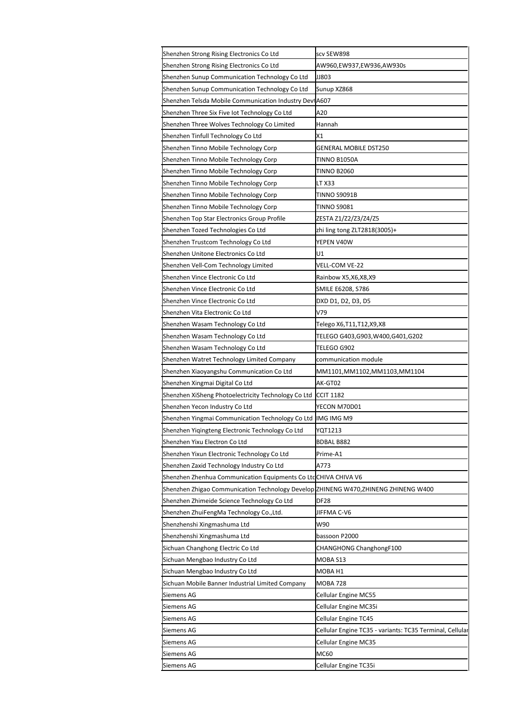| Shenzhen Strong Rising Electronics Co Ltd                                          | scv SEW898                                               |
|------------------------------------------------------------------------------------|----------------------------------------------------------|
| Shenzhen Strong Rising Electronics Co Ltd                                          | AW960,EW937,EW936,AW930s                                 |
| Shenzhen Sunup Communication Technology Co Ltd                                     | JJ803                                                    |
| Shenzhen Sunup Communication Technology Co Ltd                                     | Sunup XZ868                                              |
| Shenzhen Telsda Mobile Communication Industry DeviA607                             |                                                          |
| Shenzhen Three Six Five Iot Technology Co Ltd                                      | A20                                                      |
| Shenzhen Three Wolves Technology Co Limited                                        | Hannah                                                   |
| Shenzhen Tinfull Technology Co Ltd                                                 | X1                                                       |
| Shenzhen Tinno Mobile Technology Corp                                              | <b>GENERAL MOBILE DST250</b>                             |
| Shenzhen Tinno Mobile Technology Corp                                              | TINNO B1050A                                             |
| Shenzhen Tinno Mobile Technology Corp                                              | TINNO B2060                                              |
| Shenzhen Tinno Mobile Technology Corp                                              | LT X33                                                   |
| Shenzhen Tinno Mobile Technology Corp                                              | TINNO S9091B                                             |
| Shenzhen Tinno Mobile Technology Corp                                              | TINNO S9081                                              |
| Shenzhen Top Star Electronics Group Profile                                        | ZESTA Z1/Z2/Z3/Z4/Z5                                     |
| Shenzhen Tozed Technologies Co Ltd                                                 | zhi ling tong ZLT2818(3005)+                             |
| Shenzhen Trustcom Technology Co Ltd                                                | YEPEN V40W                                               |
| Shenzhen Unitone Electronics Co Ltd                                                | U1                                                       |
| Shenzhen Vell-Com Technology Limited                                               | VELL-COM VE-22                                           |
| Shenzhen Vince Electronic Co Ltd                                                   | Rainbow X5,X6,X8,X9                                      |
| Shenzhen Vince Electronic Co Ltd                                                   | SMILE E6208, S786                                        |
| Shenzhen Vince Electronic Co Ltd                                                   | DXD D1, D2, D3, D5                                       |
| Shenzhen Vita Electronic Co Ltd                                                    | V79                                                      |
| Shenzhen Wasam Technology Co Ltd                                                   | Telego X6,T11,T12,X9,X8                                  |
| Shenzhen Wasam Technology Co Ltd                                                   | TELEGO G403,G903,W400,G401,G202                          |
| Shenzhen Wasam Technology Co Ltd                                                   | TELEGO G902                                              |
| Shenzhen Watret Technology Limited Company                                         | communication module                                     |
| Shenzhen Xiaoyangshu Communication Co Ltd                                          | MM1101,MM1102,MM1103,MM1104                              |
| Shenzhen Xingmai Digital Co Ltd                                                    | AK-GT02                                                  |
| Shenzhen XiSheng Photoelectricity Technology Co Ltd                                | <b>CCIT 1182</b>                                         |
| Shenzhen Yecon Industry Co Ltd                                                     | YECON M70D01                                             |
| Shenzhen Yingmai Communication Technology Co Ltd                                   | IMG IMG M9                                               |
| Shenzhen Yiqingteng Electronic Technology Co Ltd                                   | YQT1213                                                  |
| Shenzhen Yixu Electron Co Ltd                                                      | BDBAL B882                                               |
| Shenzhen Yixun Electronic Technology Co Ltd                                        | Prime-A1                                                 |
| Shenzhen Zaxid Technology Industry Co Ltd                                          | A773                                                     |
| Shenzhen Zhenhua Communication Equipments Co LtcCHIVA CHIVA V6                     |                                                          |
| Shenzhen Zhigao Communication Technology Develop ZHINENG W470,ZHINENG ZHINENG W400 |                                                          |
| Shenzhen Zhimeide Science Technology Co Ltd                                        | <b>DF28</b>                                              |
| Shenzhen ZhuiFengMa Technology Co.,Ltd.                                            | JIFFMA C-V6                                              |
| Shenzhenshi Xingmashuma Ltd                                                        | W90                                                      |
|                                                                                    |                                                          |
| Shenzhenshi Xingmashuma Ltd                                                        | bassoon P2000                                            |
| Sichuan Changhong Electric Co Ltd                                                  | CHANGHONG ChanghongF100                                  |
| Sichuan Mengbao Industry Co Ltd                                                    | MOBA S13                                                 |
| Sichuan Mengbao Industry Co Ltd                                                    | MOBA H1                                                  |
| Sichuan Mobile Banner Industrial Limited Company                                   | <b>MOBA 728</b>                                          |
| Siemens AG                                                                         | Cellular Engine MC55                                     |
| Siemens AG                                                                         | Cellular Engine MC35i                                    |
| Siemens AG                                                                         | Cellular Engine TC45                                     |
| Siemens AG                                                                         | Cellular Engine TC35 - variants: TC35 Terminal, Cellular |
| Siemens AG                                                                         | Cellular Engine MC35                                     |
| Siemens AG                                                                         | MC60                                                     |
| Siemens AG                                                                         | Cellular Engine TC35i                                    |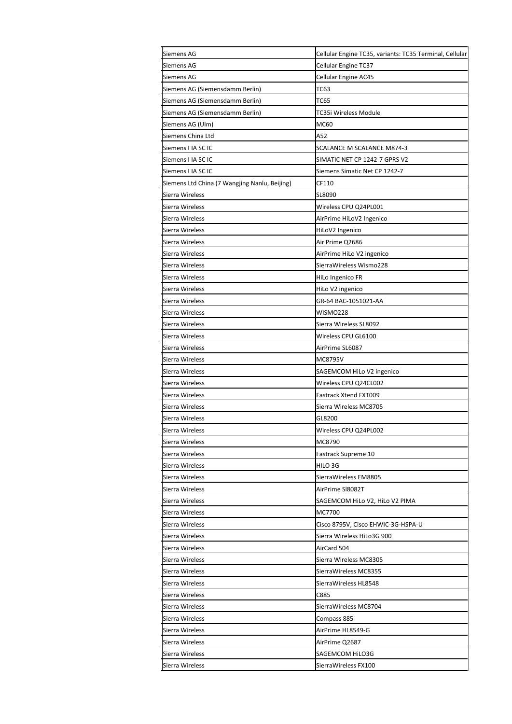| Siemens AG                                    | Cellular Engine TC35, variants: TC35 Terminal, Cellular |
|-----------------------------------------------|---------------------------------------------------------|
| Siemens AG                                    | Cellular Engine TC37                                    |
| Siemens AG                                    | Cellular Engine AC45                                    |
| Siemens AG (Siemensdamm Berlin)               | TC63                                                    |
| Siemens AG (Siemensdamm Berlin)               | TC65                                                    |
| Siemens AG (Siemensdamm Berlin)               | TC35i Wireless Module                                   |
| Siemens AG (Ulm)                              | MC60                                                    |
| Siemens China Ltd                             | A52                                                     |
| Siemens I IA SC IC                            | SCALANCE M SCALANCE M874-3                              |
| Siemens I IA SC IC                            | SIMATIC NET CP 1242-7 GPRS V2                           |
| Siemens I IA SC IC                            | Siemens Simatic Net CP 1242-7                           |
| Siemens Ltd China (7 Wangjing Nanlu, Beijing) | CF110                                                   |
| Sierra Wireless                               | SL8090                                                  |
| Sierra Wireless                               | Wireless CPU Q24PL001                                   |
| Sierra Wireless                               | AirPrime HiLoV2 Ingenico                                |
| Sierra Wireless                               | HiLoV2 Ingenico                                         |
|                                               |                                                         |
| Sierra Wireless                               | Air Prime Q2686                                         |
| Sierra Wireless                               | AirPrime HiLo V2 ingenico                               |
| Sierra Wireless                               | SierraWireless Wismo228                                 |
| Sierra Wireless                               | HiLo Ingenico FR                                        |
| Sierra Wireless                               | HiLo V2 ingenico                                        |
| Sierra Wireless                               | GR-64 BAC-1051021-AA                                    |
| Sierra Wireless                               | <b>WISMO228</b>                                         |
| Sierra Wireless                               | Sierra Wireless SL8092                                  |
| Sierra Wireless                               | Wireless CPU GL6100                                     |
| Sierra Wireless                               | AirPrime SL6087                                         |
| Sierra Wireless                               | MC8795V                                                 |
| Sierra Wireless                               | SAGEMCOM HiLo V2 ingenico                               |
| Sierra Wireless                               | Wireless CPU Q24CL002                                   |
| Sierra Wireless                               | Fastrack Xtend FXT009                                   |
| Sierra Wireless                               | Sierra Wireless MC8705                                  |
| Sierra Wireless                               | GL8200                                                  |
| Sierra Wireless                               | Wireless CPU Q24PL002                                   |
| Sierra Wireless                               | MC8790                                                  |
| Sierra Wireless                               | Fastrack Supreme 10                                     |
| Sierra Wireless                               | HILO 3G                                                 |
| Sierra Wireless                               | SierraWireless EM8805                                   |
| Sierra Wireless                               | AirPrime SI8082T                                        |
| Sierra Wireless                               | SAGEMCOM HiLo V2, HiLo V2 PIMA                          |
| Sierra Wireless                               | MC7700                                                  |
| Sierra Wireless                               | Cisco 8795V, Cisco EHWIC-3G-HSPA-U                      |
| Sierra Wireless                               | Sierra Wireless HiLo3G 900                              |
| Sierra Wireless                               | AirCard 504                                             |
| Sierra Wireless                               | Sierra Wireless MC8305                                  |
| Sierra Wireless                               | SierraWireless MC8355                                   |
| Sierra Wireless                               | SierraWireless HL8548                                   |
| Sierra Wireless                               | C885                                                    |
| Sierra Wireless                               | SierraWireless MC8704                                   |
| Sierra Wireless                               | Compass 885                                             |
| Sierra Wireless                               | AirPrime HL8549-G                                       |
| Sierra Wireless                               | AirPrime Q2687                                          |
| Sierra Wireless                               | SAGEMCOM HiLO3G                                         |
| Sierra Wireless                               | SierraWireless FX100                                    |
|                                               |                                                         |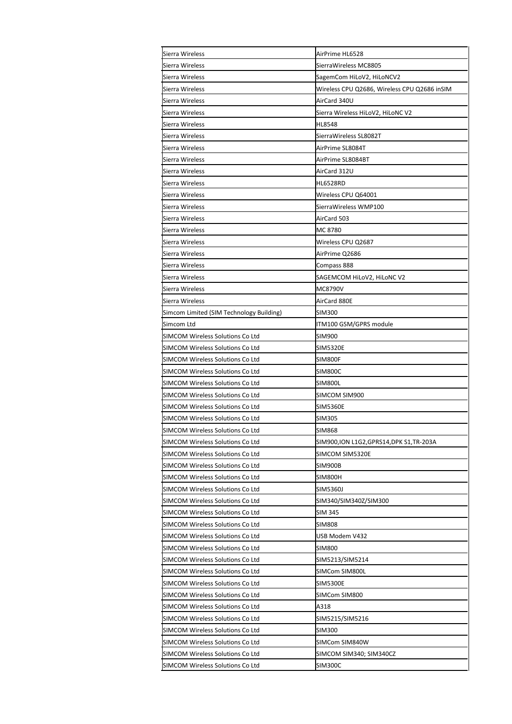| Sierra Wireless                                                      | AirPrime HL6528                              |
|----------------------------------------------------------------------|----------------------------------------------|
| Sierra Wireless                                                      | SierraWireless MC8805                        |
| Sierra Wireless                                                      | SagemCom HiLoV2, HiLoNCV2                    |
| Sierra Wireless                                                      | Wireless CPU Q2686, Wireless CPU Q2686 inSIM |
| Sierra Wireless                                                      | AirCard 340U                                 |
| Sierra Wireless                                                      | Sierra Wireless HiLoV2, HiLoNC V2            |
| Sierra Wireless                                                      | HL8548                                       |
| Sierra Wireless                                                      | SierraWireless SL8082T                       |
| Sierra Wireless                                                      | AirPrime SL8084T                             |
| Sierra Wireless                                                      | AirPrime SL8084BT                            |
| Sierra Wireless                                                      | AirCard 312U                                 |
| Sierra Wireless                                                      | <b>HL6528RD</b>                              |
| Sierra Wireless                                                      | Wireless CPU Q64001                          |
| Sierra Wireless                                                      | SierraWireless WMP100                        |
| Sierra Wireless                                                      | AirCard 503                                  |
| Sierra Wireless                                                      | MC 8780                                      |
| Sierra Wireless                                                      | Wireless CPU Q2687                           |
| Sierra Wireless                                                      | AirPrime Q2686                               |
| Sierra Wireless                                                      | Compass 888                                  |
| Sierra Wireless                                                      | SAGEMCOM HiLoV2, HiLoNC V2                   |
| Sierra Wireless                                                      | MC8790V                                      |
| Sierra Wireless                                                      | AirCard 880E                                 |
|                                                                      | <b>SIM300</b>                                |
| Simcom Limited (SIM Technology Building)                             |                                              |
| Simcom Ltd                                                           | ITM100 GSM/GPRS module                       |
| SIMCOM Wireless Solutions Co Ltd                                     | SIM900                                       |
| SIMCOM Wireless Solutions Co Ltd                                     | SIM5320E                                     |
| SIMCOM Wireless Solutions Co Ltd                                     | SIM800F                                      |
| SIMCOM Wireless Solutions Co Ltd<br>SIMCOM Wireless Solutions Co Ltd | SIM800C<br>SIM800L                           |
| SIMCOM Wireless Solutions Co Ltd                                     | SIMCOM SIM900                                |
|                                                                      |                                              |
| SIMCOM Wireless Solutions Co Ltd                                     | <b>SIM5360E</b>                              |
| SIMCOM Wireless Solutions Co Ltd                                     | SIM305                                       |
| SIMCOM Wireless Solutions Co Ltd                                     | <b>SIM868</b>                                |
| SIMCOM Wireless Solutions Co Ltd                                     | SIM900,ION L1G2,GPRS14,DPK S1,TR-203A        |
| SIMCOM Wireless Solutions Co Ltd                                     | SIMCOM SIM5320E                              |
| SIMCOM Wireless Solutions Co Ltd                                     | SIM900B                                      |
| SIMCOM Wireless Solutions Co Ltd                                     | <b>SIM800H</b>                               |
| SIMCOM Wireless Solutions Co Ltd                                     | SIM5360J                                     |
| SIMCOM Wireless Solutions Co Ltd                                     | SIM340/SIM340Z/SIM300                        |
| SIMCOM Wireless Solutions Co Ltd                                     | SIM 345                                      |
| SIMCOM Wireless Solutions Co Ltd                                     | <b>SIM808</b>                                |
| SIMCOM Wireless Solutions Co Ltd                                     | USB Modem V432                               |
| SIMCOM Wireless Solutions Co Ltd                                     | SIM800                                       |
| SIMCOM Wireless Solutions Co Ltd                                     | SIM5213/SIM5214                              |
| SIMCOM Wireless Solutions Co Ltd                                     | SIMCom SIM800L                               |
| SIMCOM Wireless Solutions Co Ltd                                     | SIM5300E                                     |
| SIMCOM Wireless Solutions Co Ltd                                     | SIMCom SIM800                                |
| SIMCOM Wireless Solutions Co Ltd                                     | A318                                         |
| SIMCOM Wireless Solutions Co Ltd                                     | SIM5215/SIM5216                              |
| SIMCOM Wireless Solutions Co Ltd                                     | SIM300                                       |
| SIMCOM Wireless Solutions Co Ltd                                     | SIMCom SIM840W                               |
| SIMCOM Wireless Solutions Co Ltd                                     | SIMCOM SIM340; SIM340CZ                      |
| SIMCOM Wireless Solutions Co Ltd                                     | SIM300C                                      |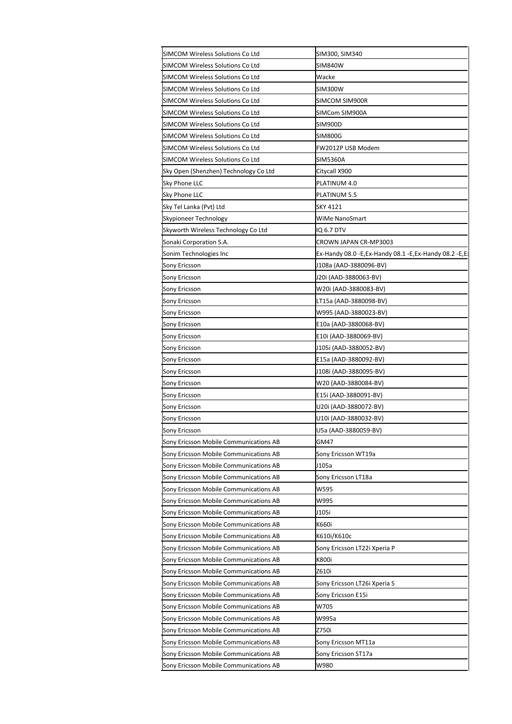| SIMCOM Wireless Solutions Co Ltd       | SIM300, SIM340                                                                       |
|----------------------------------------|--------------------------------------------------------------------------------------|
| SIMCOM Wireless Solutions Co Ltd       | <b>SIM840W</b>                                                                       |
| SIMCOM Wireless Solutions Co Ltd       | Wacke                                                                                |
| SIMCOM Wireless Solutions Co Ltd       | SIM300W                                                                              |
| SIMCOM Wireless Solutions Co Ltd       | SIMCOM SIM900R                                                                       |
| SIMCOM Wireless Solutions Co Ltd       | SIMCom SIM900A                                                                       |
| SIMCOM Wireless Solutions Co Ltd       | <b>SIM900D</b>                                                                       |
| SIMCOM Wireless Solutions Co Ltd       | <b>SIM800G</b>                                                                       |
| SIMCOM Wireless Solutions Co Ltd       | FW2012P USB Modem                                                                    |
| SIMCOM Wireless Solutions Co Ltd       | <b>SIM5360A</b>                                                                      |
| Sky Open (Shenzhen) Technology Co Ltd  | Citycall X900                                                                        |
| Sky Phone LLC                          | PLATINUM 4.0                                                                         |
| Sky Phone LLC                          | PLATINUM 5.5                                                                         |
| Sky Tel Lanka (Pvt) Ltd                | SKY 4121                                                                             |
| Skypioneer Technology                  | WiMe NanoSmart                                                                       |
| Skyworth Wireless Technology Co Ltd    | IQ 6.7 DTV                                                                           |
|                                        |                                                                                      |
| Sonaki Corporation S.A.                | CROWN JAPAN CR-MP3003<br>Ex-Handy 08.0 - E, Ex-Handy 08.1 - E, Ex-Handy 08.2 - E, E: |
| Sonim Technologies Inc                 |                                                                                      |
| Sony Ericsson                          | J108a (AAD-3880096-BV)                                                               |
| Sony Ericsson                          | J20i (AAD-3880063-BV)                                                                |
| Sony Ericsson                          | W20i (AAD-3880083-BV)                                                                |
| Sony Ericsson                          | LT15a (AAD-3880098-BV)                                                               |
| Sony Ericsson                          | W995 (AAD-3880023-BV)                                                                |
| Sony Ericsson                          | E10a (AAD-3880068-BV)                                                                |
| Sony Ericsson                          | E10i (AAD-3880069-BV)                                                                |
| Sony Ericsson                          | J105i (AAD-3880052-BV)                                                               |
| Sony Ericsson                          | E15a (AAD-3880092-BV)                                                                |
| Sony Ericsson                          | J108i (AAD-3880095-BV)                                                               |
| Sony Ericsson                          | W20 (AAD-3880084-BV)                                                                 |
| Sony Ericsson                          | E15i (AAD-3880091-BV)                                                                |
| Sony Ericsson                          | U20i (AAD-3880072-BV)                                                                |
| Sony Ericsson                          | U10i (AAD-3880032-BV)                                                                |
| Sony Ericsson                          | U5a (AAD-3880059-BV)                                                                 |
| Sony Ericsson Mobile Communications AB | GM47                                                                                 |
| Sony Ericsson Mobile Communications AB | Sony Ericsson WT19a                                                                  |
| Sony Ericsson Mobile Communications AB | J105a                                                                                |
| Sony Ericsson Mobile Communications AB | Sony Ericsson LT18a                                                                  |
| Sony Ericsson Mobile Communications AB | W595                                                                                 |
| Sony Ericsson Mobile Communications AB | W995                                                                                 |
| Sony Ericsson Mobile Communications AB | J105i                                                                                |
| Sony Ericsson Mobile Communications AB | K660i                                                                                |
| Sony Ericsson Mobile Communications AB | K610i/K610c                                                                          |
| Sony Ericsson Mobile Communications AB | Sony Ericsson LT22i Xperia P                                                         |
| Sony Ericsson Mobile Communications AB | K800i                                                                                |
|                                        |                                                                                      |
| Sony Ericsson Mobile Communications AB | Z610i                                                                                |
| Sony Ericsson Mobile Communications AB | Sony Ericsson LT26i Xperia S                                                         |
| Sony Ericsson Mobile Communications AB | Sony Ericsson E15i                                                                   |
| Sony Ericsson Mobile Communications AB | W705                                                                                 |
| Sony Ericsson Mobile Communications AB | W995a                                                                                |
| Sony Ericsson Mobile Communications AB | Z750i                                                                                |
| Sony Ericsson Mobile Communications AB | Sony Ericsson MT11a                                                                  |
| Sony Ericsson Mobile Communications AB | Sony Ericsson ST17a                                                                  |
| Sony Ericsson Mobile Communications AB | W980                                                                                 |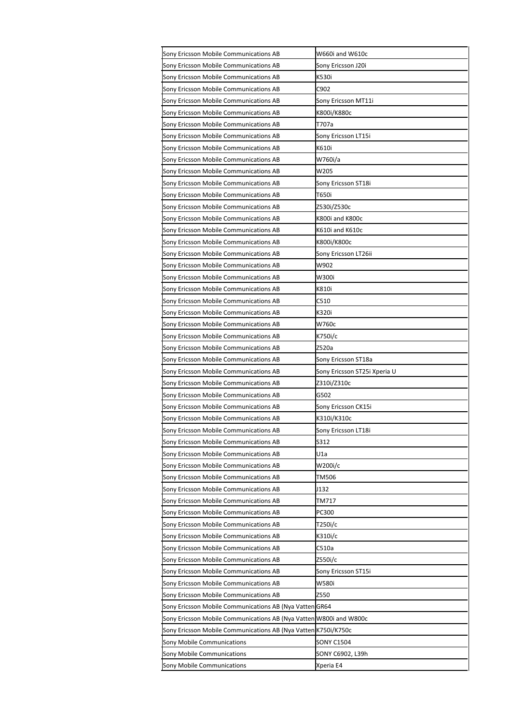| Sony Ericsson Mobile Communications AB                             | W660i and W610c              |
|--------------------------------------------------------------------|------------------------------|
| Sony Ericsson Mobile Communications AB                             | Sony Ericsson J20i           |
| Sony Ericsson Mobile Communications AB                             | K530i                        |
| Sony Ericsson Mobile Communications AB                             | C902                         |
| Sony Ericsson Mobile Communications AB                             | Sony Ericsson MT11i          |
| Sony Ericsson Mobile Communications AB                             | K800i/K880c                  |
| Sony Ericsson Mobile Communications AB                             | T707a                        |
| Sony Ericsson Mobile Communications AB                             | Sony Ericsson LT15i          |
| Sony Ericsson Mobile Communications AB                             | K610i                        |
| Sony Ericsson Mobile Communications AB                             | W760i/a                      |
| Sony Ericsson Mobile Communications AB                             | W205                         |
| Sony Ericsson Mobile Communications AB                             | Sony Ericsson ST18i          |
| Sony Ericsson Mobile Communications AB                             | T650i                        |
| Sony Ericsson Mobile Communications AB                             | Z530i/Z530c                  |
| Sony Ericsson Mobile Communications AB                             | K800i and K800c              |
| Sony Ericsson Mobile Communications AB                             | K610i and K610c              |
| Sony Ericsson Mobile Communications AB                             | K800i/K800c                  |
| Sony Ericsson Mobile Communications AB                             | Sony Ericsson LT26ii         |
| Sony Ericsson Mobile Communications AB                             | W902                         |
| Sony Ericsson Mobile Communications AB                             | W300i                        |
| Sony Ericsson Mobile Communications AB                             | K810i                        |
| Sony Ericsson Mobile Communications AB                             | C510                         |
| Sony Ericsson Mobile Communications AB                             | K320i                        |
| Sony Ericsson Mobile Communications AB                             | W760c                        |
| Sony Ericsson Mobile Communications AB                             | K750i/c                      |
| Sony Ericsson Mobile Communications AB                             | Z520a                        |
| Sony Ericsson Mobile Communications AB                             | Sony Ericsson ST18a          |
| Sony Ericsson Mobile Communications AB                             | Sony Ericsson ST25i Xperia U |
| Sony Ericsson Mobile Communications AB                             | Z310i/Z310c                  |
| Sony Ericsson Mobile Communications AB                             | G502                         |
| Sony Ericsson Mobile Communications AB                             | Sony Ericsson CK15i          |
| Sony Ericsson Mobile Communications AB                             | K310i/K310c                  |
| Sony Ericsson Mobile Communications AB                             | Sony Ericsson LT18i          |
| Sony Ericsson Mobile Communications AB                             | S312                         |
| Sony Ericsson Mobile Communications AB                             | U1a                          |
| Sony Ericsson Mobile Communications AB                             | W200i/c                      |
| Sony Ericsson Mobile Communications AB                             | TM506                        |
| Sony Ericsson Mobile Communications AB                             | J132                         |
| Sony Ericsson Mobile Communications AB                             | TM717                        |
| Sony Ericsson Mobile Communications AB                             | PC300                        |
| Sony Ericsson Mobile Communications AB                             | T250i/c                      |
| Sony Ericsson Mobile Communications AB                             | K310i/c                      |
| Sony Ericsson Mobile Communications AB                             | C510a                        |
| Sony Ericsson Mobile Communications AB                             | Z550i/c                      |
| Sony Ericsson Mobile Communications AB                             | Sony Ericsson ST15i          |
| Sony Ericsson Mobile Communications AB                             | W580i                        |
| Sony Ericsson Mobile Communications AB                             | Z550                         |
| Sony Ericsson Mobile Communications AB (Nya Vatten GR64            |                              |
| Sony Ericsson Mobile Communications AB (Nya Vatten W800i and W800c |                              |
| Sony Ericsson Mobile Communications AB (Nya Vatten K750i/K750c     |                              |
| Sony Mobile Communications                                         | SONY C1504                   |
| Sony Mobile Communications                                         | SONY C6902, L39h             |
| Sony Mobile Communications                                         | Xperia E4                    |
|                                                                    |                              |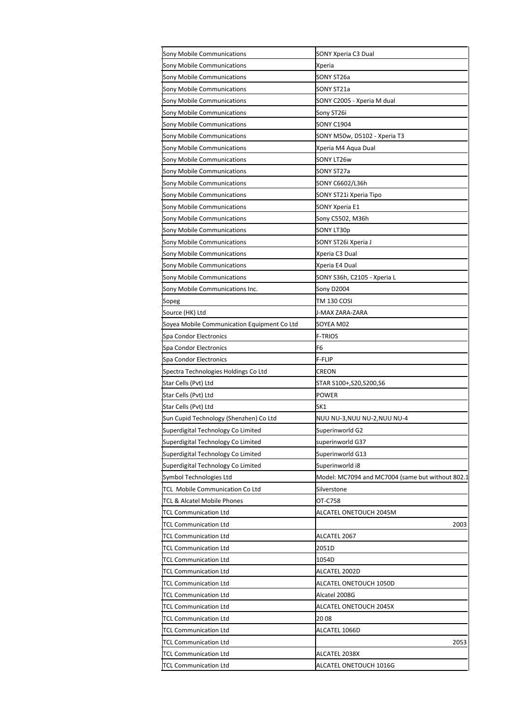| Sony Mobile Communications                  | SONY Xperia C3 Dual                              |
|---------------------------------------------|--------------------------------------------------|
| Sony Mobile Communications                  | Xperia                                           |
| Sony Mobile Communications                  | SONY ST26a                                       |
| Sony Mobile Communications                  | SONY ST21a                                       |
| <b>Sony Mobile Communications</b>           | SONY C2005 - Xperia M dual                       |
| Sony Mobile Communications                  | Sony ST26i                                       |
| Sony Mobile Communications                  | <b>SONY C1904</b>                                |
| Sony Mobile Communications                  | SONY M50w, D5102 - Xperia T3                     |
| Sony Mobile Communications                  | Xperia M4 Aqua Dual                              |
| <b>Sony Mobile Communications</b>           | SONY LT26w                                       |
| Sony Mobile Communications                  | SONY ST27a                                       |
| Sony Mobile Communications                  | SONY C6602/L36h                                  |
| Sony Mobile Communications                  | SONY ST21i Xperia Tipo                           |
| Sony Mobile Communications                  | SONY Xperia E1                                   |
| Sony Mobile Communications                  | Sony C5502, M36h                                 |
| <b>Sony Mobile Communications</b>           | SONY LT30p                                       |
| Sony Mobile Communications                  | SONY ST26i Xperia J                              |
| Sony Mobile Communications                  | Xperia C3 Dual                                   |
| <b>Sony Mobile Communications</b>           | Xperia E4 Dual                                   |
| Sony Mobile Communications                  | SONY S36h, C2105 - Xperia L                      |
| Sony Mobile Communications Inc.             | Sony D2004                                       |
| Sopeg                                       | TM 130 COSI                                      |
| Source (HK) Ltd                             | J-MAX ZARA-ZARA                                  |
| Soyea Mobile Communication Equipment Co Ltd | SOYEA M02                                        |
| Spa Condor Electronics                      | <b>F-TRIOS</b>                                   |
| Spa Condor Electronics                      | F6                                               |
| Spa Condor Electronics                      | F-FLIP                                           |
| Spectra Technologies Holdings Co Ltd        | CREON                                            |
| Star Cells (Pvt) Ltd                        | STAR S100+,S20,S200,S6                           |
| Star Cells (Pvt) Ltd                        | POWER                                            |
| Star Cells (Pvt) Ltd                        | SK1                                              |
| Sun Cupid Technology (Shenzhen) Co Ltd      | NUU NU-3,NUU NU-2,NUU NU-4                       |
| Superdigital Technology Co Limited          | Superinworld G2                                  |
| Superdigital Technology Co Limited          | superinworld G37                                 |
| Superdigital Technology Co Limited          | Superinworld G13                                 |
| Superdigital Technology Co Limited          | Superinworld i8                                  |
| Symbol Technologies Ltd                     | Model: MC7094 and MC7004 (same but without 802.1 |
| TCL Mobile Communication Co Ltd             | Silverstone                                      |
| TCL & Alcatel Mobile Phones                 | OT-C758                                          |
| <b>TCL Communication Ltd</b>                |                                                  |
|                                             | ALCATEL ONETOUCH 2045M                           |
| <b>TCL Communication Ltd</b>                | 2003                                             |
| <b>TCL Communication Ltd</b>                | ALCATEL 2067                                     |
| <b>TCL Communication Ltd</b>                | 2051D                                            |
| <b>TCL Communication Ltd</b>                | 1054D                                            |
| <b>TCL Communication Ltd</b>                | ALCATEL 2002D                                    |
| <b>TCL Communication Ltd</b>                | ALCATEL ONETOUCH 1050D                           |
| <b>TCL Communication Ltd</b>                | Alcatel 2008G                                    |
| <b>TCL Communication Ltd</b>                | ALCATEL ONETOUCH 2045X                           |
| <b>TCL Communication Ltd</b>                | 2008                                             |
| <b>TCL Communication Ltd</b>                | ALCATEL 1066D                                    |
| <b>TCL Communication Ltd</b>                | 2053                                             |
| <b>TCL Communication Ltd</b>                | ALCATEL 2038X                                    |
| <b>TCL Communication Ltd</b>                | ALCATEL ONETOUCH 1016G                           |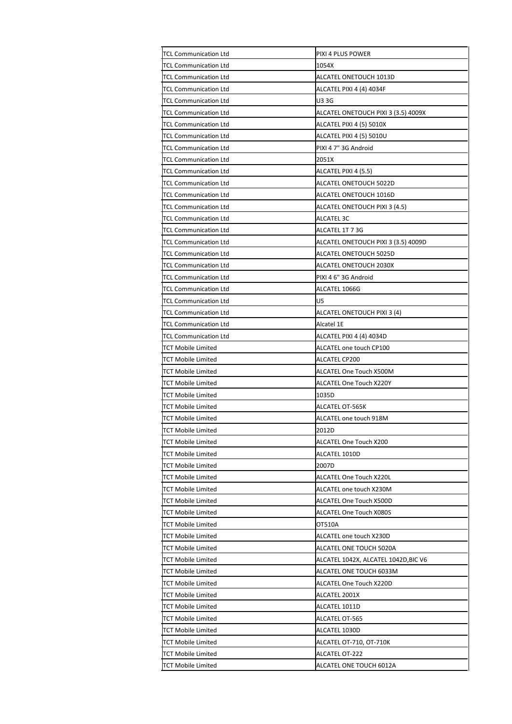| <b>TCL Communication Ltd</b> | PIXI 4 PLUS POWER                   |
|------------------------------|-------------------------------------|
| <b>TCL Communication Ltd</b> | 1054X                               |
| <b>TCL Communication Ltd</b> | ALCATEL ONETOUCH 1013D              |
| <b>TCL Communication Ltd</b> | ALCATEL PIXI 4 (4) 4034F            |
| <b>TCL Communication Ltd</b> | <b>U33G</b>                         |
| <b>TCL Communication Ltd</b> | ALCATEL ONETOUCH PIXI 3 (3.5) 4009X |
| TCL Communication Ltd        | ALCATEL PIXI 4 (5) 5010X            |
| TCL Communication Ltd        | ALCATEL PIXI 4 (5) 5010U            |
| TCL Communication Ltd        | PIXI 4 7" 3G Android                |
| <b>TCL Communication Ltd</b> | 2051X                               |
| <b>TCL Communication Ltd</b> | ALCATEL PIXI 4 (5.5)                |
| <b>TCL Communication Ltd</b> | ALCATEL ONETOUCH 5022D              |
| <b>TCL Communication Ltd</b> | ALCATEL ONETOUCH 1016D              |
| TCL Communication Ltd        | ALCATEL ONETOUCH PIXI 3 (4.5)       |
| TCL Communication Ltd        | ALCATEL 3C                          |
| <b>TCL Communication Ltd</b> | ALCATEL 1T 7 3G                     |
| <b>TCL Communication Ltd</b> | ALCATEL ONETOUCH PIXI 3 (3.5) 4009D |
| <b>TCL Communication Ltd</b> | ALCATEL ONETOUCH 5025D              |
| <b>TCL Communication Ltd</b> | ALCATEL ONETOUCH 2030X              |
| <b>TCL Communication Ltd</b> | PIXI 4 6" 3G Android                |
| TCL Communication Ltd        | ALCATEL 1066G                       |
| <b>TCL Communication Ltd</b> | U5                                  |
| <b>TCL Communication Ltd</b> | ALCATEL ONETOUCH PIXI 3 (4)         |
| <b>TCL Communication Ltd</b> | Alcatel 1E                          |
| TCL Communication Ltd        | ALCATEL PIXI 4 (4) 4034D            |
| TCT Mobile Limited           | ALCATEL one touch CP100             |
| TCT Mobile Limited           | ALCATEL CP200                       |
| <b>TCT Mobile Limited</b>    | ALCATEL One Touch X500M             |
| TCT Mobile Limited           | ALCATEL One Touch X220Y             |
| <b>TCT Mobile Limited</b>    | 1035D                               |
| <b>TCT Mobile Limited</b>    | ALCATEL OT-565K                     |
| <b>TCT Mobile Limited</b>    | ALCATEL one touch 918M              |
| <b>TCT Mobile Limited</b>    | 2012D                               |
| <b>TCT Mobile Limited</b>    | ALCATEL One Touch X200              |
| <b>TCT Mobile Limited</b>    | ALCATEL 1010D                       |
| TCT Mobile Limited           | 2007D                               |
| <b>TCT Mobile Limited</b>    | <b>ALCATEL One Touch X220L</b>      |
| <b>TCT Mobile Limited</b>    | ALCATEL one touch X230M             |
| TCT Mobile Limited           | ALCATEL One Touch X500D             |
| TCT Mobile Limited           | ALCATEL One Touch X080S             |
| <b>TCT Mobile Limited</b>    | OT510A                              |
| TCT Mobile Limited           | ALCATEL one touch X230D             |
| TCT Mobile Limited           | ALCATEL ONE TOUCH 5020A             |
| <b>TCT Mobile Limited</b>    | ALCATEL 1042X, ALCATEL 1042D,BIC V6 |
| TCT Mobile Limited           | ALCATEL ONE TOUCH 6033M             |
| TCT Mobile Limited           | ALCATEL One Touch X220D             |
| TCT Mobile Limited           | ALCATEL 2001X                       |
| <b>TCT Mobile Limited</b>    | ALCATEL 1011D                       |
| TCT Mobile Limited           | ALCATEL OT-565                      |
| TCT Mobile Limited           | ALCATEL 1030D                       |
| <b>TCT Mobile Limited</b>    | ALCATEL OT-710, OT-710K             |
| <b>TCT Mobile Limited</b>    | ALCATEL OT-222                      |
| <b>TCT Mobile Limited</b>    | ALCATEL ONE TOUCH 6012A             |
|                              |                                     |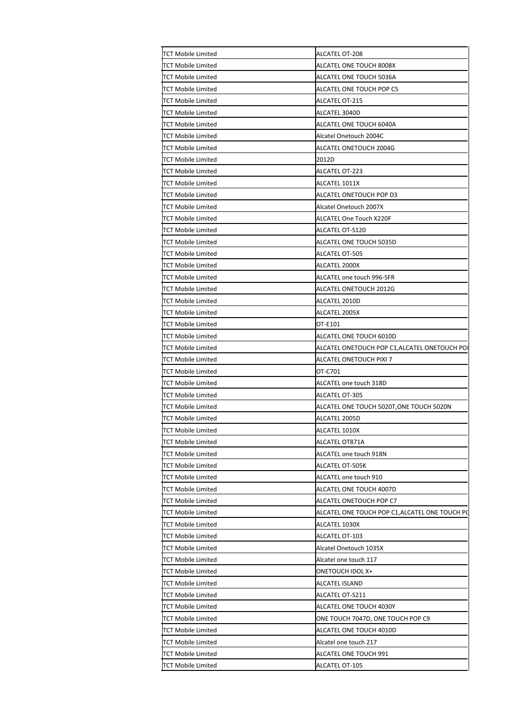| <b>TCT Mobile Limited</b> | ALCATEL OT-208                                |  |
|---------------------------|-----------------------------------------------|--|
| <b>TCT Mobile Limited</b> | ALCATEL ONE TOUCH 8008X                       |  |
| <b>TCT Mobile Limited</b> | ALCATEL ONE TOUCH 5036A                       |  |
| <b>TCT Mobile Limited</b> | ALCATEL ONE TOUCH POP C5                      |  |
| <b>TCT Mobile Limited</b> | ALCATEL OT-215                                |  |
| <b>TCT Mobile Limited</b> | ALCATEL 3040D                                 |  |
|                           |                                               |  |
| <b>TCT Mobile Limited</b> | ALCATEL ONE TOUCH 6040A                       |  |
| <b>TCT Mobile Limited</b> | Alcatel Onetouch 2004C                        |  |
| <b>TCT Mobile Limited</b> | ALCATEL ONETOUCH 2004G                        |  |
| <b>TCT Mobile Limited</b> | 2012D                                         |  |
| <b>TCT Mobile Limited</b> | <b>ALCATEL OT-223</b>                         |  |
| <b>TCT Mobile Limited</b> | ALCATEL 1011X                                 |  |
| <b>TCT Mobile Limited</b> | ALCATEL ONETOUCH POP D3                       |  |
| <b>TCT Mobile Limited</b> | Alcatel Onetouch 2007X                        |  |
| <b>TCT Mobile Limited</b> | ALCATEL One Touch X220F                       |  |
| <b>TCT Mobile Limited</b> | ALCATEL OT-S120                               |  |
| <b>TCT Mobile Limited</b> | ALCATEL ONE TOUCH 5035D                       |  |
| <b>TCT Mobile Limited</b> | ALCATEL OT-505                                |  |
| <b>TCT Mobile Limited</b> | ALCATEL 2000X                                 |  |
| <b>TCT Mobile Limited</b> | ALCATEL one touch 996-SFR                     |  |
| <b>TCT Mobile Limited</b> | ALCATEL ONETOUCH 2012G                        |  |
|                           |                                               |  |
| <b>TCT Mobile Limited</b> | ALCATEL 2010D                                 |  |
| <b>TCT Mobile Limited</b> | ALCATEL 2005X                                 |  |
| <b>TCT Mobile Limited</b> | OT-E101                                       |  |
| <b>TCT Mobile Limited</b> | ALCATEL ONE TOUCH 6010D                       |  |
| <b>TCT Mobile Limited</b> | ALCATEL ONETOUCH POP C1,ALCATEL ONETOUCH POI  |  |
| <b>TCT Mobile Limited</b> | ALCATEL ONETOUCH PIXI 7                       |  |
| <b>TCT Mobile Limited</b> | OT-C701                                       |  |
| <b>TCT Mobile Limited</b> | ALCATEL one touch 318D                        |  |
| <b>TCT Mobile Limited</b> | ALCATEL OT-305                                |  |
| <b>TCT Mobile Limited</b> | ALCATEL ONE TOUCH 5020T, ONE TOUCH 5020N      |  |
| <b>TCT Mobile Limited</b> | ALCATEL 2005D                                 |  |
| <b>TCT Mobile Limited</b> | ALCATEL 1010X                                 |  |
| <b>TCT Mobile Limited</b> | ALCATEL OT871A                                |  |
| <b>TCT Mobile Limited</b> | ALCATEL one touch 918N                        |  |
|                           |                                               |  |
| <b>TCT Mobile Limited</b> | ALCATEL OT-505K                               |  |
| <b>TCT Mobile Limited</b> | ALCATEL one touch 910                         |  |
| <b>TCT Mobile Limited</b> | ALCATEL ONE TOUCH 4007D                       |  |
| <b>TCT Mobile Limited</b> | ALCATEL ONETOUCH POP C7                       |  |
| <b>TCT Mobile Limited</b> | ALCATEL ONE TOUCH POP C1,ALCATEL ONE TOUCH P( |  |
| <b>TCT Mobile Limited</b> | ALCATEL 1030X                                 |  |
| <b>TCT Mobile Limited</b> | ALCATEL OT-103                                |  |
| <b>TCT Mobile Limited</b> | Alcatel Onetouch 1035X                        |  |
| <b>TCT Mobile Limited</b> | Alcatel one touch 117                         |  |
| <b>TCT Mobile Limited</b> | ONETOUCH IDOL X+                              |  |
| <b>TCT Mobile Limited</b> | ALCATEL ISLAND                                |  |
| <b>TCT Mobile Limited</b> | ALCATEL OT-S211                               |  |
| <b>TCT Mobile Limited</b> | ALCATEL ONE TOUCH 4030Y                       |  |
| <b>TCT Mobile Limited</b> | ONE TOUCH 7047D, ONE TOUCH POP C9             |  |
| <b>TCT Mobile Limited</b> | ALCATEL ONE TOUCH 4010D                       |  |
|                           |                                               |  |
| <b>TCT Mobile Limited</b> | Alcatel one touch 217                         |  |
| <b>TCT Mobile Limited</b> | ALCATEL ONE TOUCH 991                         |  |
| <b>TCT Mobile Limited</b> | ALCATEL OT-105                                |  |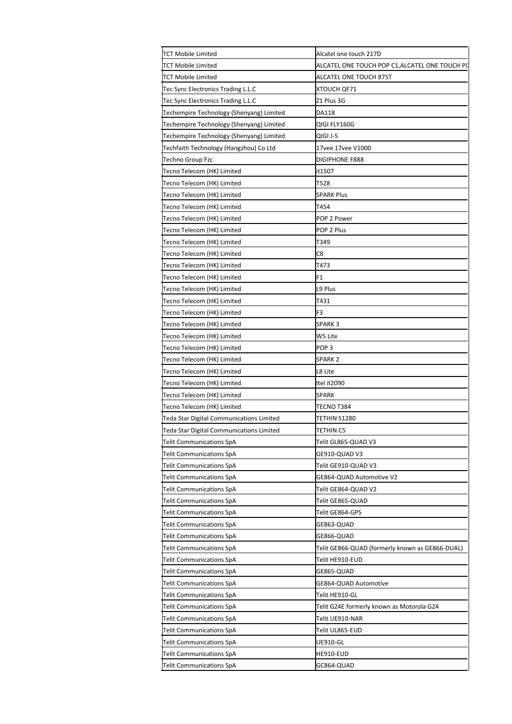| <b>TCT Mobile Limited</b>                       | Alcatel one touch 217D                          |
|-------------------------------------------------|-------------------------------------------------|
| <b>TCT Mobile Limited</b>                       | ALCATEL ONE TOUCH POP C1,ALCATEL ONE TOUCH PI   |
| <b>TCT Mobile Limited</b>                       | <b>ALCATEL ONE TOUCH 875T</b>                   |
| Tec Sync Electronics Trading L.L.C              | XTOUCH QF71                                     |
| Tec Sync Electronics Trading L.L.C              | Z1 Plus 3G                                      |
| Techempire Technology (Shenyang) Limited        | DA118                                           |
| Techempire Technology (Shenyang) Limited        | QIGI FLY160G                                    |
| Techempire Technology (Shenyang) Limited        | QIGI J-5                                        |
| Techfaith Technology (Hangzhou) Co Ltd          | 17vee 17vee V1000                               |
| Techno Group Fzc                                | DIGIPHONE F888                                  |
| Tecno Telecom (HK) Limited                      | it1507                                          |
| Tecno Telecom (HK) Limited                      | T528                                            |
| Tecno Telecom (HK) Limited                      | <b>SPARK Plus</b>                               |
| Tecno Telecom (HK) Limited                      | T454                                            |
| Tecno Telecom (HK) Limited                      | POP 2 Power                                     |
| Tecno Telecom (HK) Limited                      | POP 2 Plus                                      |
| Tecno Telecom (HK) Limited                      | T349                                            |
| Tecno Telecom (HK) Limited                      | C8                                              |
| Tecno Telecom (HK) Limited                      | T473                                            |
| Tecno Telecom (HK) Limited                      | F1                                              |
| Tecno Telecom (HK) Limited                      | L9 Plus                                         |
| Tecno Telecom (HK) Limited                      | T431                                            |
| Tecno Telecom (HK) Limited                      | F3                                              |
| Tecno Telecom (HK) Limited                      | SPARK 3                                         |
| <b>Tecno Telecom (HK) Limited</b>               | W5 Lite                                         |
| Tecno Telecom (HK) Limited                      | POP 3                                           |
| Tecno Telecom (HK) Limited                      | SPARK 2                                         |
| Tecno Telecom (HK) Limited                      | L8 Lite                                         |
| Tecno Telecom (HK) Limited                      | Itel it2090                                     |
| Tecno Telecom (HK) Limited                      | SPARK                                           |
| Tecno Telecom (HK) Limited                      | TECNO T384                                      |
| Teda Star Digital Communications Limited        | TETHIN S1280                                    |
| <b>Teda Star Digital Communications Limited</b> | TETHIN C5                                       |
| Telit Communications SpA                        | Telit GL865-QUAD V3                             |
| Telit Communications SpA                        | GE910-QUAD V3                                   |
| Telit Communications SpA                        | Telit GE910-QUAD V3                             |
| Telit Communications SpA                        | GE864-QUAD Automotive V2                        |
| Telit Communications SpA                        | Telit GE864-QUAD V2                             |
| Telit Communications SpA                        | Telit GE865-QUAD                                |
| Telit Communications SpA                        | Telit GE864-GPS                                 |
| Telit Communications SpA                        | GE863-QUAD                                      |
| <b>Telit Communications SpA</b>                 | GE866-QUAD                                      |
| Telit Communications SpA                        | Telit GE866-QUAD (formerly known as GE866-DUAL) |
| Telit Communications SpA                        | Telit HE910-EUD                                 |
| Telit Communications SpA                        | GE865-QUAD                                      |
| Telit Communications SpA                        | GE864-QUAD Automotive                           |
|                                                 | Telit HE910-GL                                  |
| Telit Communications SpA                        |                                                 |
| Telit Communications SpA                        | Telit G24E formerly known as Motorola G24       |
| Telit Communications SpA                        | Telit UE910-NAR                                 |
| Telit Communications SpA                        | Telit UL865-EUD                                 |
| Telit Communications SpA                        | UE910-GL                                        |
| <b>Telit Communications SpA</b>                 | HE910-EUD                                       |
| Telit Communications SpA                        | GC864-QUAD                                      |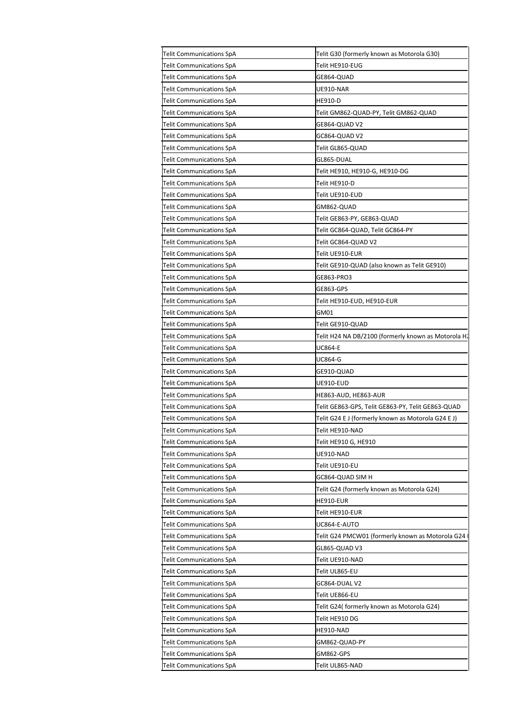| Telit G30 (formerly known as Motorola G30)          |
|-----------------------------------------------------|
| Telit HE910-EUG                                     |
| GE864-QUAD                                          |
| UE910-NAR                                           |
| <b>HE910-D</b>                                      |
| Telit GM862-QUAD-PY, Telit GM862-QUAD               |
| GE864-QUAD V2                                       |
| GC864-QUAD V2                                       |
| Telit GL865-QUAD                                    |
| GL865-DUAL                                          |
| Telit HE910, HE910-G, HE910-DG                      |
| Telit HE910-D                                       |
| Telit UE910-EUD                                     |
| GM862-QUAD                                          |
| Telit GE863-PY, GE863-QUAD                          |
| Telit GC864-QUAD, Telit GC864-PY                    |
| Telit GC864-QUAD V2                                 |
| Telit UE910-EUR                                     |
| Telit GE910-QUAD (also known as Telit GE910)        |
| GE863-PRO3                                          |
| GE863-GPS                                           |
| Telit HE910-EUD, HE910-EUR                          |
| GM01                                                |
| Telit GE910-QUAD                                    |
| Telit H24 NA DB/2100 (formerly known as Motorola H. |
| UC864-E                                             |
| UC864-G                                             |
| GE910-QUAD                                          |
| UE910-EUD                                           |
|                                                     |
|                                                     |
| HE863-AUD, HE863-AUR                                |
| Telit GE863-GPS, Telit GE863-PY, Telit GE863-QUAD   |
| Telit G24 E J (formerly known as Motorola G24 E J)  |
| Telit HE910-NAD                                     |
| Telit HE910 G, HE910                                |
| UE910-NAD                                           |
| Telit UE910-EU                                      |
| GC864-QUAD SIM H                                    |
| Telit G24 (formerly known as Motorola G24)          |
| HE910-EUR                                           |
| Telit HE910-EUR                                     |
| UC864-E-AUTO                                        |
| Telit G24 PMCW01 (formerly known as Motorola G24    |
| GL865-QUAD V3                                       |
| Telit UE910-NAD                                     |
| Telit UL865-EU                                      |
| GC864-DUAL V2                                       |
| Telit UE866-EU                                      |
| Telit G24( formerly known as Motorola G24)          |
| Telit HE910 DG                                      |
| HE910-NAD                                           |
| GM862-QUAD-PY                                       |
| GM862-GPS                                           |
|                                                     |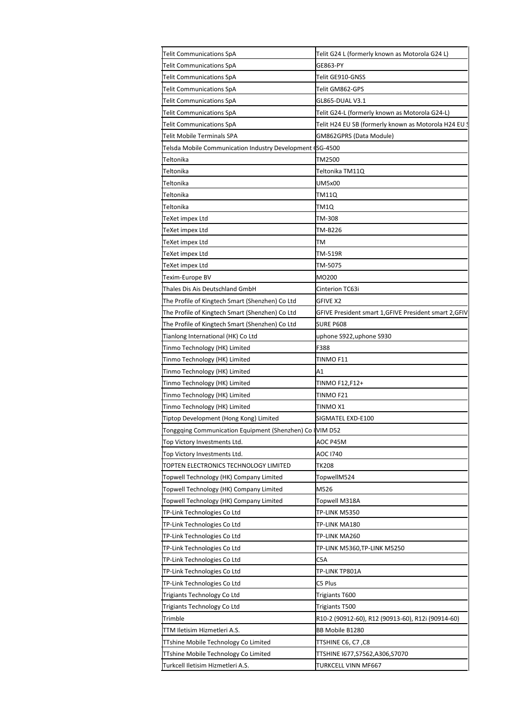| Telit Communications SpA                                  | Telit G24 L (formerly known as Motorola G24 L)         |
|-----------------------------------------------------------|--------------------------------------------------------|
| <b>Telit Communications SpA</b>                           | GE863-PY                                               |
| Telit Communications SpA                                  | Telit GE910-GNSS                                       |
| <b>Telit Communications SpA</b>                           | Telit GM862-GPS                                        |
| Telit Communications SpA                                  | GL865-DUAL V3.1                                        |
| Telit Communications SpA                                  | Telit G24-L (formerly known as Motorola G24-L)         |
| Telit Communications SpA                                  | Telit H24 EU SB (formerly known as Motorola H24 EU S   |
| Telit Mobile Terminals SPA                                | GM862GPRS (Data Module)                                |
| Telsda Mobile Communication Industry Development (SG-4500 |                                                        |
| Teltonika                                                 | TM2500                                                 |
| Teltonika                                                 | Teltonika TM11Q                                        |
| Teltonika                                                 | UM5x00                                                 |
|                                                           |                                                        |
| Teltonika                                                 | TM11Q                                                  |
| Teltonika                                                 | TM1Q                                                   |
| TeXet impex Ltd                                           | TM-308                                                 |
| TeXet impex Ltd                                           | TM-B226                                                |
| TeXet impex Ltd                                           | TM                                                     |
| TeXet impex Ltd                                           | TM-519R                                                |
| ГеХеt impex Ltd                                           | TM-5075                                                |
| Texim-Europe BV                                           | MO200                                                  |
| Thales Dis Ais Deutschland GmbH                           | Cinterion TC63i                                        |
| The Profile of Kingtech Smart (Shenzhen) Co Ltd           | <b>GFIVE X2</b>                                        |
| The Profile of Kingtech Smart (Shenzhen) Co Ltd           | GFIVE President smart 1, GFIVE President smart 2, GFIV |
| The Profile of Kingtech Smart (Shenzhen) Co Ltd           | <b>SURE P608</b>                                       |
| Tianlong International (HK) Co Ltd                        | uphone S922,uphone S930                                |
| Tinmo Technology (HK) Limited                             | F388                                                   |
|                                                           | TINMO F11                                              |
| Tinmo Technology (HK) Limited                             |                                                        |
| Tinmo Technology (HK) Limited                             | Α1                                                     |
| Tinmo Technology (HK) Limited                             | TINMO F12,F12+                                         |
| Tinmo Technology (HK) Limited                             | TINMO F21                                              |
| Tinmo Technology (HK) Limited                             | TINMO X1                                               |
| Tiptop Development (Hong Kong) Limited                    | SIGMATEL EXD-E100                                      |
| Tonggqing Communication Equipment (Shenzhen) Co IVIM D52  |                                                        |
| Top Victory Investments Ltd.                              | AOC P45M                                               |
| Top Victory Investments Ltd.                              | <b>AOC 1740</b>                                        |
| TOPTEN ELECTRONICS TECHNOLOGY LIMITED                     | TK208                                                  |
| <b>Topwell Technology (HK) Company Limited</b>            | TopwellM524                                            |
| Topwell Technology (HK) Company Limited                   | M526                                                   |
| Topwell Technology (HK) Company Limited                   | Topwell M318A                                          |
| TP-Link Technologies Co Ltd                               | TP-LINK M5350                                          |
| TP-Link Technologies Co Ltd                               | TP-LINK MA180                                          |
|                                                           |                                                        |
| TP-Link Technologies Co Ltd                               | TP-LINK MA260                                          |
| TP-Link Technologies Co Ltd                               | TP-LINK M5360,TP-LINK M5250                            |
| TP-Link Technologies Co Ltd                               | C5A                                                    |
| TP-Link Technologies Co Ltd                               | TP-LINK TP801A                                         |
| TP-Link Technologies Co Ltd                               | C5 Plus                                                |
| Trigiants Technology Co Ltd                               | Trigiants T600                                         |
| Trigiants Technology Co Ltd                               | Trigiants T500                                         |
| Trimble                                                   | R10-2 (90912-60), R12 (90913-60), R12i (90914-60)      |
| TTM Iletisim Hizmetleri A.S.                              | BB Mobile B1280                                        |
| TTshine Mobile Technology Co Limited                      | TTSHINE C6, C7 ,C8                                     |
| TTshine Mobile Technology Co Limited                      | TTSHINE 1677, S7562, A306, S7070                       |
| Turkcell Iletisim Hizmetleri A.S.                         | TURKCELL VINN MF667                                    |
|                                                           |                                                        |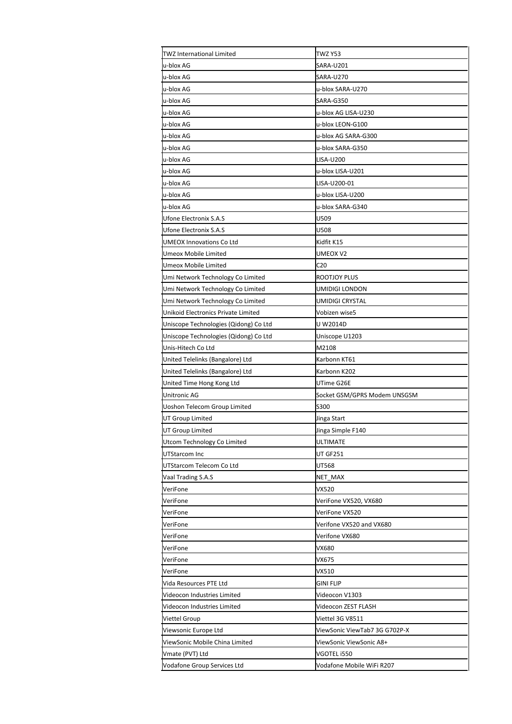| TWZ International Limited             | <b>TWZ Y53</b>                |
|---------------------------------------|-------------------------------|
| u-blox AG                             | SARA-U201                     |
| u-blox AG                             | SARA-U270                     |
| u-blox AG                             | u-blox SARA-U270              |
| u-blox AG                             | <b>SARA-G350</b>              |
| u-blox AG                             | u-blox AG LISA-U230           |
| u-blox AG                             | u-blox LEON-G100              |
| u-blox AG                             | u-blox AG SARA-G300           |
| u-blox AG                             | u-blox SARA-G350              |
| u-blox AG                             | LISA-U200                     |
| u-blox AG                             | u-blox LISA-U201              |
| u-blox AG                             | LISA-U200-01                  |
| u-blox AG                             | u-blox LISA-U200              |
| u-blox AG                             | u-blox SARA-G340              |
| Ufone Electronix S.A.S                | U509                          |
| <b>Ufone Electronix S.A.S</b>         | U508                          |
| <b>UMEOX Innovations Co Ltd</b>       | Kidfit K15                    |
| Umeox Mobile Limited                  | UMEOX V2                      |
| Umeox Mobile Limited                  | C <sub>20</sub>               |
| Umi Network Technology Co Limited     | ROOTJOY PLUS                  |
| Umi Network Technology Co Limited     | UMIDIGI LONDON                |
| Umi Network Technology Co Limited     | UMIDIGI CRYSTAL               |
| Unikoid Electronics Private Limited   | Vobizen wise5                 |
| Uniscope Technologies (Qidong) Co Ltd | U W2014D                      |
| Uniscope Technologies (Qidong) Co Ltd | Uniscope U1203                |
| Unis-Hitech Co Ltd                    | M2108                         |
| United Telelinks (Bangalore) Ltd      | Karbonn KT61                  |
| United Telelinks (Bangalore) Ltd      | Karbonn K202                  |
| United Time Hong Kong Ltd             | UTime G26E                    |
| Unitronic AG                          | Socket GSM/GPRS Modem UNSGSM  |
| <b>Uoshon Telecom Group Limited</b>   | S300                          |
| UT Group Limited                      | Jinga Start                   |
| <b>UT Group Limited</b>               | Jinga Simple F140             |
| Utcom Technology Co Limited           | ULTIMATE                      |
| UTStarcom Inc                         | UT GF251                      |
| UTStarcom Telecom Co Ltd              | UT568                         |
| Vaal Trading S.A.S                    | NET MAX                       |
| VeriFone                              | VX520                         |
| VeriFone                              | VeriFone VX520, VX680         |
| VeriFone                              | VeriFone VX520                |
| VeriFone                              | Verifone VX520 and VX680      |
| VeriFone                              | Verifone VX680                |
| VeriFone                              | VX680                         |
| VeriFone                              | VX675                         |
| VeriFone                              | VX510                         |
| Vida Resources PTE Ltd                | GINI FLIP                     |
| Videocon Industries Limited           | Videocon V1303                |
| Videocon Industries Limited           | Videocon ZEST FLASH           |
| Viettel Group                         | Viettel 3G V8511              |
| Viewsonic Europe Ltd                  | ViewSonic ViewTab7 3G G702P-X |
| ViewSonic Mobile China Limited        | ViewSonic ViewSonic A8+       |
| Vmate (PVT) Ltd                       | VGOTEL i550                   |
|                                       |                               |
| Vodafone Group Services Ltd           | Vodafone Mobile WiFi R207     |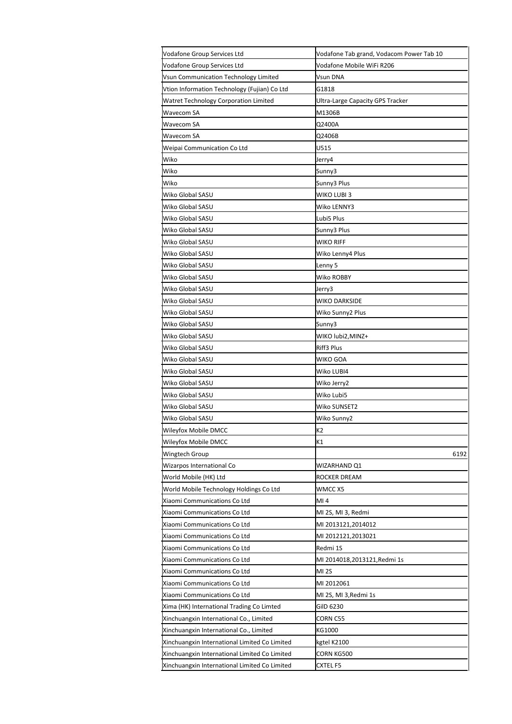| Vodafone Group Services Ltd                   | Vodafone Tab grand, Vodacom Power Tab 10 |
|-----------------------------------------------|------------------------------------------|
| Vodafone Group Services Ltd                   | Vodafone Mobile WiFi R206                |
| Vsun Communication Technology Limited         | Vsun DNA                                 |
| Vtion Information Technology (Fujian) Co Ltd  | G1818                                    |
| <b>Watret Technology Corporation Limited</b>  | Ultra-Large Capacity GPS Tracker         |
| Wavecom SA                                    | M1306B                                   |
| Wavecom SA                                    | Q2400A                                   |
| Wavecom SA                                    | Q2406B                                   |
| Weipai Communication Co Ltd                   | U515                                     |
| Wiko                                          | Jerry4                                   |
| Wiko                                          | Sunny3                                   |
| Wiko                                          | Sunny3 Plus                              |
| Wiko Global SASU                              | WIKO LUBI 3                              |
| Wiko Global SASU                              | Wiko LENNY3                              |
| Wiko Global SASU                              | Lubi5 Plus                               |
| Wiko Global SASU                              | Sunny3 Plus                              |
| Wiko Global SASU                              | WIKO RIFF                                |
| Wiko Global SASU                              | Wiko Lenny4 Plus                         |
| Wiko Global SASU                              | Lenny 5                                  |
| Wiko Global SASU                              | Wiko ROBBY                               |
| Wiko Global SASU                              | Jerry3                                   |
| Wiko Global SASU                              | WIKO DARKSIDE                            |
| Wiko Global SASU                              | Wiko Sunny2 Plus                         |
| Wiko Global SASU                              | Sunny3                                   |
| Wiko Global SASU                              | WIKO lubi2, MINZ+                        |
| Wiko Global SASU                              | Riff3 Plus                               |
| Wiko Global SASU                              | WIKO GOA                                 |
| Wiko Global SASU                              | Wiko LUBI4                               |
| Wiko Global SASU                              | Wiko Jerry2                              |
| Wiko Global SASU                              | Wiko Lubi5                               |
| Wiko Global SASU                              | Wiko SUNSET2                             |
| Wiko Global SASU                              | Wiko Sunny2                              |
| Wileyfox Mobile DMCC                          | K <sub>2</sub>                           |
| Wileyfox Mobile DMCC                          | К1                                       |
| Wingtech Group                                | 6192                                     |
| Wizarpos International Co                     | WIZARHAND Q1                             |
| World Mobile (HK) Ltd                         | ROCKER DREAM                             |
| World Mobile Technology Holdings Co Ltd       | WMCC X5                                  |
| Xiaomi Communications Co Ltd                  | MI 4                                     |
| Xiaomi Communications Co Ltd                  | MI 2S, MI 3, Redmi                       |
| Xiaomi Communications Co Ltd                  | MI 2013121,2014012                       |
| Xiaomi Communications Co Ltd                  | MI 2012121,2013021                       |
| Xiaomi Communications Co Ltd                  | Redmi 1S                                 |
| Xiaomi Communications Co Ltd                  | MI 2014018,2013121,Redmi 1s              |
| Xiaomi Communications Co Ltd                  | <b>MI 2S</b>                             |
| Xiaomi Communications Co Ltd                  | MI 2012061                               |
| Xiaomi Communications Co Ltd                  | MI 2S, MI 3,Redmi 1s                     |
| Xima (HK) International Trading Co Limted     | GilD 6230                                |
| Xinchuangxin International Co., Limited       | CORN C55                                 |
| Xinchuangxin International Co., Limited       | KG1000                                   |
| Xinchuangxin International Limited Co Limited | kgtel K2100                              |
| Xinchuangxin International Limited Co Limited | CORN KG500                               |
| Xinchuangxin International Limited Co Limited | CXTEL F5                                 |
|                                               |                                          |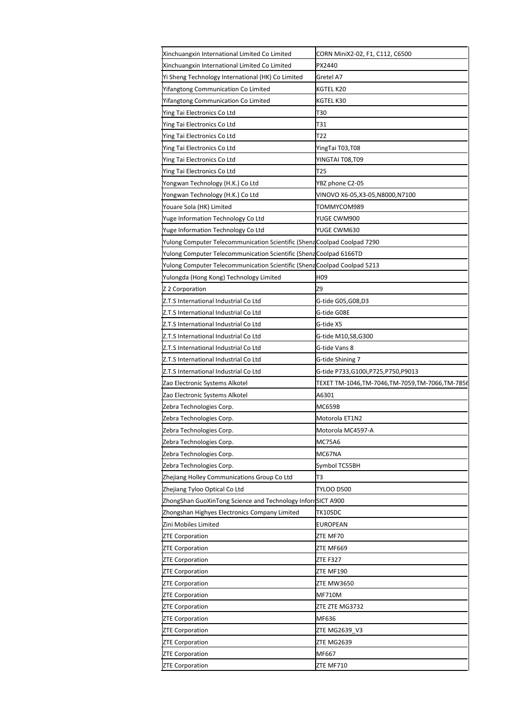| Xinchuangxin International Limited Co Limited                            | CORN MiniX2-02, F1, C112, C6500                        |
|--------------------------------------------------------------------------|--------------------------------------------------------|
| Xinchuangxin International Limited Co Limited                            | PX2440                                                 |
| Yi Sheng Technology International (HK) Co Limited                        | Gretel A7                                              |
| Yifangtong Communication Co Limited                                      | KGTEL K20                                              |
| Yifangtong Communication Co Limited                                      | KGTEL K30                                              |
| Ying Tai Electronics Co Ltd                                              | T30                                                    |
| Ying Tai Electronics Co Ltd                                              | T31                                                    |
| Ying Tai Electronics Co Ltd                                              | T22                                                    |
| Ying Tai Electronics Co Ltd                                              | YingTai T03,T08                                        |
| Ying Tai Electronics Co Ltd                                              | YINGTAI T08,T09                                        |
| Ying Tai Electronics Co Ltd                                              | T25                                                    |
| Yongwan Technology (H.K.) Co Ltd                                         | YBZ phone C2-05                                        |
| Yongwan Technology (H.K.) Co Ltd                                         | VINOVO X6-05,X3-05,N8000,N7100                         |
| Youare Sola (HK) Limited                                                 | TOMMYCOM989                                            |
| Yuge Information Technology Co Ltd                                       | YUGE CWM900                                            |
| Yuge Information Technology Co Ltd                                       | YUGE CWM630                                            |
| Yulong Computer Telecommunication Scientific (Shenz Coolpad Coolpad 7290 |                                                        |
| Yulong Computer Telecommunication Scientific (Shenz Coolpad 6166TD       |                                                        |
| Yulong Computer Telecommunication Scientific (Shenz Coolpad Coolpad 5213 |                                                        |
| Yulongda (Hong Kong) Technology Limited                                  | H09                                                    |
| Z 2 Corporation                                                          | Z9                                                     |
| Z.T.S International Industrial Co Ltd                                    | G-tide G05,G08,D3                                      |
| Z.T.S International Industrial Co Ltd                                    | G-tide G08E                                            |
| Z.T.S International Industrial Co Ltd                                    | G-tide X5                                              |
| Z.T.S International Industrial Co Ltd                                    | G-tide M10,S8,G300                                     |
| Z.T.S International Industrial Co Ltd                                    | G-tide Vans 8                                          |
| Z.T.S International Industrial Co Ltd                                    | G-tide Shining 7                                       |
|                                                                          |                                                        |
|                                                                          |                                                        |
| Z.T.S International Industrial Co Ltd                                    | G-tide P733,G100i,P725,P750,P9013                      |
| Zao Electronic Systems Alkotel                                           | TEXET TM-1046,TM-7046,TM-7059,TM-7066,TM-7856<br>A6301 |
| Zao Electronic Systems Alkotel                                           | MC659B                                                 |
| Zebra Technologies Corp.                                                 |                                                        |
| Zebra Technologies Corp.                                                 | Motorola ET1N2                                         |
| Zebra Technologies Corp.                                                 | Motorola MC4597-A                                      |
| Zebra Technologies Corp.                                                 | MC75A6                                                 |
| Zebra Technologies Corp.                                                 | MC67NA                                                 |
| Zebra Technologies Corp.                                                 | Symbol TC55BH                                          |
| Zhejiang Holley Communications Group Co Ltd                              | T3                                                     |
| Zhejiang Tyloo Optical Co Ltd                                            | TYLOO D500                                             |
| ZhongShan GuoXinTong Science and Technology InforrSICT A900              |                                                        |
| Zhongshan Highyes Electronics Company Limited                            | TK10SDC                                                |
| Zini Mobiles Limited                                                     | EUROPEAN                                               |
| <b>ZTE Corporation</b>                                                   | ZTE MF70                                               |
| <b>ZTE Corporation</b>                                                   | ZTE MF669                                              |
| <b>ZTE Corporation</b>                                                   | ZTE F327                                               |
| <b>ZTE Corporation</b>                                                   | ZTE MF190                                              |
| <b>ZTE Corporation</b>                                                   | ZTE MW3650                                             |
| <b>ZTE Corporation</b>                                                   | MF710M                                                 |
| <b>ZTE Corporation</b>                                                   | ZTE ZTE MG3732                                         |
| <b>ZTE Corporation</b>                                                   | MF636                                                  |
| <b>ZTE Corporation</b>                                                   | ZTE MG2639_V3                                          |
| <b>ZTE Corporation</b>                                                   | ZTE MG2639                                             |
| <b>ZTE Corporation</b><br><b>ZTE Corporation</b>                         | MF667<br>ZTE MF710                                     |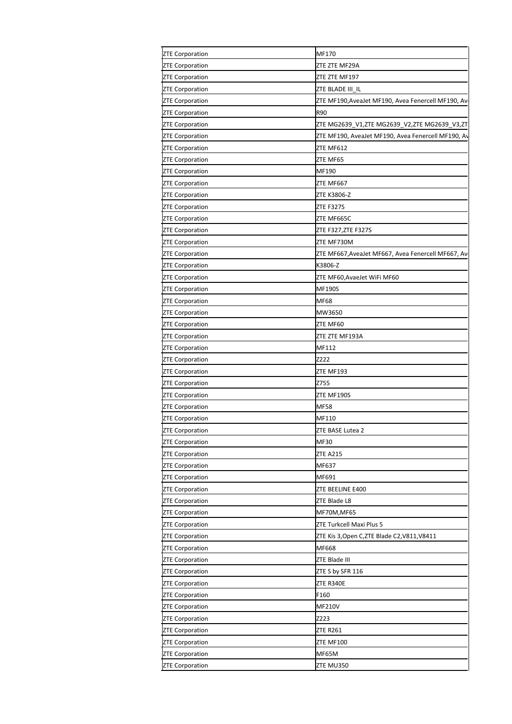| <b>ZTE Corporation</b> | MF170                                              |
|------------------------|----------------------------------------------------|
| <b>ZTE Corporation</b> | ZTE ZTE MF29A                                      |
| <b>ZTE Corporation</b> | ZTE ZTE MF197                                      |
| <b>ZTE Corporation</b> | ZTE BLADE III_IL                                   |
| <b>ZTE Corporation</b> | ZTE MF190, AveaJet MF190, Avea Fenercell MF190, Av |
| <b>ZTE Corporation</b> | R90                                                |
| <b>ZTE Corporation</b> | ZTE MG2639_V1,ZTE MG2639_V2,ZTE MG2639_V3,ZT       |
|                        | ZTE MF190, AveaJet MF190, Avea Fenercell MF190, Av |
| <b>ZTE Corporation</b> | ZTE MF612                                          |
| <b>ZTE Corporation</b> |                                                    |
| <b>ZTE Corporation</b> | ZTE MF65                                           |
| <b>ZTE Corporation</b> | MF190                                              |
| <b>ZTE Corporation</b> | ZTE MF667                                          |
| <b>ZTE Corporation</b> | ZTE K3806-Z                                        |
| <b>ZTE Corporation</b> | <b>ZTE F327S</b>                                   |
| <b>ZTE Corporation</b> | ZTE MF665C                                         |
| <b>ZTE Corporation</b> | ZTE F327, ZTE F327S                                |
| <b>ZTE Corporation</b> | ZTE MF730M                                         |
| <b>ZTE Corporation</b> | ZTE MF667, AveaJet MF667, Avea Fenercell MF667, Av |
| <b>ZTE Corporation</b> | K3806-Z                                            |
| <b>ZTE Corporation</b> | ZTE MF60, AvaeJet WiFi MF60                        |
| <b>ZTE Corporation</b> | <b>MF190S</b>                                      |
| <b>ZTE Corporation</b> | <b>MF68</b>                                        |
| <b>ZTE Corporation</b> | MW3650                                             |
| <b>ZTE Corporation</b> | ZTE MF60                                           |
|                        |                                                    |
| <b>ZTE Corporation</b> | ZTE ZTE MF193A                                     |
| <b>ZTE Corporation</b> | MF112                                              |
| <b>ZTE Corporation</b> | Z222                                               |
| <b>ZTE Corporation</b> | ZTE MF193                                          |
| <b>ZTE Corporation</b> | Z755                                               |
| <b>ZTE Corporation</b> | ZTE MF190S                                         |
| <b>ZTE Corporation</b> | <b>MF58</b>                                        |
| <b>ZTE Corporation</b> | MF110                                              |
| <b>ZTE Corporation</b> | ZTE BASE Lutea 2                                   |
| <b>ZTE Corporation</b> | <b>MF30</b>                                        |
| <b>ZTE Corporation</b> | <b>ZTE A215</b>                                    |
| <b>ZTE Corporation</b> | MF637                                              |
| <b>ZTE Corporation</b> | MF691                                              |
| <b>ZTE Corporation</b> | ZTE BEELINE E400                                   |
| <b>ZTE Corporation</b> | ZTE Blade L8                                       |
| <b>ZTE Corporation</b> | MF70M, MF65                                        |
| <b>ZTE Corporation</b> | ZTE Turkcell Maxi Plus 5                           |
|                        | ZTE Kis 3, Open C, ZTE Blade C2, V811, V8411       |
| <b>ZTE Corporation</b> |                                                    |
| <b>ZTE Corporation</b> | MF668                                              |
| <b>ZTE Corporation</b> | ZTE Blade III                                      |
| <b>ZTE Corporation</b> | ZTE S by SFR 116                                   |
| <b>ZTE Corporation</b> | ZTE R340E                                          |
| <b>ZTE Corporation</b> | F160                                               |
| <b>ZTE Corporation</b> | <b>MF210V</b>                                      |
| <b>ZTE Corporation</b> | Z223                                               |
| <b>ZTE Corporation</b> | <b>ZTE R261</b>                                    |
| <b>ZTE Corporation</b> | <b>ZTE MF100</b>                                   |
| <b>ZTE Corporation</b> | MF65M                                              |
| <b>ZTE Corporation</b> | ZTE MU350                                          |
|                        |                                                    |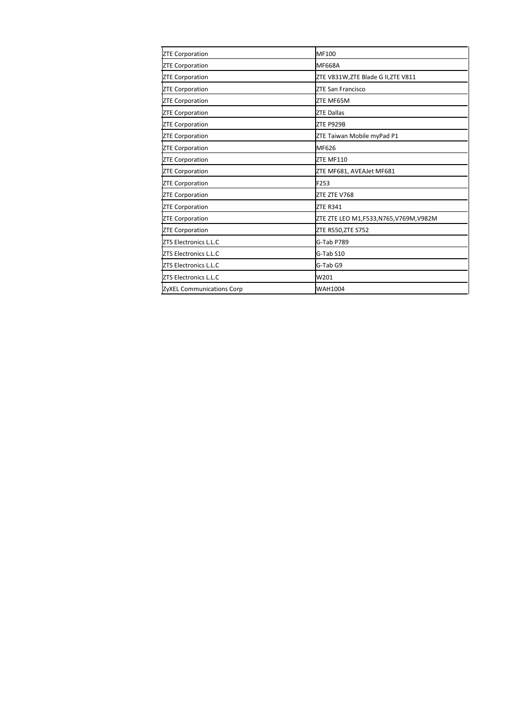| <b>ZTE Corporation</b>       | MF100                                |
|------------------------------|--------------------------------------|
| <b>ZTE Corporation</b>       | <b>MF668A</b>                        |
| <b>ZTE Corporation</b>       | ZTE V831W,ZTE Blade G II,ZTE V811    |
| <b>ZTE Corporation</b>       | ZTE San Francisco                    |
| <b>ZTE Corporation</b>       | ZTE MF65M                            |
| <b>ZTE Corporation</b>       | <b>ZTE Dallas</b>                    |
| <b>ZTE Corporation</b>       | ZTE P929B                            |
| <b>ZTE Corporation</b>       | ZTE Taiwan Mobile myPad P1           |
| <b>ZTE Corporation</b>       | MF626                                |
| <b>ZTE Corporation</b>       | ZTE MF110                            |
| <b>ZTE Corporation</b>       | ZTE MF681, AVEAJet MF681             |
| <b>ZTE Corporation</b>       | F253                                 |
| <b>ZTE Corporation</b>       | ZTE ZTE V768                         |
| <b>ZTE Corporation</b>       | <b>ZTE R341</b>                      |
| <b>ZTE Corporation</b>       | ZTE ZTE LEO M1,F533,N765,V769M,V982M |
| <b>ZTE Corporation</b>       | ZTE R550, ZTE S752                   |
| <b>ZTS Electronics L.L.C</b> | G-Tab P789                           |
| ZTS Electronics L.L.C        | G-Tab S10                            |
| ZTS Electronics L.L.C        | G-Tab G9                             |
| <b>ZTS Electronics L.L.C</b> | W201                                 |
| ZyXEL Communications Corp    | WAH1004                              |